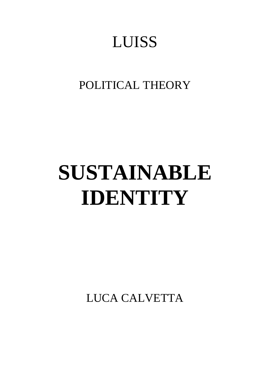## LUISS

### POLITICAL THEORY

# **SUSTAINABLE IDENTITY**

LUCA CALVETTA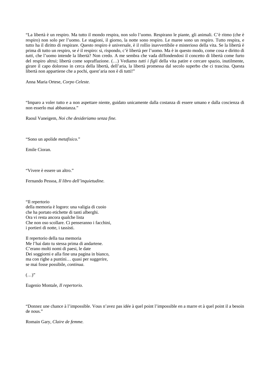"La libertà è un respiro. Ma tutto il mondo respira, non solo l'uomo. Respirano le piante, gli animali. C'è ritmo (che è respiro) non solo per l'uomo. Le stagioni, il giorno, la notte sono respiro. Le maree sono un respiro. Tutto respira, e tutto ha il diritto di respirare. Questo respiro è universale, è il rollio inavvertibile e misterioso della vita. Se la libertà è prima di tutto un respiro, se *è* il respiro: si, rispondo, c'è libertà per l'uomo. Ma è in questo modo, come cosa e diritto di *tutti*, che l'uomo intende la libertà? Non credo. A me sembra che vada diffondendosi il concetto di libertà come furto del respiro altrui; libertà come sopraffazione. (…) Vediamo *tutti i figli* della vita patire e cercare spazio, inutilmente, girare il capo doloroso in cerca della libertà, dell'aria, la libertà promessa dal secolo superbo che ci trascina. Questa libertà non appartiene che a pochi, quest'aria non è di tutti!"

Anna Maria Ortese, *Corpo Celeste.* 

"Imparo a voler tutto e a non aspettare niente, guidato unicamente dalla costanza di essere umano e dalla coscienza di non esserlo mai abbastanza."

Raoul Vaneigem, *Noi che desideriamo senza fine.* 

"Sono un apolide *metafisico.*"

Emile Cioran.

"Vivere è essere un altro."

Fernando Pessoa, *Il libro dell'inquietudine.* 

"Il repertorio della memoria è logoro: una valigia di cuoio che ha portato etichette di tanti alberghi. Ora vi resta ancora qualche lista Che non oso scollare. Ci penseranno i facchini, i portieri di notte, i tassisti.

Il repertorio della tua memoria Me l'hai dato tu stessa prima di andartene. C'erano molti nomi di paesi, le date Dei soggiorni e alla fine una pagina in bianco, ma con righe a puntini… quasi per suggerire, se mai fosse possibile, *continua*.

 $(\ldots)$ "

Eugenio Montale, *Il repertorio.* 

"Donnez une chance à l'impossible. Vous n'avez pas idée à quel point l'impossible en a marre et à quel point il a besoin de nous."

Romain Gary, *Claire de femme.*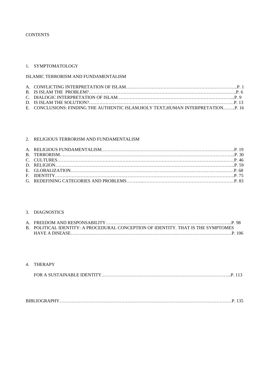#### **CONTENTS**

#### 1. SYMPTOMATOLOGY

#### ISLAMIC TERRORISM AND FUNDAMENTALISM

| E. CONCLUSIONS: FINDING THE AUTHENTIC ISLAM.HOLY TEXT, HUMAN INTERPRETATIONP. 16 |  |
|----------------------------------------------------------------------------------|--|

#### 2. RELIGIOUS TERRORISM AND FUNDAMENTALISM

#### 3. DIAGNOSTICS

| B. POLITICAL IDENTITY: A PROCEDURAL CONCEPTION OF IDENTITY. THAT IS THE SYMPTOMES |  |
|-----------------------------------------------------------------------------------|--|
|                                                                                   |  |

#### 4. THERAPY

|--|--|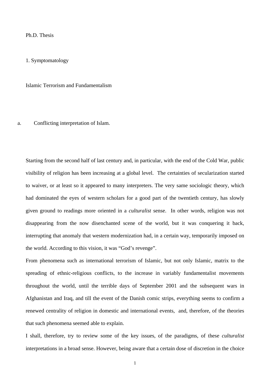#### Ph.D. Thesis

1. Symptomatology

Islamic Terrorism and Fundamentalism

a. Conflicting interpretation of Islam.

Starting from the second half of last century and, in particular, with the end of the Cold War, public visibility of religion has been increasing at a global level. The certainties of secularization started to waiver, or at least so it appeared to many interpreters. The very same sociologic theory, which had dominated the eyes of western scholars for a good part of the twentieth century, has slowly given ground to readings more oriented in a *culturalist* sense. In other words, religion was not disappearing from the now disenchanted scene of the world, but it was conquering it back, interrupting that anomaly that western modernization had, in a certain way, temporarily imposed on the world. According to this vision, it was "God's revenge".

From phenomena such as international terrorism of Islamic, but not only Islamic, matrix to the spreading of ethnic-religious conflicts, to the increase in variably fundamentalist movements throughout the world, until the terrible days of September 2001 and the subsequent wars in Afghanistan and Iraq, and till the event of the Danish comic strips, everything seems to confirm a renewed centrality of religion in domestic and international events, and, therefore, of the theories that such phenomena seemed able to explain.

I shall, therefore, try to review some of the key issues, of the paradigms, of these *culturalist*  interpretations in a broad sense. However, being aware that a certain dose of discretion in the choice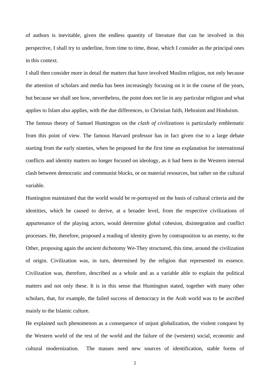of authors is inevitable, given the endless quantity of literature that can be involved in this perspective, I shall try to underline, from time to time, those, which I consider as the principal ones in this context.

I shall then consider more in detail the matters that have involved Muslim religion, not only because the attention of scholars and media has been increasingly focusing on it in the course of the years, but because we shall see how, nevertheless, the point does not lie in any particular religion and what applies to Islam also applies, with the due differences, to Christian faith, Hebraism and Hinduism. The famous theory of Samuel Huntington on the *clash of civilizations* is particularly emblematic from this point of view. The famous Harvard professor has in fact given rise to a large debate starting from the early nineties, when he proposed for the first time an explanation for international conflicts and identity matters no longer focused on ideology, as it had been in the Western internal clash between democratic and communist blocks, or on material resources, but rather on the cultural variable.

Huntington maintained that the world would be re-portrayed on the basis of cultural criteria and the identities, which he caused to derive, at a broader level, from the respective civilizations of appurtenance of the playing actors, would determine global cohesion, disintegration and conflict processes. He, therefore, proposed a reading of identity given by contraposition to an enemy, to the Other, proposing again the ancient dichotomy We-They structured, this time, around the civilization of origin. Civilization was, in turn, determined by the religion that represented its essence. Civilization was, therefore, described as a whole and as a variable able to explain the political matters and not only these. It is in this sense that Huntington stated, together with many other scholars, that, for example, the failed success of democracy in the Arab world was to be ascribed mainly to the Islamic culture.

He explained such phenomenon as a consequence of unjust globalization, the violent conquest by the Western world of the rest of the world and the failure of the (western) social, economic and cultural modernization. The masses need new sources of identification, stable forms of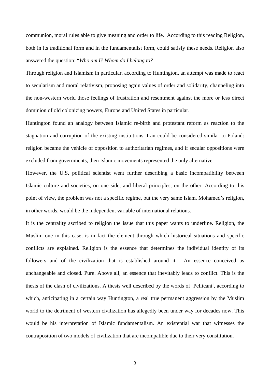communion, moral rules able to give meaning and order to life. According to this reading Religion, both in its traditional form and in the fundamentalist form, could satisfy these needs. Religion also answered the question: "*Who am I? Whom do I belong to?* 

Through religion and Islamism in particular, according to Huntington, an attempt was made to react to secularism and moral relativism, proposing again values of order and solidarity, channeling into the non-western world those feelings of frustration and resentment against the more or less direct dominion of old colonizing powers, Europe and United States in particular.

Huntington found an analogy between Islamic re-birth and protestant reform as reaction to the stagnation and corruption of the existing institutions. Iran could be considered similar to Poland: religion became the vehicle of opposition to authoritarian regimes, and if secular oppositions were excluded from governments, then Islamic movements represented the only alternative.

However, the U.S. political scientist went further describing a basic incompatibility between Islamic culture and societies, on one side, and liberal principles, on the other. According to this point of view, the problem was not a specific regime, but the very same Islam. Mohamed's religion, in other words, would be the independent variable of international relations.

It is the centrality ascribed to religion the issue that this paper wants to underline. Religion, the Muslim one in this case, is in fact the element through which historical situations and specific conflicts are explained. Religion is the essence that determines the individual identity of its followers and of the civilization that is established around it. An essence conceived as unchangeable and closed. Pure. Above all, an essence that inevitably leads to conflict. This is the thes[i](#page-139-0)s of the clash of civilizations. A thesis well described by the words of Pellicani<sup>i</sup>, according to which, anticipating in a certain way Huntington, a real true permanent aggression by the Muslim world to the detriment of western civilization has allegedly been under way for decades now. This would be his interpretation of Islamic fundamentalism. An existential war that witnesses the contraposition of two models of civilization that are incompatible due to their very constitution.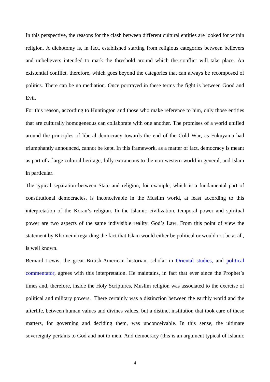In this perspective, the reasons for the clash between different cultural entities are looked for within religion. A dichotomy is, in fact, established starting from religious categories between believers and unbelievers intended to mark the threshold around which the conflict will take place. An existential conflict, therefore, which goes beyond the categories that can always be recomposed of politics. There can be no mediation. Once portrayed in these terms the fight is between Good and Evil.

For this reason, according to Huntington and those who make reference to him, only those entities that are culturally homogeneous can collaborate with one another. The promises of a world unified around the principles of liberal democracy towards the end of the Cold War, as Fukuyama had triumphantly announced, cannot be kept. In this framework, as a matter of fact, democracy is meant as part of a large cultural heritage, fully extraneous to the non-western world in general, and Islam in particular.

The typical separation between State and religion, for example, which is a fundamental part of constitutional democracies, is inconceivable in the Muslim world, at least according to this interpretation of the Koran's religion. In the Islamic civilization, temporal power and spiritual power are two aspects of the same indivisible reality. God's Law. From this point of view the statement by Khomeini regarding the fact that Islam would either be political or would not be at all, is well known.

Bernard Lewis, the great British-American historian, scholar in [Oriental studies,](http://en.wikipedia.org/wiki/Oriental_studies) and [political](http://en.wikipedia.org/wiki/Pundit_(expert))  [commentator](http://en.wikipedia.org/wiki/Pundit_(expert)), agrees with this interpretation. He maintains, in fact that ever since the Prophet's times and, therefore, inside the Holy Scriptures, Muslim religion was associated to the exercise of political and military powers. There certainly was a distinction between the earthly world and the afterlife, between human values and divines values, but a distinct institution that took care of these matters, for governing and deciding them, was unconceivable. In this sense, the ultimate sovereignty pertains to God and not to men. And democracy (this is an argument typical of Islamic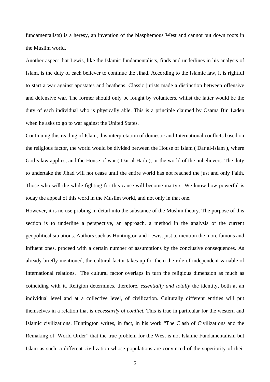fundamentalists) is a heresy, an invention of the blasphemous West and cannot put down roots in the Muslim world.

Another aspect that Lewis, like the Islamic fundamentalists, finds and underlines in his analysis of Islam, is the duty of each believer to continue the Jihad. According to the Islamic law, it is rightful to start a war against apostates and heathens. Classic jurists made a distinction between offensive and defensive war. The former should only be fought by volunteers, whilst the latter would be the duty of each individual who is physically able. This is a principle claimed by Osama Bin Laden when he asks to go to war against the United States.

Continuing this reading of Islam, this interpretation of domestic and International conflicts based on the religious factor, the world would be divided between the House of Islam ( Dar al-Islam ), where God's law applies, and the House of war ( Dar al-Harb ), or the world of the unbelievers. The duty to undertake the Jihad will not cease until the entire world has not reached the just and only Faith. Those who will die while fighting for this cause will become martyrs. We know how powerful is today the appeal of this word in the Muslim world, and not only in that one.

However, it is no use probing in detail into the substance of the Muslim theory. The purpose of this section is to underline a perspective, an approach, a method in the analysis of the current geopolitical situations. Authors such as Huntington and Lewis, just to mention the more famous and influent ones, proceed with a certain number of assumptions by the conclusive consequences. As already briefly mentioned, the cultural factor takes up for them the role of independent variable of International relations. The cultural factor overlaps in turn the religious dimension as much as coinciding with it. Religion determines, therefore, *essentially and totally* the identity, both at an individual level and at a collective level, of civilization. Culturally different entities will put themselves in a relation that is *necessarily of conflict.* This is true in particular for the western and Islamic civilizations. Huntington writes, in fact, in his work "The Clash of Civilizations and the Remaking of World Order" that the true problem for the West is not Islamic Fundamentalism but Islam as such, a different civilization whose populations are convinced of the superiority of their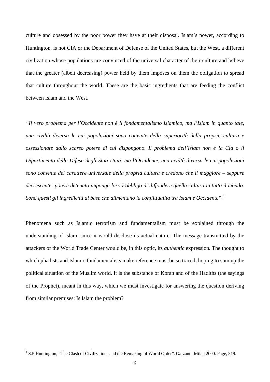culture and obsessed by the poor power they have at their disposal. Islam's power, according to Huntington, is not CIA or the Department of Defense of the United States, but the West, a different civilization whose populations are convinced of the universal character of their culture and believe that the greater (albeit decreasing) power held by them imposes on them the obligation to spread that culture throughout the world. These are the basic ingredients that are feeding the conflict between Islam and the West.

*"Il vero problema per l'Occidente non è il fondamentalismo islamico, ma l'Islam in quanto tale, una civiltà diversa le cui popolazioni sono convinte della superiorità della propria cultura e ossessionate dallo scarso potere di cui dispongono. Il problema dell'Islam non è la Cia o il Dipartimento della Difesa degli Stati Uniti, ma l'Occidente, una civiltà diversa le cui popolazioni sono convinte del carattere universale della propria cultura e credono che il maggiore – seppure decrescente- potere detenuto imponga loro l'obbligo di diffondere quella cultura in tutto il mondo. Sono questi gli ingredienti di base che alimentano la conflittualità tra Islam e Occidente".*[1](#page-9-0)

Phenomena such as Islamic terrorism and fundamentalism must be explained through the understanding of Islam, since it would disclose its actual nature. The message transmitted by the attackers of the World Trade Center would be, in this optic, its *authentic* expression*.* The thought to which jihadists and Islamic fundamentalists make reference must be so traced, hoping to sum up the political situation of the Muslim world. It is the substance of Koran and of the Hadiths (the sayings of the Prophet), meant in this way, which we must investigate for answering the question deriving from similar premises: Is Islam the problem?

<span id="page-9-0"></span><sup>&</sup>lt;sup>1</sup> S.P.Huntington, "The Clash of Civilizations and the Remaking of World Order". Garzanti, Milan 2000. Page, 319.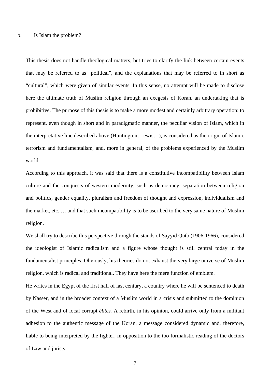This thesis does not handle theological matters, but tries to clarify the link between certain events that may be referred to as "political", and the explanations that may be referred to in short as "cultural", which were given of similar events. In this sense, no attempt will be made to disclose here the ultimate truth of Muslim religion through an exegesis of Koran, an undertaking that is prohibitive. The purpose of this thesis is to make a more modest and certainly arbitrary operation: to represent, even though in short and in paradigmatic manner, the peculiar vision of Islam, which in the interpretative line described above (Huntington, Lewis…), is considered as the origin of Islamic terrorism and fundamentalism, and, more in general, of the problems experienced by the Muslim world.

According to this approach, it was said that there is a constitutive incompatibility between Islam culture and the conquests of western modernity, such as democracy, separation between religion and politics, gender equality, pluralism and freedom of thought and expression, individualism and the market, etc. … and that such incompatibility is to be ascribed to the very same nature of Muslim religion.

We shall try to describe this perspective through the stands of Sayyid Qutb (1906-1966), considered the ideologist of Islamic radicalism and a figure whose thought is still central today in the fundamentalist principles. Obviously, his theories do not exhaust the very large universe of Muslim religion, which is radical and traditional. They have here the mere function of emblem.

He writes in the Egypt of the first half of last century, a country where he will be sentenced to death by Nasser, and in the broader context of a Muslim world in a crisis and submitted to the dominion of the West and of local corrupt *élites.* A rebirth, in his opinion, could arrive only from a militant adhesion to the authentic message of the Koran, a message considered dynamic and, therefore, liable to being interpreted by the fighter, in opposition to the too formalistic reading of the doctors of Law and jurists.

7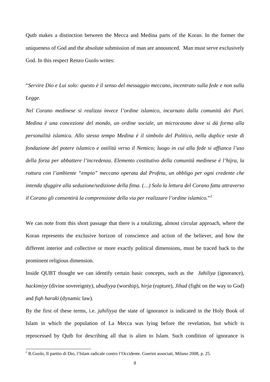Qutb makes a distinction between the Mecca and Medina parts of the Koran. In the former the uniqueness of God and the absolute submission of man are announced. Man must serve exclusively God. In this respect Renzo Guolo writes:

"*Servire Dio e Lui solo: questo è il senso del messaggio meccano, incentrato sulla fede e non sulla Legge.* 

*Nel Corano medinese si realizza invece l'ordine islamico, incarnato dalla comunità dei Puri. Medina è una concezione del mondo, un ordine sociale, un microcosmo dove si dà forma alla personalità islamica. Allo stesso tempo Medina è il simbolo del Politico, nella duplice veste di fondazione del potere islamico e ostilità verso il Nemico; luogo in cui alla fede si affianca l'uso della forza per abbattere l'incredenza. Elemento costitutivo della comunità medinese è l'hijra, la rottura con l'ambiente "empio" meccano operata dal Profeta, un obbligo per ogni credente che intenda sfuggire alla seduzione/sedizione della fitna. (…) Solo la lettura del Corano fatta attraverso il Corano gli consentirà la comprensione della via per realizzare l'ordine islamico.*"[2](#page-11-0)

We can note from this short passage that there is a totalizing, almost circular approach, where the Koran represents the exclusive horizon of conscience and action of the believer, and how the different interior and collective or more exactly political dimensions, must be traced back to the prominent religious dimension.

Inside QUBT thought we can identify certain basic concepts, such as the *Jahiliya* (ignorance), *hackimiyy* (divine sovereignty), *ubudiyya* (worship), *hirja* (rupture), *Jihad* (fight on the way to God) and *fiqh haraki* (dynamic law).

By the first of these terms, i.e. *jahiliyya* the state of ignorance is indicated in the Holy Book of Islam in which the population of La Mecca was lying before the revelation, but which is reprocessed by Qutb for describing all that is alien to Islam. Such condition of ignorance is

<span id="page-11-0"></span> 2 R.Guolo, Il partito di Dio, l'Islam radicale contro l'Occidente. Guerini associati, Milano 2008, p. 25.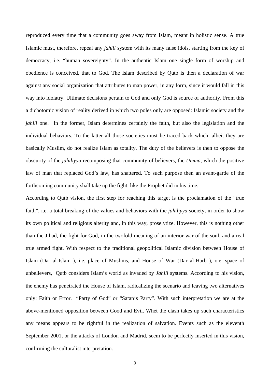reproduced every time that a community goes away from Islam, meant in holistic sense. A true Islamic must, therefore, repeal any *jahili* system with its many false idols, starting from the key of democracy, i.e. "human sovereignty". In the authentic Islam one single form of worship and obedience is conceived, that to God. The Islam described by Qutb is then a declaration of war against any social organization that attributes to man power, in any form, since it would fall in this way into idolatry. Ultimate decisions pertain to God and only God is source of authority. From this a dichotomic vision of reality derived in which two poles only are opposed: Islamic society and the *jahili* one. In the former, Islam determines certainly the faith, but also the legislation and the individual behaviors. To the latter all those societies must be traced back which, albeit they are basically Muslim, do not realize Islam as totality. The duty of the believers is then to oppose the obscurity of the *jahiliyya* recomposing that community of believers, the *Umma,* which the positive law of man that replaced God's law, has shattered. To such purpose then an avant-garde of the forthcoming community shall take up the fight, like the Prophet did in his time.

According to Qutb vision, the first step for reaching this target is the proclamation of the "true faith", i.e. a total breaking of the values and behaviors with the *jahiliyya* society, in order to show its own political and religious alterity and, in this way, proselytize. However, this is nothing other than the Jihad, the fight for God, in the twofold meaning of an interior war of the soul, and a real true armed fight. With respect to the traditional geopolitical Islamic division between House of Islam (Dar al-Islam ), i.e. place of Muslims, and House of War (Dar al-Harb ), o.e. space of unbelievers, Qutb considers Islam's world as invaded by *Jahili* systems. According to his vision, the enemy has penetrated the House of Islam, radicalizing the scenario and leaving two alternatives only: Faith or Error. "Party of God" or "Satan's Party". With such interpretation we are at the above-mentioned opposition between Good and Evil. Whet the clash takes up such characteristics any means appears to be rightful in the realization of salvation. Events such as the eleventh September 2001, or the attacks of London and Madrid, seem to be perfectly inserted in this vision, confirming the culturalist interpretation.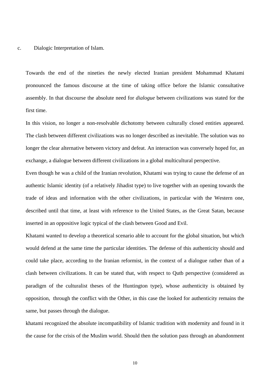#### c. Dialogic Interpretation of Islam.

Towards the end of the nineties the newly elected Iranian president Mohammad Khatami pronounced the famous discourse at the time of taking office before the Islamic consultative assembly. In that discourse the absolute need for *dialogue* between civilizations was stated for the first time.

In this vision, no longer a non-resolvable dichotomy between culturally closed entities appeared. The clash between different civilizations was no longer described as inevitable. The solution was no longer the clear alternative between victory and defeat. An interaction was conversely hoped for, an exchange, a dialogue between different civilizations in a global multicultural perspective.

Even though he was a child of the Iranian revolution, Khatami was trying to cause the defense of an authentic Islamic identity (of a relatively Jihadist type) to live together with an opening towards the trade of ideas and information with the other civilizations, in particular with the Western one, described until that time, at least with reference to the United States, as the Great Satan, because inserted in an oppositive logic typical of the clash between Good and Evil.

Khatami wanted to develop a theoretical scenario able to account for the global situation, but which would defend at the same time the particular identities. The defense of this authenticity should and could take place, according to the Iranian reformist, in the context of a dialogue rather than of a clash between civilizations. It can be stated that, with respect to Qutb perspective (considered as paradigm of the culturalist theses of the Huntington type), whose authenticity is obtained by opposition, through the conflict with the Other, in this case the looked for authenticity remains the same, but passes through the dialogue.

khatami recognized the absolute incompatibility of Islamic tradition with modernity and found in it the cause for the crisis of the Muslim world. Should then the solution pass through an abandonment

10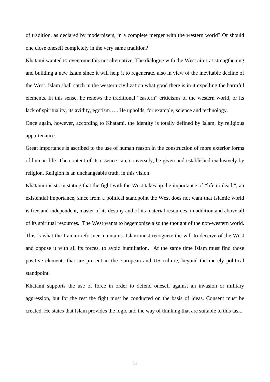of tradition, as declared by modernizers, in a complete merger with the western world? Or should one close oneself completely in the very same tradition?

Khatami wanted to overcome this net alternative. The dialogue with the West aims at strengthening and building a new Islam since it will help it to regenerate, also in view of the inevitable decline of the West. Islam shall catch in the western civilization what good there is in it expelling the harmful elements. In this sense, he renews the traditional "eastern" criticisms of the western world, or its lack of spirituality, its avidity, egotism….. He upholds, for example, science and technology. Once again, however, according to Khatami, the identity is totally defined by Islam, by religious

appurtenance.

Great importance is ascribed to the use of human reason in the construction of more exterior forms of human life. The content of its essence can, conversely, be given and established exclusively by religion. Religion is an unchangeable truth, in this vision.

Khatami insists in stating that the fight with the West takes up the importance of "life or death", an existential importance, since from a political standpoint the West does not want that Islamic world is free and independent, master of its destiny and of its material resources, in addition and above all of its spiritual resources. The West wants to hegemonize also the thought of the non-western world. This is what the Iranian reformer maintains. Islam must recognize the will to deceive of the West and oppose it with all its forces, to avoid humiliation. At the same time Islam must find those positive elements that are present in the European and US culture, beyond the merely political standpoint.

Khatami supports the use of force in order to defend oneself against an invasion or military aggression, but for the rest the fight must be conducted on the basis of ideas. Consent must be created. He states that Islam provides the logic and the way of thinking that are suitable to this task.

11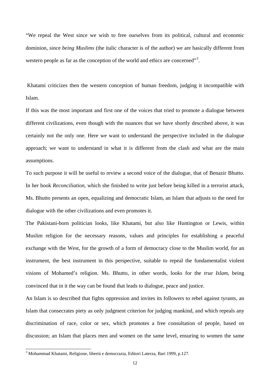"We repeal the West since we wish to free ourselves from its political, cultural and economic dominion, since *being Muslims* (the italic character is of the author) we are basically different from western people as far as the conception of the world and ethics are concerned $\mathfrak{B}^3$  $\mathfrak{B}^3$ .

 Khatami criticizes then the western conception of human freedom, judging it incompatible with Islam.

If this was the most important and first one of the voices that tried to promote a dialogue between different civilizations, even though with the nuances that we have shortly described above, it was certainly not the only one. Here we want to understand the perspective included in the dialogue approach; we want to understand in what it is different from the clash and what are the main assumptions.

To such purpose it will be useful to review a second voice of the dialogue, that of Benazir Bhutto. In her book *Reconciliation*, which she finished to write just before being killed in a terrorist attack, Ms. Bhutto presents an open, equalizing and democratic Islam, an Islam that adjusts to the need for dialogue with the other civilizations and even promotes it.

The Pakistani-born politician looks, like Khatami, but also like Huntington or Lewis, within Muslim religion for the necessary reasons, values and principles for establishing a peaceful exchange with the West, for the growth of a form of democracy close to the Muslim world, for an instrument, the best instrument in this perspective, suitable to repeal the fundamentalist violent visions of Mohamed's religion. Ms. Bhutto, in other words, looks for the *true Islam*, being convinced that in it the way can be found that leads to dialogue, peace and justice.

An Islam is so described that fights oppression and invites its followers to rebel against tyrants, an Islam that consecrates piety as only judgment criterion for judging mankind, and which repeals any discrimination of race, color or sex, which promotes a free consultation of people, based on discussion; an Islam that places men and women on the same level, ensuring to women the same

<span id="page-15-0"></span><sup>&</sup>lt;sup>3</sup> Mohammad Khatami, Religione, libertà e democrazia, Editori Laterza, Bari 1999, p.127.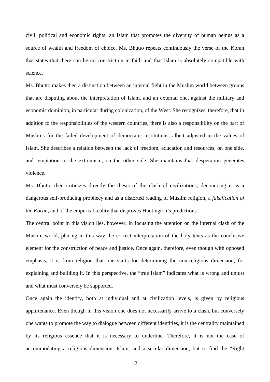civil, political and economic rights; an Islam that promotes the diversity of human beings as a source of wealth and freedom of choice. Ms. Bhutto repeats continuously the verse of the Koran that states that there can be no constriction in faith and that Islam is absolutely compatible with science.

Ms. Bhutto makes then a distinction between an internal fight in the Muslim world between groups that are disputing about the interpretation of Islam, and an external one, against the military and economic dominion, in particular during colonization, of the West. She recognizes, therefore, that in addition to the responsibilities of the western countries, there is also a responsibility on the part of Muslims for the failed development of democratic institutions, albeit adjusted to the values of Islam. She describes a relation between the lack of freedom, education and resources, on one side, and temptation to the extremism, on the other side. She maintains that desperation generates violence.

Ms. Bhutto then criticizes directly the thesis of the clash of civilizations, denouncing it as a dangerous self-producing prophecy and as a distorted reading of Muslim religion, a *falsification of the Koran,* and of the empirical reality that disproves Huntington's predictions.

The central point in this vision lies, however, in focusing the attention on the internal clash of the Muslim world, placing in this way the correct interpretation of the holy texts as the conclusive element for the construction of peace and justice. Once again, therefore, even though with opposed emphasis, it is from religion that one starts for determining the non-religious dimension, for explaining and building it. In this perspective, the "true Islam" indicates what is wrong and unjust and what must conversely be supported.

Once again the identity, both at individual and at civilization levels, is given by religious appurtenance. Even though in this vision one does not necessarily arrive to a clash, but conversely one wants to promote the way to dialogue between different identities, it is the centrality maintained by its religious essence that it is necessary to underline. Therefore, it is not the case of accommodating a religious dimension, Islam, and a secular dimension, but to find the "Right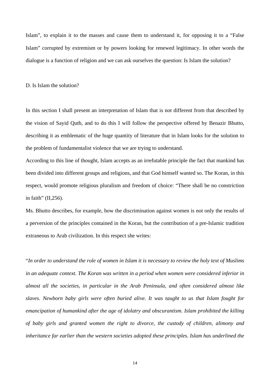Islam", to explain it to the masses and cause them to understand it, for opposing it to a "False Islam" corrupted by extremism or by powers looking for renewed legitimacy. In other words the dialogue is a function of religion and we can ask ourselves the question: Is Islam the solution?

D. Is Islam the solution?

In this section I shall present an interpretation of Islam that is not different from that described by the vision of Sayid Qutb, and to do this I will follow the perspective offered by Benazir Bhutto, describing it as emblematic of the huge quantity of literature that in Islam looks for the solution to the problem of fundamentalist violence that we are trying to understand.

According to this line of thought, Islam accepts as an irrefutable principle the fact that mankind has been divided into different groups and religions, and that God himself wanted so. The Koran, in this respect, would promote religious pluralism and freedom of choice: "There shall be no constriction in faith" (II,256).

Ms. Bhutto describes, for example, how the discrimination against women is not only the results of a perversion of the principles contained in the Koran, but the contribution of a pre-Islamic tradition extraneous to Arab civilization. In this respect she writes:

"*In order to understand the role of women in Islam it is necessary to review the holy text of Muslims in an adequate context. The Koran was written in a period when women were considered inferior in almost all the societies, in particular in the Arab Peninsula, and often considered almost like slaves. Newborn baby girls were often buried alive. It was taught to us that Islam fought for emancipation of humankind after the age of idolatry and obscurantism. Islam prohibited the killing of baby girls and granted women the right to divorce, the custody of children, alimony and inheritance far earlier than the western societies adopted these principles. Islam has underlined the*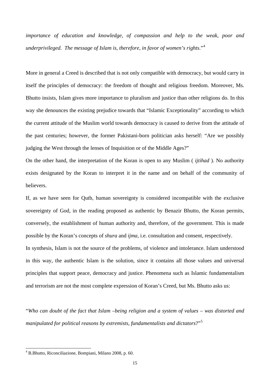*importance of education and knowledge, of compassion and help to the weak, poor and underprivileged. The message of Islam is, therefore, in favor of women's rights*."[4](#page-18-0)

More in general a Creed is described that is not only compatible with democracy, but would carry in itself the principles of democracy: the freedom of thought and religious freedom. Moreover, Ms. Bhutto insists, Islam gives more importance to pluralism and justice than other religions do. In this way she denounces the existing prejudice towards that "Islamic Exceptionality" according to which the current attitude of the Muslim world towards democracy is caused to derive from the attitude of the past centuries; however, the former Pakistani-born politician asks herself: "Are we possibly judging the West through the lenses of Inquisition or of the Middle Ages?"

On the other hand, the interpretation of the Koran is open to any Muslim ( *ijtihad* ). No authority exists designated by the Koran to interpret it in the name and on behalf of the community of believers.

If, as we have seen for Qutb, human sovereignty is considered incompatible with the exclusive sovereignty of God, in the reading proposed as authentic by Benazir Bhutto, the Koran permits, conversely, the establishment of human authority and, therefore, of the government. This is made possible by the Koran's concepts of *shura* and *ijma*, i.e. consultation and consent, respectively.

In synthesis, Islam is not the source of the problems, of violence and intolerance. Islam understood in this way, the authentic Islam is the solution, since it contains all those values and universal principles that support peace, democracy and justice. Phenomena such as Islamic fundamentalism and terrorism are not the most complete expression of Koran's Creed, but Ms. Bhutto asks us:

"*Who can doubt of the fact that Islam –being religion and a system of values – was distorted and manipulated for political reasons by extremists, fundamentalists and dictators*?"[5](#page-18-1)

<span id="page-18-1"></span><span id="page-18-0"></span> 4 B.Bhutto, Riconciliazione, Bompiani, Milano 2008, p. 60.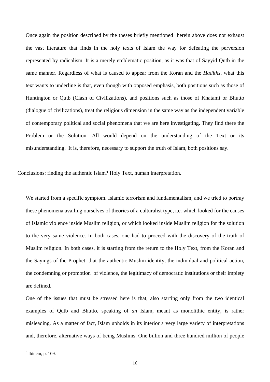Once again the position described by the theses briefly mentioned herein above does not exhaust the vast literature that finds in the holy texts of Islam the way for defeating the perversion represented by radicalism. It is a merely emblematic position, as it was that of Sayyid Qutb in the same manner. Regardless of what is caused to appear from the Koran and the *Hadiths*, what this text wants to underline is that, even though with opposed emphasis, both positions such as those of Huntington or Qutb (Clash of Civilizations), and positions such as those of Khatami or Bhutto (dialogue of civilizations), treat the religious dimension in the same way as the independent variable of contemporary political and social phenomena that we are here investigating. They find there the Problem or the Solution. All would depend on the understanding of the Text or its misunderstanding. It is, therefore, necessary to support the truth of Islam, both positions say.

Conclusions: finding the authentic Islam? Holy Text, human interpretation.

We started from a specific symptom. Islamic terrorism and fundamentalism, and we tried to portray these phenomena availing ourselves of theories of a culturalist type, i.e. which looked for the causes of Islamic violence inside Muslim religion, or which looked inside Muslim religion for the solution to the very same violence. In both cases, one had to proceed with the discovery of the truth of Muslim religion. In both cases, it is starting from the return to the Holy Text, from the Koran and the Sayings of the Prophet, that the authentic Muslim identity, the individual and political action, the condemning or promotion of violence, the legitimacy of democratic institutions or their impiety are defined.

One of the issues that must be stressed here is that, also starting only from the two identical examples of Qutb and Bhutto, speaking of *an* Islam, meant as monolithic entity, is rather misleading. As a matter of fact, Islam upholds in its interior a very large variety of interpretations and, therefore, alternative ways of being Muslims. One billion and three hundred million of people

 $<sup>5</sup>$  Ibidem, p. 109.</sup>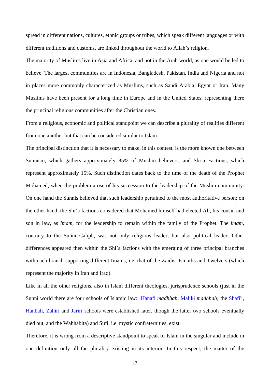spread in different nations, cultures, ethnic groups or tribes, which speak different languages or with different traditions and customs, are linked throughout the world to Allah's religion.

The majority of Muslims live in Asia and Africa, and not in the Arab world, as one would be led to believe. The largest communities are in Indonesia, Bangladesh, Pakistan, India and Nigeria and not in places more commonly characterized as Muslims, such as Saudi Arabia, Egypt or Iran. Many Muslims have been present for a long time in Europe and in the United States, representing there the principal religious communities after the Christian ones.

From a religious, economic and political standpoint we can describe a plurality of realities different from one another but that can be considered similar to Islam.

The principal distinction that it is necessary to make, in this contest, is the more known one between Sunnism, which gathers approximately 85% of Muslim believers, and Shi'a Factions, which represent approximately 15%. Such distinction dates back to the time of the death of the Prophet Mohamed, when the problem arose of his succession to the leadership of the Muslim community. On one hand the Sunnis believed that such leadership pertained to the most authoritative person; on the other hand, the Shi'a factions considered that Mohamed himself had elected Ali, his cousin and son in law, as *imam*, for the leadership to remain within the family of the Prophet. The *imam*, contrary to the Sunni Caliph, was not only religious leader, but also political leader. Other differences appeared then within the Shi'a factions with the emerging of three principal branches with each branch supporting different Imams, i.e. that of the Zaidis, Ismailis and Twelvers (which represent the majority in Iran and Iraq).

Like in all the other religions, also in Islam different theologies, jurisprudence schools (just in the Sunni world there are four schools of Islamic law: [Hanafi](http://en.wikipedia.org/wiki/Hanafi) *madhhab*, [Maliki](http://en.wikipedia.org/wiki/Maliki) *madhhab;* the [Shafi'i,](http://en.wikipedia.org/wiki/Shafi%27i) [Hanbali,](http://en.wikipedia.org/wiki/Hanbali) [Zahiri](http://en.wikipedia.org/wiki/Zahiri) and [Jariri](http://en.wikipedia.org/wiki/Jariri) schools were established later, though the latter two schools eventually died out, and the Wahhabita) and Sufi, i.e. mystic confraternities, exist.

Therefore, it is wrong from a descriptive standpoint to speak of Islam in the singular and include in one definition only all the plurality existing in its interior. In this respect, the matter of the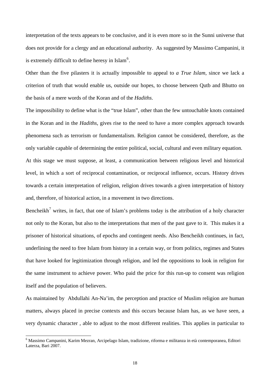interpretation of the texts appears to be conclusive, and it is even more so in the Sunni universe that does not provide for a clergy and an educational authority. As suggested by Massimo Campanini, it is extremely difficult to define heresy in Islam<sup>[6](#page-21-0)</sup>.

Other than the five pilasters it is actually impossible to appeal to *a True Islam,* since we lack a criterion of truth that would enable us, outside our hopes, to choose between Qutb and Bhutto on the basis of a mere words of the Koran and of the *Hadiths*.

The impossibility to define what is the "true Islam", other than the few untouchable knots contained in the Koran and in the *Hadiths*, gives rise to the need to have a more complex approach towards phenomena such as terrorism or fundamentalism. Religion cannot be considered, therefore, as the only variable capable of determining the entire political, social, cultural and even military equation. At this stage we must suppose, at least, a communication between religious level and historical level, in which a sort of reciprocal contamination, or reciprocal influence, occurs. History drives towards a certain interpretation of religion, religion drives towards a given interpretation of history and, therefore, of historical action, in a movement in two directions.

Bencheikh<sup>[7](#page-21-1)</sup> writes, in fact, that one of Islam's problems today is the attribution of a holy character not only to the Koran, but also to the interpretations that men of the past gave to it. This makes it a prisoner of historical situations, of epochs and contingent needs. Also Bencheikh continues, in fact, underlining the need to free Islam from history in a certain way, or from politics, regimes and States that have looked for legitimization through religion, and led the oppositions to look in religion for the same instrument to achieve power. Who paid the price for this run-up to consent was religion itself and the population of believers.

As maintained by Abdullahi An-Na'im, the perception and practice of Muslim religion are human matters, always placed in precise contexts and this occurs because Islam has, as we have seen, a very dynamic character , able to adjust to the most different realities. This applies in particular to

<span id="page-21-1"></span><span id="page-21-0"></span> 6 Massimo Campanini, Karim Mezran, Arcipelago Islam, tradizione, riforma e militanza in età contemporanea, Editori Laterza, Bari 2007.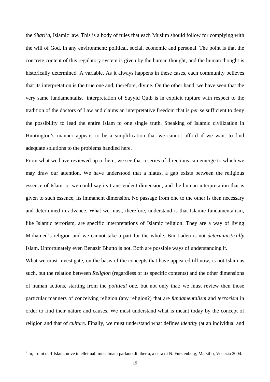the *Shari'a*, Islamic law. This is a body of rules that each Muslim should follow for complying with the will of God, in any environment: political, social, economic and personal. The point is that the concrete content of this regulatory system is given by the human thought, and the human thought is historically determined. A variable. As it always happens in these cases, each community believes that its interpretation is the true one and, therefore, divine. On the other hand, we have seen that the very same fundamentalist interpretation of Sayyid Qutb is in explicit rupture with respect to the tradition of the doctors of Law and claims an interpretative freedom that is *per se* sufficient to deny the possibility to lead the entire Islam to one single truth. Speaking of Islamic civilization in Huntington's manner appears to be a simplification that we cannot afford if we want to find adequate solutions to the problems handled here.

From what we have reviewed up to here, we see that a series of directions can emerge to which we may draw our attention. We have understood that a hiatus, a gap exists between the religious essence of Islam, or we could say its transcendent dimension, and the human interpretation that is given to such essence, its immanent dimension. No passage from one to the other is then necessary and determined in advance. What we must, therefore, understand is that Islamic fundamentalism, like Islamic terrorism, are specific interpretations of Islamic religion. They are a way of living Mohamed's religion and we cannot take a part for the whole. Bin Laden is not *deterministically* Islam. Unfortunately even Benazir Bhutto is not. Both are possible ways of understanding it.

What we must investigate, on the basis of the concepts that have appeared till now, is not Islam as such, but the relation between *Religion* (regardless of its specific contents) and the other dimensions of human actions, starting from the *political* one, but not only that; we must review then those particular manners of conceiving religion (any religion?) that are *fundamentalism* and *terrorism* in order to find their nature and causes. We must understand what is meant today by the concept of religion and that of *culture*. Finally, we must understand what defines *identity* (at an individual and

<sup>&</sup>lt;sup>7</sup> In, Lumi dell'Islam, nove intellettuali musulmani parlano di libertà, a cura di N. Furstenberg, Marsilio, Venezia 2004.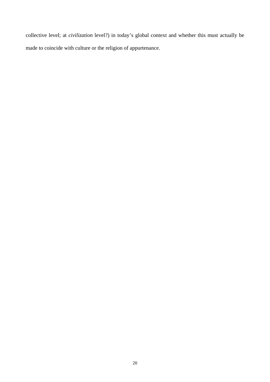collective level; at *civilization* level?) in today's global context and whether this must actually be made to coincide with culture or the religion of appurtenance.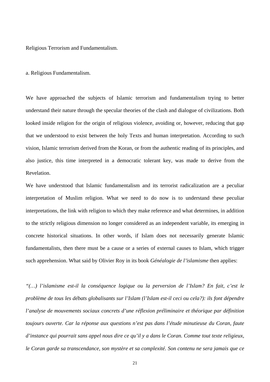Religious Terrorism and Fundamentalism.

#### a. Religious Fundamentalism.

We have approached the subjects of Islamic terrorism and fundamentalism trying to better understand their nature through the specular theories of the clash and dialogue of civilizations. Both looked inside religion for the origin of religious violence, avoiding or, however, reducing that gap that we understood to exist between the holy Texts and human interpretation. According to such vision, Islamic terrorism derived from the Koran, or from the authentic reading of its principles, and also justice, this time interpreted in a democratic tolerant key, was made to derive from the Revelation.

We have understood that Islamic fundamentalism and its terrorist radicalization are a peculiar interpretation of Muslim religion. What we need to do now is to understand these peculiar interpretations, the link with religion to which they make reference and what determines, in addition to the strictly religious dimension no longer considered as an independent variable, its emerging in concrete historical situations. In other words, if Islam does not necessarily generate Islamic fundamentalists, then there must be a cause or a series of external causes to Islam, which trigger such apprehension. What said by Olivier Roy in its book *Généalogie de l'islamisme* then applies:

*"(…) l'islamisme est-il la conséquence logique ou la perversion de l'Islam? En fait, c'est le problème de tous les débats globalisants sur l'Islam (l'Islam est-il ceci ou cela?): ils font dépendre l'analyse de mouvements sociaux concrets d'une réflexion préliminaire et théorique par définition toujours ouverte. Car la réponse aux questions n'est pas dans l'étude minutieuse du Coran, faute d'instance qui pourrait sans appel nous dire ce qu'il y a dans le Coran. Comme tout texte religieux, le Coran garde sa transcendance, son mystère et sa complexité. Son contenu ne sera jamais que ce*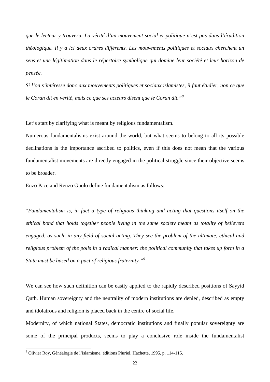*que le lecteur y trouvera. La vérité d'un mouvement social et politique n'est pas dans l'érudition théologique. Il y a ici deux ordres différents. Les mouvements politiques et sociaux cherchent un sens et une légitimation dans le répertoire symbolique qui domine leur société et leur horizon de pensée.* 

*Si l'on s'intéresse donc aux mouvements politiques et sociaux islamistes, il faut étudier, non ce que le Coran dit en vérité, mais ce que ses acteurs disent que le Coran dit."[8](#page-25-0)*

Let's start by clarifying what is meant by religious fundamentalism.

Numerous fundamentalisms exist around the world, but what seems to belong to all its possible declinations is the importance ascribed to politics, even if this does not mean that the various fundamentalist movements are directly engaged in the political struggle since their objective seems to be broader.

Enzo Pace and Renzo Guolo define fundamentalism as follows:

"*Fundamentalism is, in fact a type of religious thinking and acting that questions itself on the ethical bond that holds together people living in the same society meant as totality of believers engaged, as such, in any field of social acting. They see the problem of the ultimate, ethical and religious problem of the polis in a radical manner: the political community that takes up form in a State must be based on a pact of religious fraternity."[9](#page-25-1)*

We can see how such definition can be easily applied to the rapidly described positions of Sayyid Qutb. Human sovereignty and the neutrality of modern institutions are denied, described as empty and idolatrous and religion is placed back in the centre of social life.

Modernity, of which national States, democratic institutions and finally popular sovereignty are some of the principal products, seems to play a conclusive role inside the fundamentalist

<span id="page-25-1"></span><span id="page-25-0"></span> 8 Olivier Roy, Généalogie de l'islamisme, éditions Pluriel, Hachette, 1995, p. 114-115.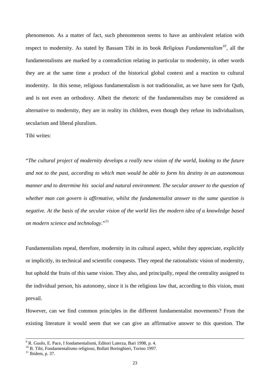phenomenon. As a matter of fact, such phenomenon seems to have an ambivalent relation with respect to modernity. As stated by Bassam Tibi in its book *Religious Fundamentalism[10](#page-26-0),* all the fundamentalisms are marked by a contradiction relating in particular to modernity, in other words they are at the same time a product of the historical global context and a reaction to cultural modernity. In this sense, religious fundamentalism is not traditionalist, as we have seen for Qutb, and is not even an orthodoxy. Albeit the rhetoric of the fundamentalists may be considered as alternative to modernity, they are in reality its children, even though they refuse its individualism, secularism and liberal pluralism.

Tibi writes:

"*The cultural project of modernity develops a really new vision of the world, looking to the future and not to the past, according to which man would be able to form his destiny in an autonomous manner and to determine his social and natural environment. The secular answer to the question of whether man can govern is affirmative, whilst the fundamentalist answer to the same question is negative. At the basis of the secular vision of the world lies the modern idea of a knowledge based on modern science and technology*."[11](#page-26-1)

Fundamentalists repeal, therefore, modernity in its cultural aspect, whilst they appreciate, explicitly or implicitly, its technical and scientific conquests. They repeal the rationalistic vision of modernity, but uphold the fruits of this same vision. They also, and principally, repeal the centrality assigned to the individual person, his autonomy, since it is the religious law that, according to this vision, must prevail.

However, can we find common principles in the different fundamentalist movements? From the existing literature it would seem that we can give an affirmative answer to this question. The

<span id="page-26-0"></span>

<sup>&</sup>lt;sup>9</sup> R. Guolo, E. Pace, I fondamentalismi, Editori Laterza, Bari 1998, p. 4.<br><sup>10</sup> B. Tibi, Fondamentalismo religioso, Bollati Boringhieri, Torino 1997.

<span id="page-26-1"></span> $11$  Ibidem, p. 37.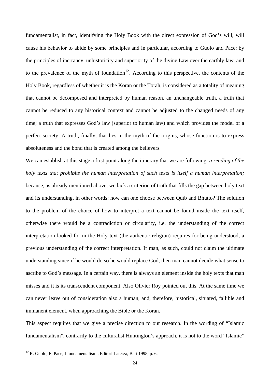fundamentalist, in fact, identifying the Holy Book with the direct expression of God's will, will cause his behavior to abide by some principles and in particular, according to Guolo and Pace: by the principles of inerrancy, unhistoricity and superiority of the divine Law over the earthly law, and to the prevalence of the myth of foundation<sup>[12](#page-27-0)</sup>. According to this perspective, the contents of the Holy Book, regardless of whether it is the Koran or the Torah, is considered as a totality of meaning that cannot be decomposed and interpreted by human reason, an unchangeable truth, a truth that cannot be reduced to any historical context and cannot be adjusted to the changed needs of any time; a truth that expresses God's law (superior to human law) and which provides the model of a perfect society. A truth, finally, that lies in the myth of the origins, whose function is to express absoluteness and the bond that is created among the believers.

We can establish at this stage a first point along the itinerary that we are following: *a reading of the holy texts that prohibits the human interpretation of such texts is itself a human interpretation;*  because, as already mentioned above, we lack a criterion of truth that fills the gap between holy text and its understanding, in other words: how can one choose between Qutb and Bhutto? The solution to the problem of the choice of how to interpret a text cannot be found inside the text itself, otherwise there would be a contradiction or circularity, i.e. the understanding of the correct interpretation looked for in the Holy text (the authentic religion) requires for being understood, a previous understanding of the correct interpretation. If man, as such, could not claim the ultimate understanding since if he would do so he would replace God, then man cannot decide what sense to ascribe to God's message. In a certain way, there is always an element inside the holy texts that man misses and it is its transcendent component. Also Olivier Roy pointed out this. At the same time we can never leave out of consideration also a human, and, therefore, historical, situated, fallible and immanent element, when approaching the Bible or the Koran.

This aspect requires that we give a precise direction to our research. In the wording of "Islamic fundamentalism", contrarily to the culturalist Huntington's approach, it is not to the word "Islamic"

<span id="page-27-0"></span> $12$  R. Guolo, E. Pace, I fondamentalismi, Editori Laterza, Bari 1998, p. 6.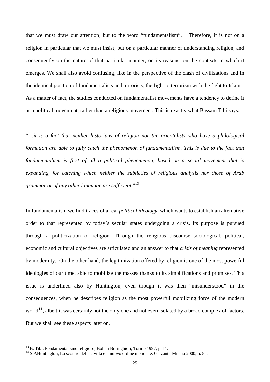that we must draw our attention, but to the word "fundamentalism". Therefore, it is not on a religion in particular that we must insist, but on a particular manner of understanding religion, and consequently on the nature of that particular manner, on its reasons, on the contexts in which it emerges. We shall also avoid confusing, like in the perspective of the clash of civilizations and in the identical position of fundamentalists and terrorists, the fight to terrorism with the fight to Islam. As a matter of fact, the studies conducted on fundamentalist movements have a tendency to define it as a political movement, rather than a religious movement. This is exactly what Bassam Tibi says:

"…*it is a fact that neither historians of religion nor the orientalists who have a philological formation are able to fully catch the phenomenon of fundamentalism. This is due to the fact that fundamentalism is first of all a political phenomenon, based on a social movement that is expanding, for catching which neither the subtleties of religious analysis nor those of Arab grammar or of any other language are sufficient*."[13](#page-28-0)

In fundamentalism we find traces of a real *political ideology,* which wants to establish an alternative order to that represented by today's secular states undergoing a crisis. Its purpose is pursued through a politicization of religion. Through the religious discourse sociological, political, economic and cultural objectives are articulated and an answer to that *crisis of meaning* represented by modernity. On the other hand, the legitimization offered by religion is one of the most powerful ideologies of our time, able to mobilize the masses thanks to its simplifications and promises. This issue is underlined also by Huntington, even though it was then "misunderstood" in the consequences, when he describes religion as the most powerful mobilizing force of the modern world<sup>[14](#page-28-1)</sup>, albeit it was certainly not the only one and not even isolated by a broad complex of factors. But we shall see these aspects later on.

<span id="page-28-0"></span><sup>&</sup>lt;sup>13</sup> B. Tibi, Fondamentalismo religioso, Bollati Boringhieri, Torino 1997, p. 11.

<span id="page-28-1"></span><sup>&</sup>lt;sup>14</sup> S.P.Huntington, Lo scontro delle civiltà e il nuovo ordine mondiale. Garzanti, Milano 2000, p. 85.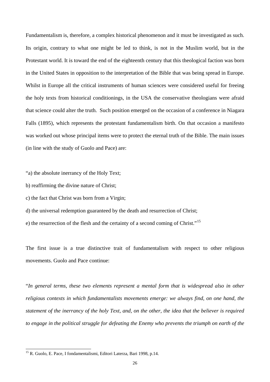Fundamentalism is, therefore, a complex historical phenomenon and it must be investigated as such. Its origin, contrary to what one might be led to think, is not in the Muslim world, but in the Protestant world. It is toward the end of the eighteenth century that this theological faction was born in the United States in opposition to the interpretation of the Bible that was being spread in Europe. Whilst in Europe all the critical instruments of human sciences were considered useful for freeing the holy texts from historical conditionings, in the USA the conservative theologians were afraid that science could alter the truth. Such position emerged on the occasion of a conference in Niagara Falls (1895), which represents the protestant fundamentalism birth. On that occasion a manifesto was worked out whose principal items were to protect the eternal truth of the Bible. The main issues (in line with the study of Guolo and Pace) are:

"a) the absolute inerrancy of the Holy Text;

- b) reaffirming the divine nature of Christ;
- c) the fact that Christ was born from a Virgin;
- d) the universal redemption guaranteed by the death and resurrection of Christ;
- e) the resurrection of the flesh and the certainty of a second coming of Christ."[15](#page-29-0)

The first issue is a true distinctive trait of fundamentalism with respect to other religious movements. Guolo and Pace continue:

"*In general terms, these two elements represent a mental form that is widespread also in other religious contexts in which fundamentalists movements emerge: we always find, on one hand, the statement of the inerrancy of the holy Text, and, on the other, the idea that the believer is required to engage in the political struggle for defeating the Enemy who prevents the triumph on earth of the* 

<span id="page-29-0"></span><sup>&</sup>lt;sup>15</sup> R. Guolo, E. Pace, I fondamentalismi, Editori Laterza, Bari 1998, p.14.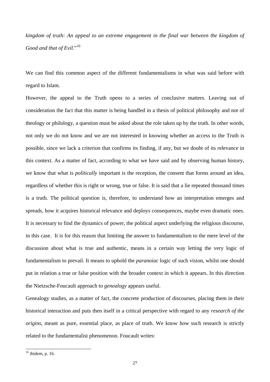*kingdom of truth: An appeal to an extreme engagement in the final war between the kingdom of Good and that of Evil.*"<sup>[16](#page-30-0)</sup>

We can find this common aspect of the different fundamentalisms in what was said before with regard to Islam.

However, the appeal to the Truth opens to a series of conclusive matters. Leaving out of consideration the fact that this matter is being handled in a thesis of political philosophy and not of theology or philology, a question must be asked about the role taken up by the truth. In other words, not only we do not know and we are not interested in knowing whether an access to the Truth is possible, since we lack a criterion that confirms its finding, if any, but we doubt of its relevance in this context. As a matter of fact, according to what we have said and by observing human history, we know that what is *politically* important is the reception, the consent that forms around an idea, regardless of whether this is right or wrong, true or false. It is said that a lie repeated thousand times is a truth. The political question is, therefore, to understand how an interpretation emerges and spreads, how it acquires historical relevance and deploys consequences, maybe even dramatic ones. It is necessary to find the dynamics of power, the political aspect underlying the religious discourse, in this case. It is for this reason that limiting the answer to fundamentalism to the mere level of the discussion about what is true and authentic, means in a certain way letting the very logic of fundamentalism to prevail. It means to uphold the *paranoiac* logic of such vision, whilst one should put in relation a true or false position with the broader context in which it appears. In this direction the Nietzsche-Foucault approach to *genealogy* appears useful.

Genealogy studies, as a matter of fact, the concrete production of discourses, placing them in their historical interaction and puts then itself in a critical perspective with regard to any *research of the origins,* meant as pure, essential place, as place of truth. We know how such research is strictly related to the fundamentalist phenomenon. Foucault writes:

<span id="page-30-0"></span> $16$  ibidem, p. 16.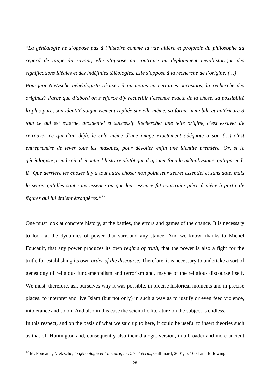"*La généalogie ne s'oppose pas à l'histoire comme la vue altière et profonde du philosophe au regard de taupe du savant; elle s'oppose au contraire au déploiement métahistorique des significations idéales et des indéfinies téléologies. Elle s'oppose à la recherche de l'origine. (…) Pourquoi Nietzsche généalogiste récuse-t-il au moins en certaines occasions, la recherche des origines? Parce que d'abord on s'efforce d'y recueillir l'essence exacte de la chose, sa possibilité la plus pure, son identité soigneusement repliée sur elle-même, sa forme immobile et antérieure à tout ce qui est externe, accidentel et successif. Rechercher une telle origine, c'est essayer de retrouver ce qui était déjà, le cela même d'une image exactement adéquate a soi; (…) c'est* 

*entreprendre de lever tous les masques, pour dévoiler enfin une identité première. Or, si le généalogiste prend soin d'écouter l'histoire plutôt que d'ajouter foi à la métaphysique, qu'apprendil? Que derrière les choses il y a tout autre chose: non point leur secret essentiel et sans date, mais le secret qu'elles sont sans essence ou que leur essence fut construite pièce à pièce à partir de figures qui lui étaient étrangères."[17](#page-31-0)* 

One must look at concrete history, at the battles, the errors and games of the chance. It is necessary to look at the dynamics of power that surround any stance. And we know, thanks to Michel Foucault, that any power produces its own *regime of truth,* that the power is also a fight for the truth, for establishing its own *order of the discourse.* Therefore, it is necessary to undertake a sort of genealogy of religious fundamentalism and terrorism and, maybe of the religious discourse itself. We must, therefore, ask ourselves why it was possible, in precise historical moments and in precise places, to interpret and live Islam (but not only) in such a way as to justify or even feed violence, intolerance and so on. And also in this case the scientific literature on the subject is endless. In this respect, and on the basis of what we said up to here, it could be useful to insert theories such as that of Huntington and, consequently also their dialogic version, in a broader and more ancient

<span id="page-31-0"></span><sup>&</sup>lt;sup>17</sup> M. Foucault, Nietzsche, *la généalogie et l'histoire, in Dits et écrits*, Gallimard, 2001, p. 1004 and following.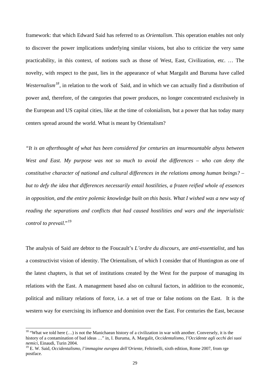framework: that which Edward Said has referred to as *Orientalism*. This operation enables not only to discover the power implications underlying similar visions, but also to criticize the very same practicability, in this context, of notions such as those of West, East, Civilization, etc. … The novelty, with respect to the past, lies in the appearance of what Margalit and Buruma have called *Westernalism[18](#page-32-0)*, in relation to the work of Said, and in which we can actually find a distribution of power and, therefore, of the categories that power produces, no longer concentrated exclusively in the European and US capital cities, like at the time of colonialism, but a power that has today many centers spread around the world. What is meant by Orientalism?

*"It is an afterthought of what has been considered for centuries an insurmountable abyss between West and East. My purpose was not so much to avoid the differences – who can deny the constitutive character of national and cultural differences in the relations among human beings? – but to defy the idea that differences necessarily entail hostilities, a frozen reified whole of essences in opposition, and the entire polemic knowledge built on this basis. What I wished was a new way of reading the separations and conflicts that had caused hostilities and wars and the imperialistic control to prevail.*"<sup>[19](#page-32-1)</sup>

The analysis of Said are debtor to the Foucault's *L'ordre du discours*, are *anti-essentialist*, and has a constructivist vision of identity. The Orientalism, of which I consider that of Huntington as one of the latest chapters, is that set of institutions created by the West for the purpose of managing its relations with the East. A management based also on cultural factors, in addition to the economic, political and military relations of force, i.e. a set of true or false notions on the East. It is the western way for exercising its influence and dominion over the East. For centuries the East, because

<span id="page-32-0"></span><sup>&</sup>lt;sup>18</sup> "What we told here  $(...)$  is not the Manichaean history of a civilization in war with another. Conversely, it is the history of a contamination of bad ideas …" in, I. Buruma, A. Margalit, *Occidentalismo, l'Occidente agli occhi dei suoi nemici*, Einaudi, Turin 2004.

<span id="page-32-1"></span><sup>19</sup> E. W. Said, *Occidentalismo, l'immagine europea dell'Oriente*, Feltrinelli, sixth edition, Rome 2007, from rge postface.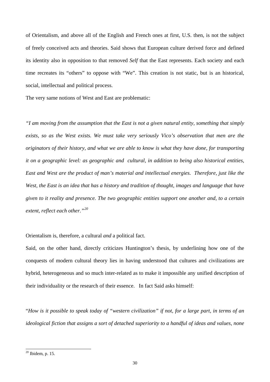of Orientalism, and above all of the English and French ones at first, U.S. then, is not the subject of freely conceived acts and theories. Said shows that European culture derived force and defined its identity also in opposition to that removed *Self* that the East represents. Each society and each time recreates its "others" to oppose with "We". This creation is not static, but is an historical, social, intellectual and political process.

The very same notions of West and East are problematic:

*"I am moving from the assumption that the East is not a given natural entity, something that simply exists, so as the West exists. We must take very seriously Vico's observation that men are the originators of their history, and what we are able to know is what they have done, for transporting it on a geographic level: as geographic and cultural, in addition to being also historical entities, East and West are the product of man's material and intellectual energies. Therefore, just like the West, the East is an idea that has a history and tradition of thought, images and language that have given to it reality and presence. The two geographic entities support one another and, to a certain extent, reflect each other."[20](#page-33-0)* 

Orientalism is, therefore, a cultural *and* a political fact.

Said, on the other hand, directly criticizes Huntington's thesis, by underlining how one of the conquests of modern cultural theory lies in having understood that cultures and civilizations are hybrid, heterogeneous and so much inter-related as to make it impossible any unified description of their individuality or the research of their essence. In fact Said asks himself:

"*How is it possible to speak today of "western civilization" if not, for a large part, in terms of an ideological fiction that assigns a sort of detached superiority to a handful of ideas and values, none* 

<span id="page-33-0"></span> $20$  Ibidem, p. 15.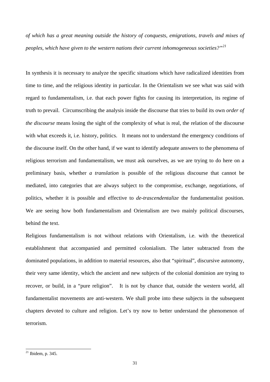*of which has a great meaning outside the history of conquests, emigrations, travels and mixes of peoples, which have given to the western nations their current inhomogeneous societies?"[21](#page-34-0)*

In synthesis it is necessary to analyze the specific situations which have radicalized identities from time to time, and the religious identity in particular. In the Orientalism we see what was said with regard to fundamentalism, i.e. that each power fights for causing its interpretation, its regime of truth to prevail. Circumscribing the analysis inside the discourse that tries to build its own *order of the discourse* means losing the sight of the complexity of what is real, the relation of the discourse with what exceeds it, i.e. history, politics. It means not to understand the emergency conditions of the discourse itself. On the other hand, if we want to identify adequate answers to the phenomena of religious terrorism and fundamentalism, we must ask ourselves, as we are trying to do here on a preliminary basis, whether *a translation* is possible of the religious discourse that cannot be mediated, into categories that are always subject to the compromise, exchange, negotiations, of politics, whether it is possible and effective to *de-trascendentalize* the fundamentalist position. We are seeing how both fundamentalism and Orientalism are two mainly political discourses, behind the text.

Religious fundamentalism is not without relations with Orientalism, i.e. with the theoretical establishment that accompanied and permitted colonialism. The latter subtracted from the dominated populations, in addition to material resources, also that "spiritual", discursive autonomy, their very same identity, which the ancient and new subjects of the colonial dominion are trying to recover, or build, in a "pure religion". It is not by chance that, outside the western world, all fundamentalist movements are anti-western. We shall probe into these subjects in the subsequent chapters devoted to culture and religion. Let's try now to better understand the phenomenon of terrorism.

<span id="page-34-0"></span> $^{21}$  Ibidem, p. 345.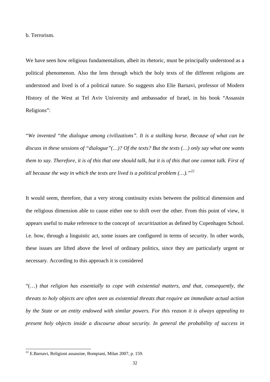b. Terrorism.

We have seen how religious fundamentalism, albeit its rhetoric, must be principally understood as a political phenomenon. Also the lens through which the holy texts of the different religions are understood and lived is of a political nature. So suggests also Elie Barnavi, professor of Modern History of the West at Tel Aviv University and ambassador of Israel, in his book "Assassin Religions":

"*We invented "the dialogue among civilizations". It is a stalking horse. Because of what can be discuss in these sessions of "dialogue"(…)? Of the texts? But the texts (…) only say what one wants them to say. Therefore, it is of this that one should talk, but it is of this that one cannot talk. First of all because the way in which the texts are lived is a political problem (…)."[22](#page-35-0)*

It would seem, therefore, that a very strong continuity exists between the political dimension and the religious dimension able to cause either one to shift over the other. From this point of view, it appears useful to make reference to the concept of *securitization* as defined by Copenhagen School. i.e. how, through a linguistic act, some issues are configured in terms of security. In other words, these issues are lifted above the level of ordinary politics, since they are particularly urgent or necessary. According to this approach it is considered

"(…) *that religion has essentially to cope with existential matters, and that, consequently, the threats to holy objects are often seen as existential threats that require an immediate actual action by the State or an entity endowed with similar powers. For this reason it is always appealing to present holy objects inside a discourse about security. In general the probability of success in* 

<span id="page-35-0"></span> $22$  E.Barnavi, Religioni assassine, Bompiani, Milan 2007, p. 159.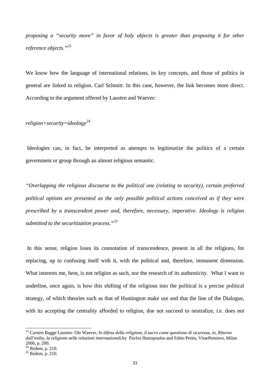*proposing a "security move" in favor of holy objects is greater than proposing it for other reference objects."[23](#page-36-0)*

We know how the language of international relations, its key concepts, and those of politics in general are linked to religion. Carl Schmitt. In this case, however, the link becomes more direct. According to the argument offered by Lausten and Waever:

*religion+security=ideology[24](#page-36-1)*

 Ideologies can, in fact, be interpreted as attempts to legitimatize the politics of a certain government or group through an almost religious semantic.

*"Overlapping the religious discourse to the political one (relating to security), certain preferred political options are presented as the only possible political actions conceived as if they were prescribed by a transcendent power and, therefore, necessary, imperative. Ideology is religion submitted to the securitization process."[25](#page-36-2)*

 In this sense, religion loses its connotation of transcendence, present in all the religions, for replacing, up to confusing itself with it, with the political and, therefore, immanent dimension. What interests me, here, is not religion as such, nor the research of its authenticity. What I want to underline, once again, is how this shifting of the religious into the political is a precise political strategy, of which theories such as that of Huntington make use and that the line of the Dialogue, with its accepting the centrality afforded to religion, doe not succeed to neutralize, i.e. does not

<span id="page-36-0"></span><sup>23</sup> Carsten Bagge Lausten- Ole Waever, *In difesa della religione, il sacro come questione di sicurezza*, in, *Ritorno dall'esilio, la religione nelle relazioni internazionali,*by Pavlos Hatzopoulos and Fabio Petito, VitaePensiero, Milan 2006, p. 200.

<span id="page-36-1"></span> $24$  Ibidem, p. 210.

<span id="page-36-2"></span> $25$  Ibidem, p. 210.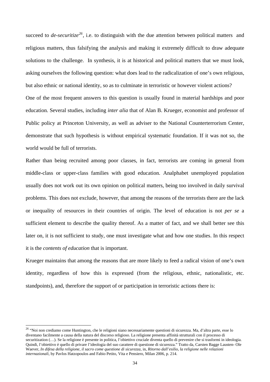succeed to *de-securitize[26](#page-37-0),* i.e. to distinguish with the due attention between political matters and religious matters, thus falsifying the analysis and making it extremely difficult to draw adequate solutions to the challenge. In synthesis, it is at historical and political matters that we must look, asking ourselves the following question: what does lead to the radicalization of one's own religious, but also ethnic or national identity, so as to culminate in terroristic or however violent actions? One of the most frequent answers to this question is usually found in material hardships and poor education. Several studies, including *inter alia* that of Alan B. Krueger, economist and professor of Public policy at Princeton University, as well as adviser to the National Counterterrorism Center, demonstrate that such hypothesis is without empirical systematic foundation. If it was not so, the world would be full of terrorists.

Rather than being recruited among poor classes, in fact, terrorists are coming in general from middle-class or upper-class families with good education. Analphabet unemployed population usually does not work out its own opinion on political matters, being too involved in daily survival problems. This does not exclude, however, that among the reasons of the terrorists there are the lack or inequality of resources in their countries of origin. The level of education is not *per se* a sufficient element to describe the quality thereof. As a matter of fact, and we shall better see this later on, it is not sufficient to study, one must investigate what and how one studies. In this respect it is the *contents of education* that is important.

Krueger maintains that among the reasons that are more likely to feed a radical vision of one's own identity, regardless of how this is expressed (from the religious, ethnic, nationalistic, etc. standpoints), and, therefore the support of or participation in terroristic actions there is:

<span id="page-37-0"></span><sup>&</sup>lt;sup>26</sup> "Noi non crediamo come Huntington, che le religioni siano necessariamente questioni di sicurezza. Ma, d'altra parte, esse lo diventano facilmente a causa della natura del discorso religioso. La religione presenta affinità strutturali con il processo di securitization (...). Se la religione è presente in politica, l'obiettivo cruciale diventa quello di prevenire che si trasformi in ideologia. Quindi, l'obiettivo è quello di privare l'ideologia del suo carattere di questione di sicurezza." Tratto da, Carsten Bagge Lausten- Ole Waever, *In difesa della religione, il sacro come questione di sicurezza*, in, *Ritorno dall'esilio, la religione nelle relazioni internazionali,* by Pavlos Hatzopoulos and Fabio Petito, Vita e Pensiero, Milan 2006, p. 214.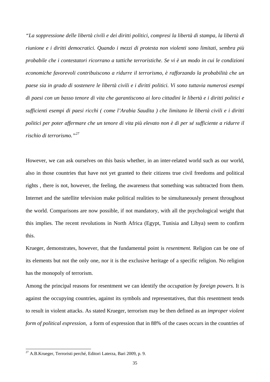*"La soppressione delle libertà civili e dei diritti politici, compresi la libertà di stampa, la libertà di riunione e i diritti democratici. Quando i mezzi di protesta non violenti sono limitati, sembra più probabile che i contestatori ricorrano a tattiche terroristiche. Se vi è un modo in cui le condizioni economiche favorevoli contribuiscono a ridurre il terrorismo, è rafforzando la probabilità che un paese sia in grado di sostenere le libertà civili e i diritti politici. Vi sono tuttavia numerosi esempi di paesi con un basso tenore di vita che garantiscono ai loro cittadini le libertà e i diritti politici e sufficienti esempi di paesi ricchi ( come l'Arabia Saudita ) che limitano le libertà civili e i diritti politici per poter affermare che un tenore di vita più elevato non è di per sé sufficiente a ridurre il rischio di terrorismo."[27](#page-38-0)* 

However, we can ask ourselves on this basis whether, in an inter-related world such as our world, also in those countries that have not yet granted to their citizens true civil freedoms and political rights , there is not, however, the feeling, the awareness that something was subtracted from them. Internet and the satellite television make political realities to be simultaneously present throughout the world. Comparisons are now possible, if not mandatory, with all the psychological weight that this implies. The recent revolutions in North Africa (Egypt, Tunisia and Libya) seem to confirm this.

Krueger, demonstrates, however, that the fundamental point is *resentment.* Religion can be one of its elements but not the only one, nor it is the exclusive heritage of a specific religion. No religion has the monopoly of terrorism.

Among the principal reasons for resentment we can identify the *occupation by foreign powers.* It is against the occupying countries, against its symbols and representatives, that this resentment tends to result in violent attacks. As stated Krueger, terrorism may be then defined as an *improper violent form of political expression*, a form of expression that in 88% of the cases occurs in the countries of

<span id="page-38-0"></span><sup>&</sup>lt;sup>27</sup> A.B.Krueger, Terroristi perché, Editori Laterza, Bari 2009, p. 9.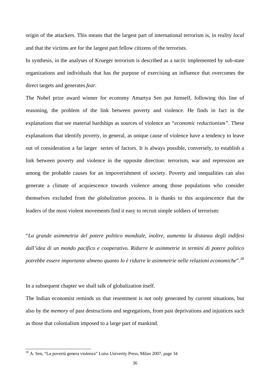origin of the attackers. This means that the largest part of international terrorism is, in reality *local*  and that the victims are for the largest part fellow citizens of the terrorists.

In synthesis, in the analyses of Krueger terrorism is described as a *tactic* implemented by sub-state organizations and individuals that has the purpose of exercising an influence that overcomes the direct targets and generates *fear.*

The Nobel prize award winner for economy Amartya Sen put himself, following this line of reasoning, the problem of the link between poverty and violence. He finds in fact in the explanations that see material hardships as sources of violence an *"economic reductionism".* These explanations that identify poverty, in general, as unique cause of violence have a tendency to leave out of consideration a far larger series of factors. It is always possible, conversely, to establish a link between poverty and violence in the opposite direction: terrorism, war and repression are among the probable causes for an impoverishment of society. Poverty and inequalities can also generate a climate of acquiescence towards violence among those populations who consider themselves excluded from the *globalization* process. It is thanks to this acquiescence that the leaders of the most violent movements find it easy to recruit simple soldiers of terrorism:

"*La grande asimmetria del potere politico mondiale, inoltre, aumenta la distanza degli indifesi dall'idea di un mondo pacifico e cooperativo. Ridurre le asimmetrie in termini di potere politico potrebbe essere importante almeno quanto lo è ridurre le asimmetrie nelle relazioni economiche*".[28](#page-39-0)

In a subsequent chapter we shall talk of globalization itself.

The Indian economist reminds us that resentment is not only generated by current situations, but also by the *memory* of past destructions and segregations, from past deprivations and injustices such as those that colonialism imposed to a large part of mankind.

<span id="page-39-0"></span><sup>&</sup>lt;sup>28</sup> A. Sen, "La povertà genera violenza" Luiss Univerity Press, Milan 2007, page 34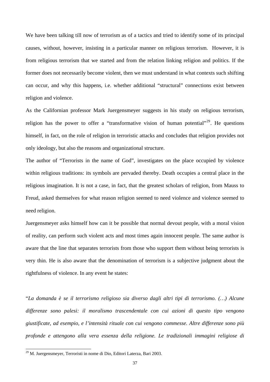We have been talking till now of terrorism as of a tactics and tried to identify some of its principal causes, without, however, insisting in a particular manner on religious terrorism. However, it is from religious terrorism that we started and from the relation linking religion and politics. If the former does not necessarily become violent, then we must understand in what contexts such shifting can occur, and why this happens, i.e. whether additional "structural" connections exist between religion and violence.

As the Californian professor Mark Juergensmeyer suggests in his study on religious terrorism, religion has the power to offer a "transformative vision of human potential"<sup>[29](#page-40-0)</sup>. He questions himself, in fact, on the role of religion in terroristic attacks and concludes that religion provides not only ideology, but also the reasons and organizational structure.

The author of "Terrorists in the name of God", investigates on the place occupied by violence within religious traditions: its symbols are pervaded thereby. Death occupies a central place in the religious imagination. It is not a case, in fact, that the greatest scholars of religion, from Mauss to Freud, asked themselves for what reason religion seemed to need violence and violence seemed to need religion.

Juergensmeyer asks himself how can it be possible that normal devout people, with a moral vision of reality, can perform such violent acts and most times again innocent people. The same author is aware that the line that separates terrorists from those who support them without being terrorists is very thin. He is also aware that the denomination of terrorism is a subjective judgment about the rightfulness of violence. In any event he states:

"*La domanda è se il terrorismo religioso sia diverso dagli altri tipi di terrorismo. (…) Alcune differenze sono palesi: il moralismo trascendentale con cui azioni di questo tipo vengono giustificate, ad esempio, e l'intensità rituale con cui vengono commesse. Altre differenze sono più profonde e attengono alla vera essenza della religione. Le tradizionali immagini religiose di* 

<span id="page-40-0"></span><sup>&</sup>lt;sup>29</sup> M. Juergensmeyer, Terroristi in nome di Dio, Editori Laterza, Bari 2003.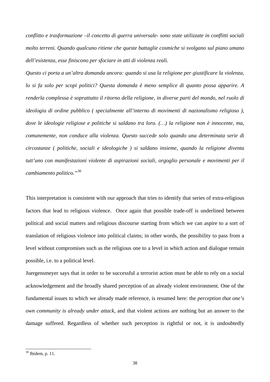*conflitto e trasformazione –il concetto di guerra universale- sono state utilizzate in conflitti sociali molto terreni. Quando qualcuno ritiene che queste battaglie cosmiche si svolgano sul piano umano dell'esistenza, esse finiscono per sfociare in atti di violenza reali.* 

*Questo ci porta a un'altra domanda ancora: quando si usa la religione per giustificare la violenza, lo si fa solo per scopi politici? Questa domanda è meno semplice di quanto possa apparire. A renderla complessa è soprattutto il ritorno della religione, in diverse parti del mondo, nel ruolo di ideologia di ordine pubblico ( specialmente all'interno di movimenti di nazionalismo religioso ), dove le ideologie religiose e politiche si saldano tra loro. (…) la religione non è innocente, ma, comunemente, non conduce alla violenza. Questo succede solo quando una determinata serie di circostanze ( politiche, sociali e ideologiche ) si saldano insieme, quando la religione diventa tutt'uno con manifestazioni violente di aspirazioni sociali, orgoglio personale e movimenti per il cambiamento politico."*[30](#page-41-0)

This interpretation is consistent with our approach that tries to identify that series of extra-religious factors that lead to religious violence. Once again that possible trade-off is underlined between political and social matters and religious discourse starting from which we can aspire to a sort of translation of religious violence into political claims; in other words, the possibility to pass from a level without compromises such as the religious one to a level in which action and dialogue remain possible, i.e. to a political level.

Juergensmeyer says that in order to be successful a terrorist action must be able to rely on a social acknowledgement and the broadly shared perception of an already violent environment. One of the fundamental issues to which we already made reference, is resumed here: the *perception that one's own community is already under attack,* and that violent actions are nothing but an answer to the damage suffered. Regardless of whether such perception is rightful or not, it is undoubtedly

<span id="page-41-0"></span> $30$  Ibidem, p. 11.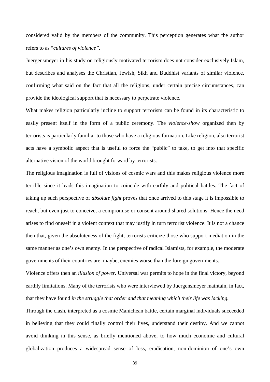considered valid by the members of the community. This perception generates what the author refers to as "*cultures of violence".* 

Juergensmeyer in his study on religiously motivated terrorism does not consider exclusively Islam, but describes and analyses the Christian, Jewish, Sikh and Buddhist variants of similar violence, confirming what said on the fact that all the religions, under certain precise circumstances, can provide the ideological support that is necessary to perpetrate violence.

What makes religion particularly incline to support terrorism can be found in its characteristic to easily present itself in the form of a public ceremony. The *violence-show* organized then by terrorists is particularly familiar to those who have a religious formation. Like religion, also terrorist acts have a symbolic aspect that is useful to force the "public" to take, to get into that specific alternative vision of the world brought forward by terrorists.

The religious imagination is full of visions of cosmic wars and this makes religious violence more terrible since it leads this imagination to coincide with earthly and political battles. The fact of taking up such perspective of *absolute fight* proves that once arrived to this stage it is impossible to reach, but even just to conceive, a compromise or consent around shared solutions. Hence the need arises to find oneself in a violent context that may justify in turn terrorist violence. It is not a chance then that, given the absoluteness of the fight, terrorists criticize those who support mediation in the same manner as one's own enemy. In the perspective of radical Islamists, for example, the moderate governments of their countries are, maybe, enemies worse than the foreign governments.

Violence offers then an *illusion of power.* Universal war permits to hope in the final victory, beyond earthly limitations. Many of the terrorists who were interviewed by Juergensmeyer maintain, in fact, that they have found *in the struggle that order and that meaning which their life was lacking.* 

Through the clash, interpreted as a cosmic Manichean battle, certain marginal individuals succeeded in believing that they could finally control their lives, understand their destiny. And we cannot avoid thinking in this sense, as briefly mentioned above, to how much economic and cultural globalization produces a widespread sense of loss, eradication, non-dominion of one's own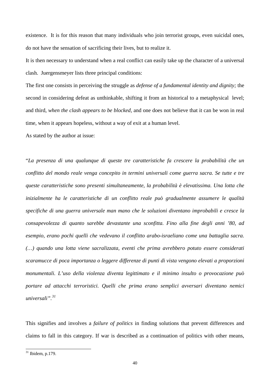existence. It is for this reason that many individuals who join terrorist groups, even suicidal ones, do not have the sensation of sacrificing their lives, but to realize it.

It is then necessary to understand when a real conflict can easily take up the character of a universal clash. Juergensmeyer lists three principal conditions:

The first one consists in perceiving the struggle as *defense of a fundamental identity and dignity;* the second in considering defeat as unthinkable, shifting it from an historical to a metaphysical level; and third, *when the clash appears to be blocked,* and one does not believe that it can be won in real time, when it appears hopeless, without a way of exit at a human level.

As stated by the author at issue:

"*La presenza di una qualunque di queste tre caratteristiche fa crescere la probabilità che un conflitto del mondo reale venga concepito in termini universali come guerra sacra. Se tutte e tre queste caratteristiche sono presenti simultaneamente, la probabilità è elevatissima. Una lotta che inizialmente ha le caratteristiche di un conflitto reale può gradualmente assumere le qualità specifiche di una guerra universale man mano che le soluzioni diventano improbabili e cresce la consapevolezza di quanto sarebbe devastante una sconfitta. Fino alla fine degli anni '80, ad esempio, erano pochi quelli che vedevano il conflitto arabo-israeliano come una battaglia sacra. (…) quando una lotta viene sacralizzata, eventi che prima avrebbero potuto essere considerati scaramucce di poca importanza o leggere differenze di punti di vista vengono elevati a proporzioni monumentali. L'uso della violenza diventa legittimato e il minimo insulto o provocazione può portare ad attacchi terroristici. Quelli che prima erano semplici avversari diventano nemici universali".[31](#page-43-0)*

This signifies and involves a *failure of politics* in finding solutions that prevent differences and claims to fall in this category. If war is described as a continuation of politics with other means,

<span id="page-43-0"></span> $31$  Ibidem, p.179.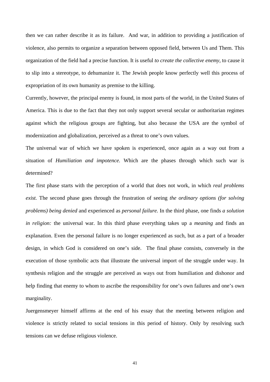then we can rather describe it as its failure. And war, in addition to providing a justification of violence, also permits to organize a separation between opposed field, between Us and Them. This organization of the field had a precise function. It is useful *to create the collective enemy,* to cause it to slip into a stereotype, to dehumanize it. The Jewish people know perfectly well this process of expropriation of its own humanity as premise to the killing.

Currently, however, the principal enemy is found, in most parts of the world, in the United States of America. This is due to the fact that they not only support several secular or authoritarian regimes against which the religious groups are fighting, but also because the USA are the symbol of modernization and globalization, perceived as a threat to one's own values.

The universal war of which we have spoken is experienced, once again as a way out from a situation of *Humiliation and impotence.* Which are the phases through which such war is determined?

The first phase starts with the perception of a world that does not work, in which *real problems exist.* The second phase goes through the frustration of seeing *the ordinary options (for solving problems) being denied* and experienced as *personal failure.* In the third phase, one finds *a solution in religion:* the universal war. In this third phase everything takes up a *meaning* and finds an explanation. Even the personal failure is no longer experienced as such, but as a part of a broader design, in which God is considered on one's side. The final phase consists, conversely in the execution of those symbolic acts that illustrate the universal import of the struggle under way. In synthesis religion and the struggle are perceived as ways out from humiliation and dishonor and help finding that enemy to whom to ascribe the responsibility for one's own failures and one's own marginality.

Juergensmeyer himself affirms at the end of his essay that the meeting between religion and violence is strictly related to social tensions in this period of history. Only by resolving such tensions can we defuse religious violence.

41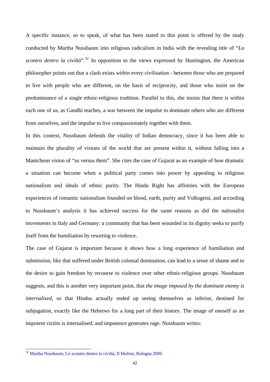A specific instance, so to speak, of what has been stated to this point is offered by the study conducted by Martha Nussbaum into religious radicalism in India with the revealing title of "*Lo scontro dentro la civiltà*".<sup>[32](#page-45-0)</sup> In opposition to the views expressed by Huntington, the American philosopher points out that a clash exists *within* every civilisation - between those who are prepared to live with people who are different, on the basis of reciprocity, and those who insist on the predominance of a single ethnic-religious tradition. Parallel to this, she insists that there is within each one of us, as Gandhi teaches, a war between the impulse to dominate others who are different from ourselves, and the impulse to live compassionately together with them.

In this context, Nussbaum defends the vitality of Indian democracy, since it has been able to maintain the plurality of visions of the world that are present within it, without falling into a Manichean vision of "us versus them". She cites the case of Gujarat as an example of how dramatic a situation can become when a political party comes into power by appealing to religious nationalism and ideals of ethnic purity. The Hindu Right has affinities with the European experiences of romantic nationalism founded on blood, earth, purity and Volksgeist, and according to Nussbaum's analysis it has achieved success for the same reasons as did the nationalist movements in Italy and Germany: a community that has been wounded in its dignity seeks to purify itself from the humiliation by resorting to violence.

The case of Gujarat is important because it shows how a long experience of humiliation and submission, like that suffered under British colonial domination, can lead to a sense of shame and to the desire to gain freedom by recourse to violence over other ethnic-religious groups. Nussbaum suggests, and this is another very important point, that *the image imposed by the dominant enemy is internalised*, so that Hindus actually ended up seeing themselves as inferior, destined for subjugation, exactly like the Hebrews for a long part of their history. The image of oneself as an impotent victim is internalised; and impotence generates rage. Nussbaum writes:

<span id="page-45-0"></span><sup>&</sup>lt;sup>32</sup> Martha Nussbaum, Lo scontro dentro la civiltà, Il Mulino, Bologna 2009.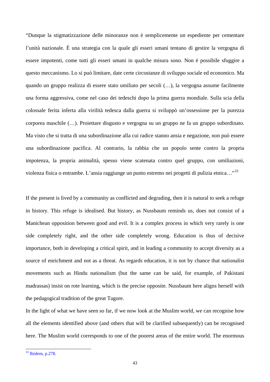"Dunque la stigmatizzazione delle minoranze non è semplicemente un espediente per cementare l'unità nazionale. È una strategia con la quale gli esseri umani tentano di gestire la vergogna di essere impotenti, come tutti gli esseri umani in qualche misura sono. Non è possibile sfuggire a questo meccanismo. Lo si può limitare, date certe circostanze di sviluppo sociale ed economico. Ma quando un gruppo realizza di essere stato umiliato per secoli (…), la vergogna assume facilmente una forma aggressiva, come nel caso dei tedeschi dopo la prima guerra mondiale. Sulla scia della colossale ferita inferta alla virilità tedesca dalla guerra si sviluppò un'ossessione per la purezza corporea maschile (…). Proiettare disgusto e vergogna su un gruppo ne fa un gruppo subordinato. Ma visto che si tratta di una subordinazione alla cui radice stanno ansia e negazione, non può essere una subordinazione pacifica. Al contrario, la rabbia che un popolo sente contro la propria impotenza, la propria animalità, spesso viene scatenata contro quel gruppo, con umiliazioni, violenza fisica o entrambe. L'ansia raggiunge un punto estremo nei progetti di pulizia etnica…"[33](#page-46-0)

If the present is lived by a community as conflicted and degrading, then it is natural to seek a refuge in history. This refuge is idealised. But history, as Nussbaum reminds us, does not consist of a Manichean opposition between good and evil. It is a complex process in which very rarely is one side completely right, and the other side completely wrong. Education is thus of decisive importance, both in developing a critical spirit, and in leading a community to accept diversity as a source of enrichment and not as a threat. As regards education, it is not by chance that nationalist movements such as Hindu nationalism (but the same can be said, for example, of Pakistani madrassas) insist on rote learning, which is the precise opposite. Nussbaum here aligns herself with the pedagogical tradition of the great Tagore.

In the light of what we have seen so far, if we now look at the Muslim world, we can recognise how all the elements identified above (and others that will be clarified subsequently) can be recognised here. The Muslim world corresponds to one of the poorest areas of the entire world. The enormous

<span id="page-46-0"></span> $33$  Ibidem, p.278.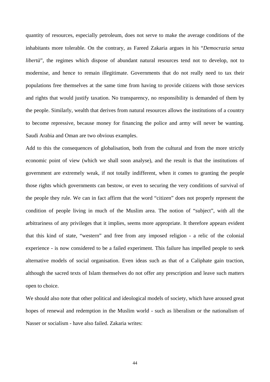quantity of resources, especially petroleum, does not serve to make the average conditions of the inhabitants more tolerable. On the contrary, as Fareed Zakaria argues in his "*Democrazia senza libertà*", the regimes which dispose of abundant natural resources tend not to develop, not to modernise, and hence to remain illegitimate. Governments that do not really need to tax their populations free themselves at the same time from having to provide citizens with those services and rights that would justify taxation. No transparency, no responsibility is demanded of them by the people. Similarly, wealth that derives from natural resources allows the institutions of a country to become repressive, because money for financing the police and army will never be wanting. Saudi Arabia and Oman are two obvious examples.

Add to this the consequences of globalisation, both from the cultural and from the more strictly economic point of view (which we shall soon analyse), and the result is that the institutions of government are extremely weak, if not totally indifferent, when it comes to granting the people those rights which governments can bestow, or even to securing the very conditions of survival of the people they rule. We can in fact affirm that the word "citizen" does not properly represent the condition of people living in much of the Muslim area. The notion of "subject", with all the arbitrariness of any privileges that it implies, seems more appropriate. It therefore appears evident that this kind of state, "western" and free from any imposed religion - a relic of the colonial experience - is now considered to be a failed experiment. This failure has impelled people to seek alternative models of social organisation. Even ideas such as that of a Caliphate gain traction, although the sacred texts of Islam themselves do not offer any prescription and leave such matters open to choice.

We should also note that other political and ideological models of society, which have aroused great hopes of renewal and redemption in the Muslim world - such as liberalism or the nationalism of Nasser or socialism - have also failed. Zakaria writes: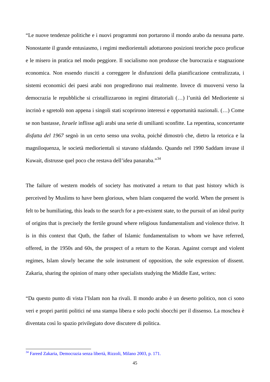"Le nuove tendenze politiche e i nuovi programmi non portarono il mondo arabo da nessuna parte. Nonostante il grande entusiasmo, i regimi mediorientali adottarono posizioni teoriche poco proficue e le misero in pratica nel modo peggiore. Il socialismo non produsse che burocrazia e stagnazione economica. Non essendo riusciti a correggere le disfunzioni della pianificazione centralizzata, i sistemi economici dei paesi arabi non progredirono mai realmente. Invece di muoversi verso la democrazia le repubbliche si cristallizzarono in regimi dittatoriali (…) l'unità del Medioriente si incrinò e sgretolò non appena i singoli stati scoprirono interessi e opportunità nazionali. (…) Come se non bastasse, *Israele* inflisse agli arabi una serie di umilianti sconfitte. La repentina, sconcertante *disfatta del 1967* segnò in un certo senso una svolta, poiché dimostrò che, dietro la retorica e la magniloquenza, le società mediorientali si stavano sfaldando. Quando nel 1990 Saddam invase il Kuwait, distrusse quel poco che restava dell'idea panaraba."[34](#page-48-0)

The failure of western models of society has motivated a return to that past history which is perceived by Muslims to have been glorious, when Islam conquered the world. When the present is felt to be humiliating, this leads to the search for a pre-existent state, to the pursuit of an ideal purity of origins that is precisely the fertile ground where religious fundamentalism and violence thrive. It is in this context that Qutb, the father of Islamic fundamentalism to whom we have referred, offered, in the 1950s and 60s, the prospect of a return to the Koran. Against corrupt and violent regimes, Islam slowly became the sole instrument of opposition, the sole expression of dissent. Zakaria, sharing the opinion of many other specialists studying the Middle East, writes:

"Da questo punto di vista l'Islam non ha rivali. Il mondo arabo è un deserto politico, non ci sono veri e propri partiti politici né una stampa libera e solo pochi sbocchi per il dissenso. La moschea è diventata così lo spazio privilegiato dove discutere di politica.

<span id="page-48-0"></span><sup>&</sup>lt;sup>34</sup> Fareed Zakaria, Democrazia senza libertà, Rizzoli, Milano 2003, p. 171.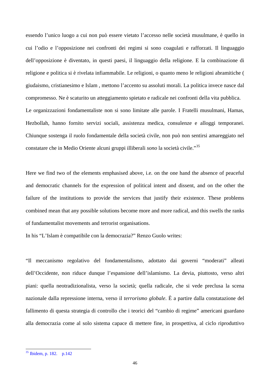essendo l'unico luogo a cui non può essere vietato l'accesso nelle società musulmane, è quello in cui l'odio e l'opposizione nei confronti dei regimi si sono coagulati e rafforzati. Il linguaggio dell'opposizione è diventato, in questi paesi, il linguaggio della religione. E la combinazione di religione e politica si è rivelata infiammabile. Le religioni, o quanto meno le religioni abramitiche ( giudaismo, cristianesimo e Islam , mettono l'accento su assoluti morali. La politica invece nasce dal compromesso. Ne è scaturito un atteggiamento spietato e radicale nei confronti della vita pubblica. Le organizzazioni fondamentaliste non si sono limitate alle parole. I Fratelli musulmani, Hamas, Hezbollah, hanno fornito servizi sociali, assistenza medica, consulenze e alloggi temporanei. Chiunque sostenga il ruolo fondamentale della società civile, non può non sentirsi amareggiato nel constatare che in Medio Oriente alcuni gruppi illiberali *sono* la società civile."[35](#page-49-0)

Here we find two of the elements emphasised above, i.e. on the one hand the absence of peaceful and democratic channels for the expression of political intent and dissent, and on the other the failure of the institutions to provide the services that justify their existence. These problems combined mean that any possible solutions become more and more radical, and this swells the ranks of fundamentalist movements and terrorist organisations.

In his "L'Islam è compatibile con la democrazia?" Renzo Guolo writes:

"Il meccanismo regolativo del fondamentalismo, adottato dai governi "moderati" alleati dell'Occidente, non riduce dunque l'espansione dell'islamismo. La devia, piuttosto, verso altri piani: quella neotradizionalista, verso la società; quella radicale, che si vede preclusa la scena nazionale dalla repressione interna, verso il *terrorismo globale*. È a partire dalla constatazione del fallimento di questa strategia di controllo che i teorici del "cambio di regime" americani guardano alla democrazia come al solo sistema capace di mettere fine, in prospettiva, al ciclo riproduttivo

<span id="page-49-0"></span> $35$  Ibidem, p. 182. p. 142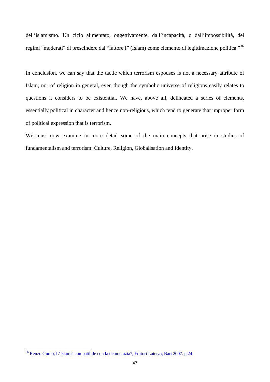dell'islamismo. Un ciclo alimentato, oggettivamente, dall'incapacità, o dall'impossibilità, dei regimi "moderati" di prescindere dal "fattore I" (Islam) come elemento di legittimazione politica."[36](#page-50-0)

In conclusion, we can say that the tactic which terrorism espouses is not a necessary attribute of Islam, nor of religion in general, even though the symbolic universe of religions easily relates to questions it considers to be existential. We have, above all, delineated a series of elements, essentially political in character and hence non-religious, which tend to generate that improper form of political expression that is terrorism.

We must now examine in more detail some of the main concepts that arise in studies of fundamentalism and terrorism: Culture, Religion, Globalisation and Identity.

<span id="page-50-0"></span><sup>36</sup> Renzo Guolo, L'Islam è compatibile con la democrazia?, Editori Laterza, Bari 2007. p.24.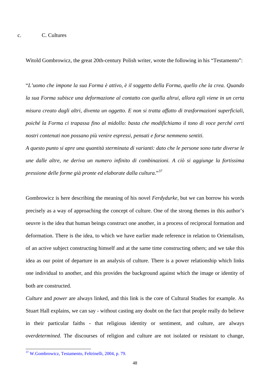Witold Gombrowicz, the great 20th-century Polish writer, wrote the following in his "Testamento":

"*L'uomo che impone la sua Forma è attivo, è il soggetto della Forma, quello che la crea. Quando la sua Forma subisce una deformazione al contatto con quella altrui, allora egli viene in un certa misura creato dagli altri, diventa un oggetto. E non si tratta affatto di trasformazioni superficiali, poiché la Forma ci trapassa fino al midollo: basta che modifichiamo il tono di voce perché certi nostri contenuti non possano più venire espressi, pensati e forse nemmeno sentiti.* 

*A questo punto si apre una quantità sterminata di varianti: dato che le persone sono tutte diverse le une dalle altre, ne deriva un numero infinito di combinazioni. A ciò si aggiunge la fortissima pressione delle forme già pronte ed elaborate dalla cultura*."[37](#page-51-0)

Gombrowicz is here describing the meaning of his novel *Ferdydurke*, but we can borrow his words precisely as a way of approaching the concept of culture. One of the strong themes in this author's oeuvre is the idea that human beings construct one another, in a process of reciprocal formation and deformation. There is the idea, to which we have earlier made reference in relation to Orientalism, of an active subject constructing himself and at the same time constructing others; and we take this idea as our point of departure in an analysis of culture. There is a power relationship which links one individual to another, and this provides the background against which the image or identity of both are constructed.

*Culture* and *power* are always linked, and this link is the core of Cultural Studies for example. As Stuart Hall explains, we can say - without casting any doubt on the fact that people really do believe in their particular faiths - that religious identity or sentiment, and culture, are always *overdetermined*. The discourses of religion and culture are not isolated or resistant to change,

<span id="page-51-0"></span><sup>&</sup>lt;sup>37</sup> W.Gombrowicz, Testamento, Feltrinelli, 2004, p. 79.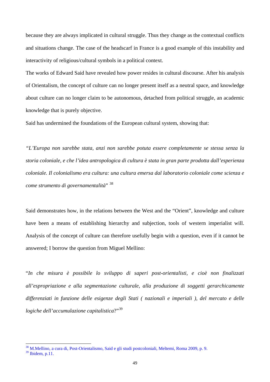because they are always implicated in cultural struggle. Thus they change as the contextual conflicts and situations change. The case of the headscarf in France is a good example of this instability and interactivity of religious/cultural symbols in a political context.

The works of Edward Said have revealed how power resides in cultural discourse. After his analysis of Orientalism, the concept of culture can no longer present itself as a neutral space, and knowledge about culture can no longer claim to be autonomous, detached from political struggle, an academic knowledge that is purely objective.

Said has undermined the foundations of the European cultural system, showing that:

*"L'Europa non sarebbe stata, anzi non sarebbe potuta essere completamente se stessa senza la storia coloniale, e che l'idea antropologica di cultura è stata in gran parte prodotta dall'esperienza coloniale. Il colonialismo era cultura: una cultura emersa dal laboratorio coloniale come scienza e come strumento di governamentalità*" [38](#page-52-0)

Said demonstrates how, in the relations between the West and the "Orient", knowledge and culture have been a means of establishing hierarchy and subjection, tools of western imperialist will. Analysis of the concept of culture can therefore usefully begin with a question, even if it cannot be answered; I borrow the question from Miguel Mellino:

"*In che misura è possibile lo sviluppo di saperi post-orientalisti, e cioè non finalizzati all'espropriazione e alla segmentazione culturale, alla produzione di soggetti gerarchicamente differenziati in funzione delle esigenze degli Stati ( nazionali e imperiali ), del mercato e delle logiche dell'accumulazione capitalistica*?"[39](#page-52-1)

 $\overline{\phantom{a}}$ 

<sup>&</sup>lt;sup>38</sup> M.Mellino, a cura di, Post-Orientalismo, Said e gli studi postcoloniali, Meltemi, Roma 2009, p. 9.

<span id="page-52-1"></span><span id="page-52-0"></span><sup>39</sup> Ibidem, p.11.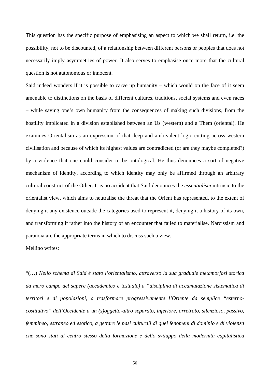This question has the specific purpose of emphasising an aspect to which we shall return, i.e. the possibility, not to be discounted, of a relationship between different persons or peoples that does not necessarily imply asymmetries of power. It also serves to emphasise once more that the cultural question is not autonomous or innocent.

Said indeed wonders if it is possible to carve up humanity – which would on the face of it seem amenable to distinctions on the basis of different cultures, traditions, social systems and even races – while saving one's own humanity from the consequences of making such divisions, from the hostility implicated in a division established between an Us (western) and a Them (oriental). He examines Orientalism as an expression of that deep and ambivalent logic cutting across western civilisation and because of which its highest values are contradicted (or are they maybe completed?) by a violence that one could consider to be ontological. He thus denounces a sort of negative mechanism of identity, according to which identity may only be affirmed through an arbitrary cultural construct of the Other. It is no accident that Said denounces the *essentialism* intrinsic to the orientalist view, which aims to neutralise the threat that the Orient has represented, to the extent of denying it any existence outside the categories used to represent it, denying it a history of its own, and transforming it rather into the history of an encounter that failed to materialise. Narcissism and paranoia are the appropriate terms in which to discuss such a view.

Mellino writes:

"(…) *Nello schema di Said è stato l'orientalismo, attraverso la sua graduale metamorfosi storica da mero campo del sapere (accademico e testuale) a "disciplina di accumulazione sistematica di territori e di popolazioni, a trasformare progressivamente l'Oriente da semplice "esternocostitutivo" dell'Occidente a un (s)oggetto-altro separato, inferiore, arretrato, silenzioso, passivo, femmineo, estraneo ed esotico, a gettare le basi culturali di quei fenomeni di dominio e di violenza che sono stati al centro stesso della formazione e dello sviluppo della modernità capitalistica* 

50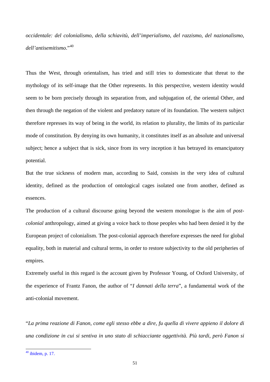*occidentale: del colonialismo, della schiavitù, dell'imperialismo, del razzismo, del nazionalismo, dell'antisemitismo*."[40](#page-54-0)

Thus the West, through orientalism, has tried and still tries to domesticate that threat to the mythology of its self-image that the Other represents. In this perspective, western identity would seem to be born precisely through its separation from, and subjugation of, the oriental Other, and then through the negation of the violent and predatory nature of its foundation. The western subject therefore represses its way of being in the world, its relation to plurality, the limits of its particular mode of constitution. By denying its own humanity, it constitutes itself as an absolute and universal subject; hence a subject that is sick, since from its very inception it has betrayed its emancipatory potential.

But the true sickness of modern man, according to Said, consists in the very idea of cultural identity, defined as the production of ontological cages isolated one from another, defined as essences.

The production of a cultural discourse going beyond the western monologue is the aim of *postcolonial* anthropology, aimed at giving a voice back to those peoples who had been denied it by the European project of colonialism. The post-colonial approach therefore expresses the need for global equality, both in material and cultural terms, in order to restore subjectivity to the old peripheries of empires.

Extremely useful in this regard is the account given by Professor Young, of Oxford University, of the experience of Frantz Fanon, the author of "*I dannati della terra*", a fundamental work of the anti-colonial movement.

"*La prima reazione di Fanon, come egli stesso ebbe a dire, fu quella di vivere appieno il dolore di una condizione in cui si sentiva in uno stato di schiacciante oggettività. Più tardi, però Fanon si* 

<span id="page-54-0"></span> $40$  ibidem, p. 17.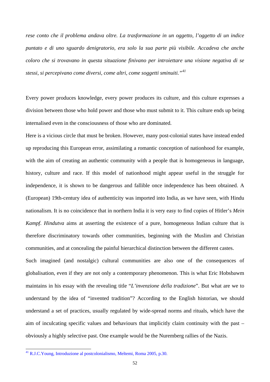*rese conto che il problema andava oltre. La trasformazione in un oggetto, l'oggetto di un indice puntato e di uno sguardo denigratorio, era solo la sua parte più visibile. Accadeva che anche coloro che si trovavano in questa situazione finivano per introiettare una visione negativa di se stessi, si percepivano come diversi, come altri, come soggetti sminuiti."[41](#page-55-0)*

Every power produces knowledge, every power produces its culture, and this culture expresses a division between those who hold power and those who must submit to it. This culture ends up being internalised even in the consciousness of those who are dominated.

Here is a vicious circle that must be broken. However, many post-colonial states have instead ended up reproducing this European error, assimilating a romantic conception of nationhood for example, with the aim of creating an authentic community with a people that is homogeneous in language, history, culture and race. If this model of nationhood might appear useful in the struggle for independence, it is shown to be dangerous and fallible once independence has been obtained. A (European) 19th-century idea of authenticity was imported into India, as we have seen, with Hindu nationalism. It is no coincidence that in northern India it is very easy to find copies of Hitler's *Mein Kampf*. *Hindutva* aims at asserting the existence of a pure, homogeneous Indian culture that is therefore discriminatory towards other communities, beginning with the Muslim and Christian communities, and at concealing the painful hierarchical distinction between the different castes.

Such imagined (and nostalgic) cultural communities are also one of the consequences of globalisation, even if they are not only a contemporary phenomenon. This is what Eric Hobsbawm maintains in his essay with the revealing title "*L'invenzione della tradizione*". But what are we to understand by the idea of "invented tradition"? According to the English historian, we should understand a set of practices, usually regulated by wide-spread norms and rituals, which have the aim of inculcating specific values and behaviours that implicitly claim continuity with the past – obviously a highly selective past. One example would be the Nuremberg rallies of the Nazis.

<span id="page-55-0"></span><sup>&</sup>lt;sup>41</sup> R.J.C.Young, Introduzione al postcolonialismo, Meltemi, Roma 2005, p.30.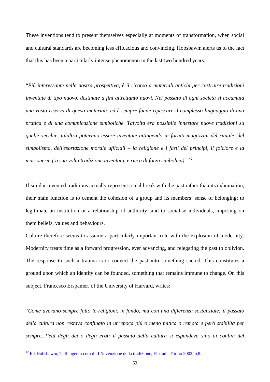These inventions tend to present themselves especially at moments of transformation, when social and cultural standards are becoming less efficacious and convincing. Hobsbawm alerts us to the fact that this has been a particularly intense phenomenon in the last two hundred years.

"*Più interessante nella nostra prospettiva, è il ricorso a materiali antichi per costruire tradizioni inventate di tipo nuovo, destinate a fini altrettanto nuovi. Nel passato di ogni società si accumula una vasta riserva di questi materiali, ed è sempre facile ripescare il complesso linguaggio di una pratica e di una comunicazione simboliche. Talvolta era possibile innestare nuove tradizioni su quelle vecchie, talaltra potevano essere inventate attingendo ai forniti magazzini del rituale, del simbolismo, dell'esortazione morale ufficiali – la religione e i fasti dei principi, il folclore e la massoneria ( a sua volta tradizione inventata, e ricca di forza simbolica)."*[42](#page-56-0)

If similar invented traditions actually represent a real break with the past rather than its exhumation, their main function is to cement the cohesion of a group and its members' sense of belonging; to legitimate an institution or a relationship of authority; and to socialise individuals, imposing on them beliefs, values and behaviours.

Culture therefore seems to assume a particularly important role with the explosion of modernity. Modernity treats time as a forward progression, ever advancing, and relegating the past to oblivion. The response to such a trauma is to convert the past into something sacred. This constitutes a ground upon which an identity can be founded, something that remains immune to change. On this subject, Francesco Erspamer, of the University of Harvard, writes:

"*Come avevano sempre fatto le religioni, in fondo; ma con una differenza sostanziale: il passato della cultura non restava confinato in un'epoca più o meno mitica o remota e però stabilita per sempre, l'età degli dèi o degli eroi; il passato della cultura si espandeva sino ai confini del* 

<span id="page-56-0"></span> $42$  E.J Hobsbawm, T. Ranger, a cura di, L'invenzione della tradizione, Einaudi, Torino 2002, p.8.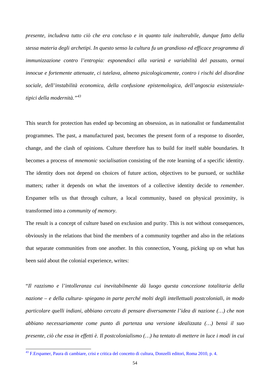*presente, includeva tutto ciò che era concluso e in quanto tale inalterabile, dunque fatto della stessa materia degli archetipi. In questo senso la cultura fu un grandioso ed efficace programma di immunizzazione contro l'entropia: esponendoci alla varietà e variabilità del passato, ormai innocue e fortemente attenuate, ci tutelava, almeno psicologicamente, contro i rischi del disordine sociale, dell'instabilità economica, della confusione epistemologica, dell'angoscia esistenzialetipici della modernità."[43](#page-57-0)* 

This search for protection has ended up becoming an obsession, as in nationalist or fundamentalist programmes. The past, a manufactured past, becomes the present form of a response to disorder, change, and the clash of opinions. Culture therefore has to build for itself stable boundaries. It becomes a process of *mnemonic socialisation* consisting of the rote learning of a specific identity. The identity does not depend on choices of future action, objectives to be pursued, or suchlike matters; rather it depends on what the inventors of a collective identity decide to *remember*. Erspamer tells us that through culture, a local community, based on physical proximity, is transformed into a *community of memory*.

The result is a concept of culture based on exclusion and purity. This is not without consequences, obviously in the relations that bind the members of a community together and also in the relations that separate communities from one another. In this connection, Young, picking up on what has been said about the colonial experience, writes:

"*Il razzismo e l'intolleranza cui inevitabilmente dà luogo questa concezione totalitaria della nazione – e della cultura- spiegano in parte perché molti degli intellettuali postcoloniali, in modo particolare quelli indiani, abbiano cercato di pensare diversamente l'idea di nazione (…) che non abbiano necessariamente come punto di partenza una versione idealizzata (…) bensì il suo presente, ciò che essa in effetti è. Il postcolonialismo (…) ha tentato di mettere in luce i modi in cui* 

<span id="page-57-0"></span><sup>&</sup>lt;sup>43</sup> F.Erspamer, Paura di cambiare, crisi e critica del concetto di cultura, Donzelli editori, Roma 2010, p. 4.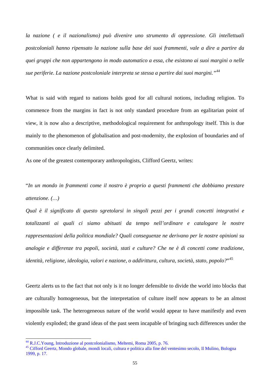*la nazione ( e il nazionalismo) può divenire uno strumento di oppressione. Gli intellettuali postcoloniali hanno ripensato la nazione sulla base dei suoi frammenti, vale a dire a partire da quei gruppi che non appartengono in modo automatico a essa, che esistono ai suoi margini o nelle sue periferie. La nazione postcoloniale interpreta se stessa a partire dai suoi margini."[44](#page-58-0)* 

What is said with regard to nations holds good for all cultural notions, including religion. To commence from the margins in fact is not only standard procedure from an egalitarian point of view, it is now also a descriptive, methodological requirement for anthropology itself. This is due mainly to the phenomenon of globalisation and post-modernity, the explosion of boundaries and of communities once clearly delimited.

As one of the greatest contemporary anthropologists, Clifford Geertz, writes:

"*In un mondo in frammenti come il nostro è proprio a questi frammenti che dobbiamo prestare attenzione. (…)*

*Qual è il significato di questo sgretolarsi in singoli pezzi per i grandi concetti integrativi e totalizzanti ai quali ci siamo abituati da tempo nell'ordinare e catalogare le nostre rappresentazioni della politica mondiale? Quali conseguenze ne derivano per le nostre opinioni su analogie e differenze tra popoli, società, stati e culture? Che ne è di concetti come tradizione, identità, religione, ideologia, valori e nazione, o addirittura, cultura, società, stato, popolo?*"[45](#page-58-1)

Geertz alerts us to the fact that not only is it no longer defensible to divide the world into blocks that are culturally homogeneous, but the interpretation of culture itself now appears to be an almost impossible task. The heterogeneous nature of the world would appear to have manifestly and even violently exploded; the grand ideas of the past seem incapable of bringing such differences under the

 $\overline{\phantom{a}}$ 

<span id="page-58-0"></span><sup>&</sup>lt;sup>44</sup> R.J.C.Young, Introduzione al postcolonialismo, Meltemi, Roma 2005, p. 76.

<span id="page-58-1"></span><sup>45</sup> Cifford Geertz, Mondo globale, mondi locali, cultura e politica alla fine del ventesimo secolo, Il Mulino, Bologna 1999, p. 17.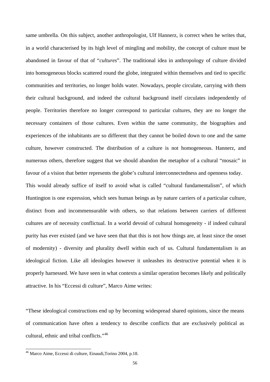same umbrella. On this subject, another anthropologist, Ulf Hannerz, is correct when he writes that, in a world characterised by its high level of mingling and mobility, the concept of culture must be abandoned in favour of that of "*cultures*". The traditional idea in anthropology of culture divided into homogeneous blocks scattered round the globe, integrated within themselves and tied to specific communities and territories, no longer holds water. Nowadays, people circulate, carrying with them their cultural background, and indeed the cultural background itself circulates independently of people. Territories therefore no longer correspond to particular cultures, they are no longer the necessary containers of those cultures. Even within the same community, the biographies and experiences of the inhabitants are so different that they cannot be boiled down to one and the same culture, however constructed. The distribution of a culture is not homogeneous. Hannerz, and numerous others, therefore suggest that we should abandon the metaphor of a cultural "mosaic" in favour of a vision that better represents the globe's cultural interconnectedness and openness today.

This would already suffice of itself to avoid what is called "cultural fundamentalism", of which Huntington is one expression, which sees human beings as by nature carriers of a particular culture, distinct from and incommensurable with others, so that relations between carriers of different cultures are of necessity conflictual. In a world devoid of cultural homogeneity - if indeed cultural purity has ever existed (and we have seen that that this is not how things are, at least since the onset of modernity) - diversity and plurality dwell within each of us. Cultural fundamentalism is an ideological fiction. Like all ideologies however it unleashes its destructive potential when it is properly harnessed. We have seen in what contexts a similar operation becomes likely and politically attractive. In his "Eccessi di culture", Marco Aime writes:

"These ideological constructions end up by becoming widespread shared opinions, since the means of communication have often a tendency to describe conflicts that are exclusively political as cultural, ethnic and tribal conflicts."[46](#page-59-0)

<span id="page-59-0"></span><sup>&</sup>lt;sup>46</sup> Marco Aime, Eccessi di culture, Einaudi, Torino 2004, p.18.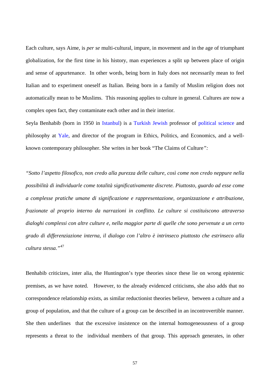Each culture, says Aime, is *per se* multi-cultural, impure, in movement and in the age of triumphant globalization, for the first time in his history, man experiences a split up between place of origin and sense of appurtenance. In other words, being born in Italy does not necessarily mean to feel Italian and to experiment oneself as Italian. Being born in a family of Muslim religion does not automatically mean to be Muslims. This reasoning applies to culture in general. Cultures are now a complex open fact, they contaminate each other and in their interior.

Seyla Benhabib (born in 1950 in [Istanbul\)](http://en.wikipedia.org/wiki/Istanbul) is a [Turkish](http://en.wikipedia.org/wiki/Turkey) [Jewish](http://en.wikipedia.org/wiki/Jewish) professor of [political science](http://en.wikipedia.org/wiki/Political_science) and philosophy at [Yale,](http://en.wikipedia.org/wiki/Yale) and director of the program in Ethics, Politics, and Economics, and a wellknown contemporary philosopher. She writes in her book "The Claims of Culture*":* 

*"Sotto l'aspetto filosofico, non credo alla purezza delle culture, così come non credo neppure nella possibilità di individuarle come totalità significativamente discrete. Piuttosto, guardo ad esse come a complesse pratiche umane di significazione e rappresentazione, organizzazione e attribuzione, frazionate al proprio interno da narrazioni in conflitto. Le culture si costituiscono attraverso dialoghi complessi con altre culture e, nella maggior parte di quelle che sono pervenute a un certo grado di differenziazione interna, il dialogo con l'altro è intrinseco piuttosto che estrinseco alla cultura stessa."*[47](#page-60-0)

<span id="page-60-0"></span>Benhabib criticizes, inter alia, the Huntington's type theories since these lie on wrong epistemic premises, as we have noted. However, to the already evidenced criticisms, she also adds that no correspondence relationship exists, as similar reductionist theories believe, between a culture and a group of population, and that the culture of a group can be described in an incontrovertible manner. She then underlines that the excessive insistence on the internal homogeneousness of a group represents a threat to the individual members of that group. This approach generates, in other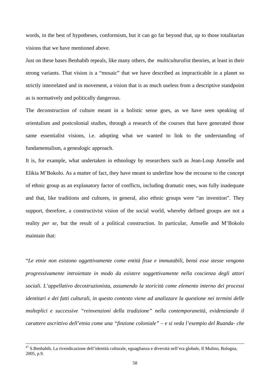words, in the best of hypotheses, conformism, but it can go far beyond that, up to those totalitarian visions that we have mentioned above.

Just on these bases Benhabib repeals, like many others, the *multiculturalist* theories, at least in their strong variants. That vision is a "mosaic" that we have described as impracticable in a planet so strictly interrelated and in movement, a vision that is as much useless from a descriptive standpoint as is normatively and politically dangerous.

The deconstruction of culture meant in a holistic sense goes, as we have seen speaking of orientalism and postcolonial studies, through a research of the courses that have generated those same essentialist visions, i.e. adopting what we wanted to link to the understanding of fundamentalism, a genealogic approach.

It is, for example, what undertaken in ethnology by researchers such as Jean-Loup Amselle and Elikia M'Bokolo. As a matter of fact, they have meant to underline how the recourse to the concept of ethnic group as an explanatory factor of conflicts, including dramatic ones, was fully inadequate and that, like traditions and cultures, in general, also ethnic groups were "an invention". They support, therefore, a constructivist vision of the social world, whereby defined groups are not a reality *per se,* but the result of a political construction. In particular, Amselle and M'Bokolo maintain that:

"*Le etnie non esistono oggettivamente come entità fisse e immutabili, bensì esse stesse vengono progressivamente introiettate in modo da esistere soggettivamente nella coscienza degli attori sociali. L'appellativo decostruzionista, assumendo la storicità come elemento interno dei processi identitari e dei fatti culturali, in questo contesto viene ad analizzare la questione nei termini delle molteplici e successive "reinvenzioni della tradizione" nella contemporaneità, evidenziando il carattere ascrittivo dell'etnia come una "finzione coloniale" – e si veda l'esempio del Ruanda- che* 

 $\overline{\phantom{a}}$ 

 $^{47}$  S.Benhabib, La rivendicazione dell'identità culturale, eguaglianza e diversità nell'era globale, Il Mulino, Bologna, 2005, p.9.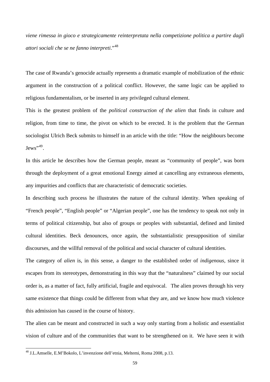*viene rimessa in gioco e strategicamente reinterpretata nella competizione politica a partire dagli attori sociali che se ne fanno interpreti*."[48](#page-62-0)

The case of Rwanda's genocide actually represents a dramatic example of mobilization of the ethnic argument in the construction of a political conflict. However, the same logic can be applied to religious fundamentalism, or be inserted in any privileged cultural element.

This is the greatest problem of the *political construction of the alien* that finds in culture and religion, from time to time, the pivot on which to be erected. It is the problem that the German sociologist Ulrich Beck submits to himself in an article with the title: "How the neighbours become  $Jews$ <sup>",[49](#page-62-1)</sup>.

In this article he describes how the German people, meant as "community of people", was born through the deployment of a great emotional Energy aimed at cancelling any extraneous elements, any impurities and conflicts that are characteristic of democratic societies.

In describing such process he illustrates the nature of the cultural identity. When speaking of "French people", "English people" or "Algerian people", one has the tendency to speak not only in terms of political citizenship, but also of groups or peoples with substantial, defined and limited cultural identities. Beck denounces, once again, the substantialistic presupposition of similar discourses, and the willful removal of the political and social character of cultural identities.

The category of *alien* is, in this sense, a danger to the established order of *indigenous,* since it escapes from its stereotypes, demonstrating in this way that the "naturalness" claimed by our social order is, as a matter of fact, fully artificial, fragile and equivocal. The alien proves through his very same existence that things could be different from what they are, and we know how much violence this admission has caused in the course of history.

The alien can be meant and constructed in such a way only starting from a holistic and essentialist vision of culture and of the communities that want to be strengthened on it. We have seen it with

<span id="page-62-1"></span><span id="page-62-0"></span><sup>48</sup> J.L.Amselle, E.M'Bokolo, L'invenzione dell'etnia, Meltemi, Roma 2008, p.13.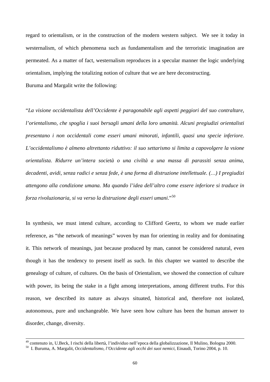regard to orientalism, or in the construction of the modern western subject. We see it today in westernalism, of which phenomena such as fundamentalism and the terroristic imagination are permeated. As a matter of fact, westernalism reproduces in a specular manner the logic underlying orientalism, implying the totalizing notion of culture that we are here deconstructing.

Buruma and Margalit write the following:

 $\overline{a}$ 

"*La visione occidentalista dell'Occidente è paragonabile agli aspetti peggiori del suo contraltare, l'orientalismo, che spoglia i suoi bersagli umani della loro umanità. Alcuni pregiudizi orientalisti presentano i non occidentali come esseri umani minorati, infantili, quasi una specie inferiore. L'occidentalismo è almeno altrettanto riduttivo: il suo settarismo si limita a capovolgere la vsione orientalista. Ridurre un'intera società o una civiltà a una massa di parassiti senza anima, decadenti, avidi, senza radici e senza fede, è una forma di distruzione intellettuale. (…) I pregiudizi attengono alla condizione umana. Ma quando l'idea dell'altro come essere inferiore si traduce in forza rivoluzionaria, si va verso la distruzione degli esseri umani*."[50](#page-63-0)

In synthesis, we must intend culture, according to Clifford Geertz, to whom we made earlier reference, as "the network of meanings" woven by man for orienting in reality and for dominating it. This network of meanings, just because produced by man, cannot be considered natural, even though it has the tendency to present itself as such. In this chapter we wanted to describe the genealogy of culture, of cultures. On the basis of Orientalism, we showed the connection of culture with power, its being the stake in a fight among interpretations, among different truths. For this reason, we described its nature as always situated, historical and, therefore not isolated, autonomous, pure and unchangeable. We have seen how culture has been the human answer to disorder, change, diversity.

<sup>&</sup>lt;sup>49</sup> contenuto in, U.Beck, I rischi della libertà, l'individuo nell'epoca della globalizzazione, Il Mulino, Bologna 2000.<br><sup>50</sup> I. Buruma, A. Margalit, *Occidentalismo, l'Occidente agli occhi dei suoi nemici*, Einaudi, Tori

<span id="page-63-0"></span>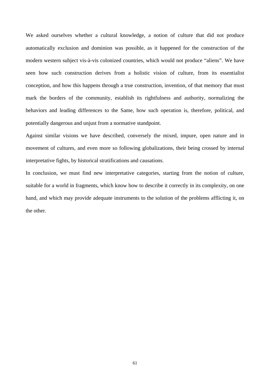We asked ourselves whether a cultural knowledge, a notion of culture that did not produce automatically exclusion and dominion was possible, as it happened for the construction of the modern western subject vis-à-vis colonized countries, which would not produce "aliens". We have seen how such construction derives from a holistic vision of culture, from its essentialist conception, and how this happens through a true construction, invention, of that memory that must mark the borders of the community, establish its rightfulness and authority, normalizing the behaviors and leading differences to the Same, how such operation is, therefore, political, and potentially dangerous and unjust from a normative standpoint.

Against similar visions we have described, conversely the mixed, impure, open nature and in movement of cultures, and even more so following globalizations, their being crossed by internal interpretative fights, by historical stratifications and causations.

In conclusion, we must find new interpretative categories, starting from the notion of culture, suitable for a world in fragments, which know how to describe it correctly in its complexity, on one hand, and which may provide adequate instruments to the solution of the problems afflicting it, on the other.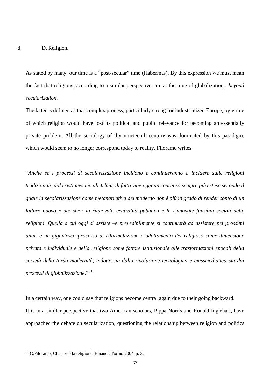As stated by many, our time is a "post-secular" time (Habermas). By this expression we must mean the fact that religions, according to a similar perspective, are at the time of globalization, *beyond secularization.*

The latter is defined as that complex process, particularly strong for industrialized Europe, by virtue of which religion would have lost its political and public relevance for becoming an essentially private problem. All the sociology of thy nineteenth century was dominated by this paradigm, which would seem to no longer correspond today to reality. Filoramo writes:

"*Anche se i processi di secolarizzazione incidono e continueranno a incidere sulle religioni tradizionali, dal cristianesimo all'Islam, di fatto vige oggi un consenso sempre più esteso secondo il quale la secolarizzazione come metanarrativa del moderno non è più in grado di render conto di un fattore nuovo e decisivo: la rinnovata centralità pubblica e le rinnovate funzioni sociali delle religioni. Quella a cui oggi si assiste –e prevedibilmente si continuerà ad assistere nei prossimi anni- è un gigantesco processo di riformulazione e adattamento del religioso come dimensione privata e individuale e della religione come fattore istituzionale alle trasformazioni epocali della società della tarda modernità, indotte sia dalla rivoluzione tecnologica e massmediatica sia dai processi di globalizzazione*."[51](#page-65-0)

In a certain way, one could say that religions become central again due to their going backward. It is in a similar perspective that two American scholars, Pippa Norris and Ronald Inglehart, have approached the debate on secularization, questioning the relationship between religion and politics

<span id="page-65-0"></span><sup>&</sup>lt;sup>51</sup> G.Filoramo, Che cos è la religione, Einaudi, Torino 2004, p. 3.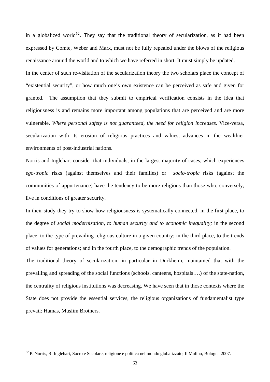in a globalized world<sup>[52](#page-66-0)</sup>. They say that the traditional theory of secularization, as it had been expressed by Comte, Weber and Marx, must not be fully repealed under the blows of the religious renaissance around the world and to which we have referred in short. It must simply be updated. In the center of such re-visitation of the secularization theory the two scholars place the concept of "existential security", or how much one's own existence can be perceived as safe and given for granted. The assumption that they submit to empirical verification consists in the idea that religiousness is and remains more important among populations that are perceived and are more vulnerable. *Where personal safety is not guaranteed, the need for religion increases.* Vice-versa, secularization with its erosion of religious practices and values, advances in the wealthier environments of post-industrial nations.

Norris and Inglehart consider that individuals, in the largest majority of cases, which experiences *ego-tropic* risks (against themselves and their families) or *socio-tropic* risks (against the communities of appurtenance) have the tendency to be more religious than those who, conversely, live in conditions of greater security.

In their study they try to show how religiousness is systematically connected, in the first place, to the degree of *social modernization, to human security and to economic inequality;* in the second place, to the type of prevailing religious culture in a given country; in the third place, to the trends of values for generations; and in the fourth place, to the demographic trends of the population.

The traditional theory of secularization, in particular in Durkheim, maintained that with the prevailing and spreading of the social functions (schools, canteens, hospitals….) of the state-nation, the centrality of religious institutions was decreasing. We have seen that in those contexts where the State does not provide the essential services, the religious organizations of fundamentalist type prevail: Hamas, Muslim Brothers.

<span id="page-66-0"></span><sup>52</sup> P. Norris, R. Inglehart, Sacro e Secolare, religione e politica nel mondo globalizzato, Il Mulino, Bologna 2007.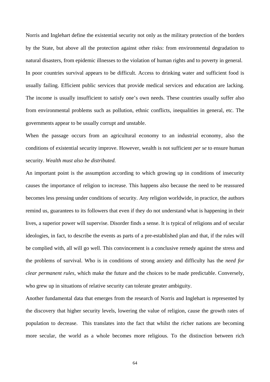Norris and Inglehart define the existential security not only as the military protection of the borders by the State, but above all the protection against other risks: from environmental degradation to natural disasters, from epidemic illnesses to the violation of human rights and to poverty in general. In poor countries survival appears to be difficult. Access to drinking water and sufficient food is usually failing. Efficient public services that provide medical services and education are lacking. The income is usually insufficient to satisfy one's own needs. These countries usually suffer also from environmental problems such as pollution, ethnic conflicts, inequalities in general, etc. The governments appear to be usually corrupt and unstable.

When the passage occurs from an agricultural economy to an industrial economy, also the conditions of existential security improve. However, wealth is not sufficient *per se* to ensure human security. *Wealth must also be distributed.*

An important point is the assumption according to which growing up in conditions of insecurity causes the importance of religion to increase. This happens also because the need to be reassured becomes less pressing under conditions of security. Any religion worldwide, in practice, the authors remind us, guarantees to its followers that even if they do not understand what is happening in their lives, a superior power will supervise. Disorder finds a sense. It is typical of religions and of secular ideologies, in fact, to describe the events as parts of a pre-established plan and that, if the rules will be complied with, all will go well. This convincement is a conclusive remedy against the stress and the problems of survival. Who is in conditions of strong anxiety and difficulty has the *need for clear permanent rules,* which make the future and the choices to be made predictable. Conversely, who grew up in situations of relative security can tolerate greater ambiguity.

Another fundamental data that emerges from the research of Norris and Inglehart is represented by the discovery that higher security levels, lowering the value of religion, cause the growth rates of population to decrease. This translates into the fact that whilst the richer nations are becoming more secular, the world as a whole becomes more religious. To the distinction between rich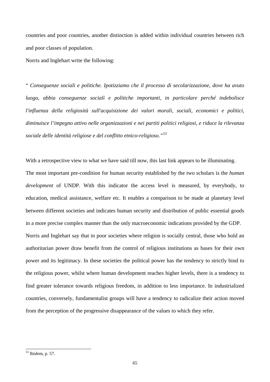countries and poor countries, another distinction is added within individual countries between rich and poor classes of population.

Norris and Inglehart write the following:

" *Conseguenze sociali e politiche. Ipotizziamo che il processo di secolarizzazione, dove ha avuto luogo, abbia conseguenze sociali e politiche importanti, in particolare perché indebolisce l'influenza della religiosità sull'acquisizione dei valori morali, sociali, economici e politici, diminuisce l'impegno attivo nelle organizzazioni e nei partiti politici religiosi, e riduce la rilevanza sociale delle identità religiose e del conflitto etnico-religioso."[53](#page-68-0)* 

With a retrospective view to what we have said till now, this last link appears to be illuminating. The most important pre-condition for human security established by the two scholars is the *human development* of UNDP. With this indicator the access level is measured, by everybody, to education, medical assistance, welfare etc. It enables a comparison to be made at planetary level between different societies and indicates human security and distribution of public essential goods in a more precise complex manner than the only macroeconomic indications provided by the GDP. Norris and Inglehart say that in poor societies where religion is socially central, those who hold an authoritarian power draw benefit from the control of religious institutions as bases for their own power and its legitimacy. In these societies the political power has the tendency to strictly bind to the religious power, whilst where human development reaches higher levels, there is a tendency to find greater tolerance towards religious freedom, in addition to less importance. In industrialized countries, conversely, fundamentalist groups will have a tendency to radicalize their action moved from the perception of the progressive disappearance of the values to which they refer.

<span id="page-68-0"></span><sup>53</sup> Ibidem, p. 57.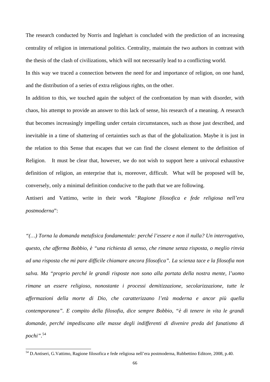The research conducted by Norris and Inglehart is concluded with the prediction of an increasing centrality of religion in international politics. Centrality, maintain the two authors in contrast with the thesis of the clash of civilizations, which will not necessarily lead to a conflicting world.

In this way we traced a connection between the need for and importance of religion, on one hand, and the distribution of a series of extra religious rights, on the other.

In addition to this, we touched again the subject of the confrontation by man with disorder, with chaos, his attempt to provide an answer to this lack of sense, his research of a meaning. A research that becomes increasingly impelling under certain circumstances, such as those just described, and inevitable in a time of shattering of certainties such as that of the globalization. Maybe it is just in the relation to this Sense that escapes that we can find the closest element to the definition of Religion. It must be clear that, however, we do not wish to support here a univocal exhaustive definition of religion, an enterprise that is, moreover, difficult. What will be proposed will be, conversely, only a minimal definition conducive to the path that we are following.

Antiseri and Vattimo, write in their work "*Ragione filosofica e fede religiosa nell'era postmoderna*":

*"(…) Torna la domanda metafisica fondamentale: perché l'essere e non il nulla? Un interrogativo, questo, che afferma Bobbio, è "una richiesta di senso, che rimane senza risposta, o meglio rinvia ad una risposta che mi pare difficile chiamare ancora filosofica". La scienza tace e la filosofia non salva. Ma "proprio perché le grandi risposte non sono alla portata della nostra mente, l'uomo rimane un essere religioso, nonostante i processi demitizzazione, secolarizzazione, tutte le affermazioni della morte di Dio, che caratterizzano l'età moderna e ancor più quella contemporanea". E compito della filosofia, dice sempre Bobbio, "è di tenere in vita le grandi domande, perché impediscano alle masse degli indifferenti di divenire preda del fanatismo di pochi"*. [54](#page-69-0)

<span id="page-69-0"></span><sup>54</sup> D.Antiseri, G.Vattimo, Ragione filosofica e fede religiosa nell'era postmoderna, Rubbettino Editore, 2008, p.40.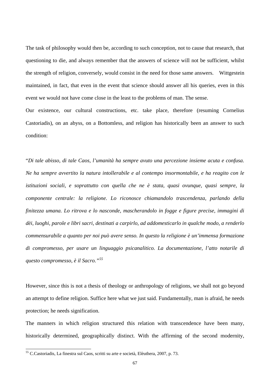The task of philosophy would then be, according to such conception, not to cause that research, that questioning to die, and always remember that the answers of science will not be sufficient, whilst the strength of religion, conversely, would consist in the need for those same answers. Wittgestein maintained, in fact, that even in the event that science should answer all his queries, even in this event we would not have come close in the least to the problems of man. The sense.

Our existence, our cultural constructions, etc. take place, therefore (resuming Cornelius Castoriadis), on an abyss, on a Bottomless, and religion has historically been an answer to such condition:

"*Di tale abisso, di tale Caos, l'umanità ha sempre avuto una percezione insieme acuta e confusa. Ne ha sempre avvertito la natura intollerabile e al contempo insormontabile, e ha reagito con le istituzioni sociali, e soprattutto con quella che ne è stata, quasi ovunque, quasi sempre, la componente centrale: la religione. Lo riconosce chiamandolo trascendenza, parlando della finitezza umana. Lo ritrova e lo nasconde, mascherandolo in fogge e figure precise, immagini di dèi, luoghi, parole e libri sacri, destinati a carpirlo, ad addomesticarlo in qualche modo, a renderlo commensurabile a quanto per noi può avere senso. In questo la religione è un'immensa formazione di compromesso, per usare un linguaggio psicanalitico. La documentazione, l'atto notarile di questo compromesso, è il Sacro."[55](#page-70-0)*

However, since this is not a thesis of theology or anthropology of religions, we shall not go beyond an attempt to define religion. Suffice here what we just said. Fundamentally, man is afraid, he needs protection; he needs signification.

The manners in which religion structured this relation with transcendence have been many, historically determined, geographically distinct. With the affirming of the second modernity,

<span id="page-70-0"></span><sup>&</sup>lt;sup>55</sup> C.Castoriadis, La finestra sul Caos, scritti su arte e società, Elèuthera, 2007, p. 73.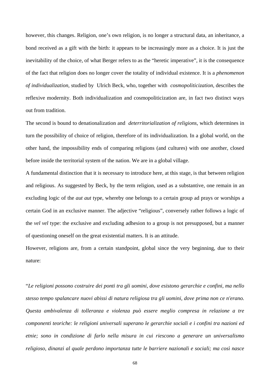however, this changes. Religion, one's own religion, is no longer a structural data, an inheritance, a bond received as a gift with the birth: it appears to be increasingly more as a choice. It is just the inevitability of the choice, of what Berger refers to as the "heretic imperative", it is the consequence of the fact that religion does no longer cover the totality of individual existence. It is a *phenomenon of individualization,* studied by Ulrich Beck, who, together with *cosmopoliticization*, describes the reflexive modernity. Both individualization and cosmopoliticization are, in fact two distinct ways out from tradition.

The second is bound to denationalization and *deterritorialization of religions,* which determines in turn the possibility of choice of religion, therefore of its individualization. In a global world, on the other hand, the impossibility ends of comparing religions (and cultures) with one another, closed before inside the territorial system of the nation. We are in a global village.

A fundamental distinction that it is necessary to introduce here, at this stage, is that between religion and religious. As suggested by Beck, by the term religion, used as a substantive, one remain in an excluding logic of the *aut aut* type, whereby one belongs to a certain group ad prays or worships a certain God in an exclusive manner. The adjective "religious", conversely rather follows a logic of the *vel vel* type: the exclusive and excluding adhesion to a group is not presupposed, but a manner of questioning oneself on the great existential matters. It is an attitude.

However, religions are, from a certain standpoint, global since the very beginning, due to their nature:

"*Le religioni possono costruire dei ponti tra gli uomini, dove esistono gerarchie e confini, ma nello stesso tempo spalancare nuovi abissi di natura religiosa tra gli uomini, dove prima non ce n'erano. Questa ambivalenza di tolleranza e violenza può essere meglio compresa in relazione a tre componenti teoriche: le religioni universali superano le gerarchie sociali e i confini tra nazioni ed etnie; sono in condizione di farlo nella misura in cui riescono a generare un universalismo religioso, dinanzi al quale perdono importanza tutte le barriere nazionali e sociali; ma così nasce*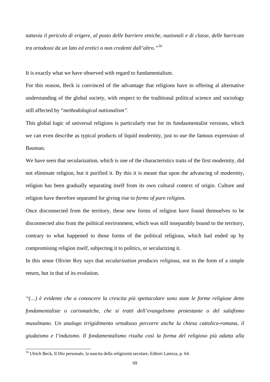*tuttavia il pericolo di erigere, al posto delle barriere etniche, nazionali e di classe, delle barricate tra ortodossi da un lato ed eretici o non credenti dall'altro."[56](#page-72-0)*

It is exactly what we have observed with regard to fundamentalism.

For this reason, Beck is convinced of the advantage that religions have in offering al alternative understanding of the global society, with respect to the traditional political science and sociology still affected by "*methodological nationalism".*

This global logic of universal religions is particularly true for its fundasmentalist versions, which we can even describe as typical products of liquid modernity, just to use the famous expression of Bauman.

We have seen that secularization, which is one of the characteristics traits of the first modernity, did not eliminate religion, but it purified it. By this it is meant that upon the advancing of modernity, religion has been gradually separating itself from its own cultural context of origin. Culture and religion have therefore separated for giving rise to *forms of pure religion.*

Once disconnected from the territory, these new forms of religion have found themselves to be disconnected also from the political environment, which was still inseparably bound to the territory, contrary to what happened to those forms of the political religious, which had ended up by compromising religion itself, subjecting it to politics, or secularizing it.

In this sense Olivier Roy says that *secularization produces religious,* not in the form of a simple return, but in that of its evolution.

*"(…) è evidente che a conoscere la crescita più spettacolare sono state le forme religiose dette fondamentaliste o carismatiche, che si tratti dell'evangelismo protestante o del salafismo musulmano. Un analogo irrigidimento ortodosso percorre anche la chiesa cattolico-romana, il giudaismo e l'induismo. Il fondamentalismo risulta così la forma del religioso più adatta alla* 

<span id="page-72-0"></span><sup>56</sup> Ulrich Beck, Il Dio personale, la nascita della religiosità secolare, Editori Laterza, p. 64.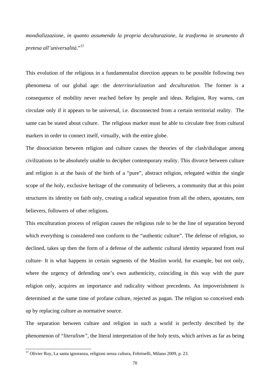*mondializzazione, in quanto assumendo la propria deculturazione, la trasforma in strumento di pretesa all'universalità*."[57](#page-73-0)

This evolution of the religious in a fundamentalist direction appears to be possible following two phenomena of our global age: the *deterritorialization* and *deculturation.* The former is a consequence of mobility never reached before by people and ideas. Religion, Roy warns, can circulate only if it appears to be universal, i.e. disconnected from a certain territorial reality. The same can be stated about culture. The religious marker must be able to circulate free from cultural markers in order to connect itself, virtually, with the entire globe.

The dissociation between religion and culture causes the theories of the clash/dialogue among civilizations to be absolutely unable to decipher contemporary reality. This divorce between culture and religion is at the basis of the birth of a "pure", abstract religion, relegated within the single scope of the holy, exclusive heritage of the community of believers, a community that at this point structures its identity on faith only, creating a radical separation from all the others, apostates, non believers, followers of other religions.

This enculturation process of religion causes the religious rule to be the line of separation beyond which everything is considered non conform to the "authentic culture". The defense of religion, so declined, takes up then the form of a defense of the authentic cultural identity separated from real culture- It is what happens in certain segments of the Muslim world, for example, but not only, where the urgency of defending one's own authenticity, coinciding in this way with the pure religion only, acquires an importance and radicality without precedents. An impoverishment is determined at the same time of profane culture, rejected as pagan. The religion so conceived ends up by replacing culture as normative source.

The separation between culture and religion in such a world is perfectly described by the phenomenon of "*literalism",* the literal interpretation of the holy texts, which arrives as far as being

<span id="page-73-0"></span><sup>&</sup>lt;sup>57</sup> Olivier Roy, La santa ignoranza, religioni senza cultura, Feltrinelli, Milano 2009, p. 23.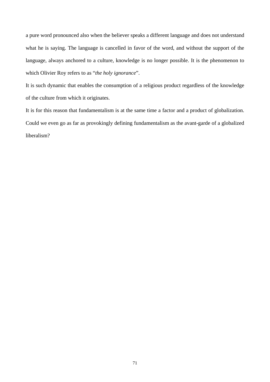a pure word pronounced also when the believer speaks a different language and does not understand what he is saying. The language is cancelled in favor of the word, and without the support of the language, always anchored to a culture, knowledge is no longer possible. It is the phenomenon to which Olivier Roy refers to as "*the holy ignorance*".

It is such dynamic that enables the consumption of a religious product regardless of the knowledge of the culture from which it originates.

It is for this reason that fundamentalism is at the same time a factor and a product of globalization. Could we even go as far as provokingly defining fundamentalism as the avant-garde of a globalized liberalism?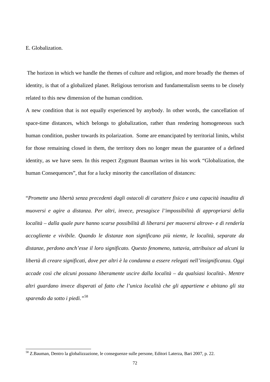## E. Globalization.

 $\overline{a}$ 

 The horizon in which we handle the themes of culture and religion, and more broadly the themes of identity, is that of a globalized planet. Religious terrorism and fundamentalism seems to be closely related to this new dimension of the human condition.

A new condition that is not equally experienced by anybody. In other words, the cancellation of space-time distances, which belongs to globalization, rather than rendering homogeneous such human condition, pusher towards its polarization. Some are emancipated by territorial limits, whilst for those remaining closed in them, the territory does no longer mean the guarantee of a defined identity, as we have seen. In this respect Zygmunt Bauman writes in his work "Globalization, the human Consequences", that for a lucky minority the cancellation of distances:

"*Promette una libertà senza precedenti dagli ostacoli di carattere fisico e una capacità inaudita di muoversi e agire a distanza. Per altri, invece, presagisce l'impossibilità di appropriarsi della località – dalla quale pure hanno scarse possibilità di liberarsi per muoversi altrove- e di renderla accogliente e vivibile. Quando le distanze non significano più niente, le località, separate da distanze, perdono anch'esse il loro significato. Questo fenomeno, tuttavia, attribuisce ad alcuni la libertà di creare significati, dove per altri è la condanna a essere relegati nell'insignificanza. Oggi accade così che alcuni possano liberamente uscire dalla località – da qualsiasi località-. Mentre altri guardano invece disperati al fatto che l'unica località che gli appartiene e abitano gli sta sparendo da sotto i piedi."*[58](#page-75-0)

<span id="page-75-0"></span><sup>58</sup> Z.Bauman, Dentro la globalizzazione, le conseguenze sulle persone, Editori Laterza, Bari 2007, p. 22.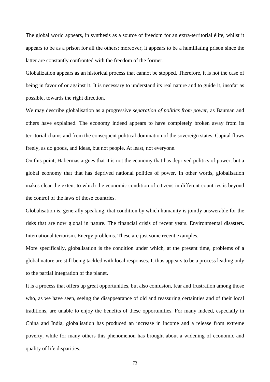The global world appears, in synthesis as a source of freedom for an extra-territorial élite, whilst it appears to be as a prison for all the others; moreover, it appears to be a humiliating prison since the latter are constantly confronted with the freedom of the former.

Globalization appears as an historical process that cannot be stopped. Therefore, it is not the case of being in favor of or against it. It is necessary to understand its real nature and to guide it, insofar as possible, towards the right direction.

We may describe globalisation as a progressive *separation of politics from power*, as Bauman and others have explained. The economy indeed appears to have completely broken away from its territorial chains and from the consequent political domination of the sovereign states. Capital flows freely, as do goods, and ideas, but not people. At least, not everyone.

On this point, Habermas argues that it is not the economy that has deprived politics of power, but a global economy that that has deprived national politics of power. In other words, globalisation makes clear the extent to which the economic condition of citizens in different countries is beyond the control of the laws of those countries.

Globalisation is, generally speaking, that condition by which humanity is jointly answerable for the risks that are now global in nature. The financial crisis of recent years. Environmental disasters. International terrorism. Energy problems. These are just some recent examples.

More specifically, globalisation is the condition under which, at the present time, problems of a global nature are still being tackled with local responses. It thus appears to be a process leading only to the partial integration of the planet.

It is a process that offers up great opportunities, but also confusion, fear and frustration among those who, as we have seen, seeing the disappearance of old and reassuring certainties and of their local traditions, are unable to enjoy the benefits of these opportunities. For many indeed, especially in China and India, globalisation has produced an increase in income and a release from extreme poverty, while for many others this phenomenon has brought about a widening of economic and quality of life disparities.

73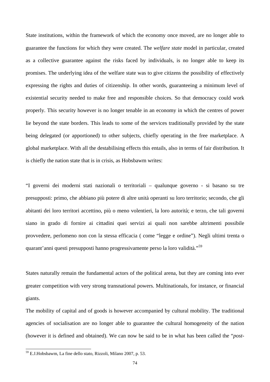State institutions, within the framework of which the economy once moved, are no longer able to guarantee the functions for which they were created. The *welfare state* model in particular, created as a collective guarantee against the risks faced by individuals, is no longer able to keep its promises. The underlying idea of the welfare state was to give citizens the possibility of effectively expressing the rights and duties of citizenship. In other words, guaranteeing a minimum level of existential security needed to make free and responsible choices. So that democracy could work properly. This security however is no longer tenable in an economy in which the centres of power lie beyond the state borders. This leads to some of the services traditionally provided by the state being delegated (or apportioned) to other subjects, chiefly operating in the free marketplace. A global marketplace. With all the destabilising effects this entails, also in terms of fair distribution. It is chiefly the nation state that is in crisis, as Hobsbawm writes:

"I governi dei moderni stati nazionali o territoriali – qualunque governo - si basano su tre presupposti: primo, che abbiano più potere di altre unità operanti su loro territorio; secondo, che gli abitanti dei loro territori accettino, più o meno volentieri, la loro autorità; e terzo, che tali governi siano in grado di fornire ai cittadini quei servizi ai quali non sarebbe altrimenti possibile provvedere, perlomeno non con la stessa efficacia ( come "legge e ordine"). Negli ultimi trenta o quarant'anni questi presupposti hanno progressivamente perso la loro validità."[59](#page-77-0)

States naturally remain the fundamental actors of the political arena, but they are coming into ever greater competition with very strong transnational powers. Multinationals, for instance, or financial giants.

The mobility of capital and of goods is however accompanied by cultural mobility. The traditional agencies of socialisation are no longer able to guarantee the cultural homogeneity of the nation (however it is defined and obtained). We can now be said to be in what has been called the "*post-*

<span id="page-77-0"></span><sup>59</sup> E.J.Hobsbawm, La fine dello stato, Rizzoli, Milano 2007, p. 53.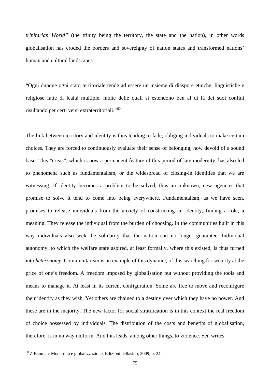*trinitarian World"* (the trinity being the territory, the state and the nation), in other words globalisation has eroded the borders and sovereignty of nation states and transformed nations' human and cultural landscapes:

"Oggi dunque ogni stato territoriale tende ad essere un insieme di diaspore etniche, linguistiche e religiose fatte di lealtà multiple, molte delle quali si estendono ben al di là dei suoi confini risultando per certi versi extraterritoriali."[60](#page-78-0)

The link between territory and identity is thus tending to fade, obliging individuals to make certain choices. They are forced to continuously evaluate their sense of belonging, now devoid of a sound base. This "crisis", which is now a permanent feature of this period of late modernity, has also led to phenomena such as fundamentalism, or the widespread of closing-in identities that we are witnessing. If identity becomes a problem to be solved, thus an unknown, new agencies that promise to solve it tend to come into being everywhere. Fundamentalism, as we have seen, promises to release individuals from the anxiety of constructing an identity, finding a role, a meaning. They release the individual from the burden of choosing. In the communities built in this way individuals also seek the solidarity that the nation can no longer guarantee. Individual autonomy, to which the welfare state aspired, at least formally, where this existed, is thus turned into *heteronomy*. Communitarism is an example of this dynamic, of this searching for security at the price of one's freedom. A freedom imposed by globalisation but without providing the tools and means to manage it. At least in its current configuration. Some are free to move and reconfigure their identity as they wish. Yet others are chained to a destiny over which they have no power. And these are in the majority. The new factor for social stratification is in this context the real freedom of choice possessed by individuals. The distribution of the costs and benefits of globalisation, therefore, is in no way uniform. And this leads, among other things, to violence. Sen writes:

<span id="page-78-0"></span> $60$  Z.Bauman, Modernità e globalizzazione, Edizioni dellasino, 2009, p. 24.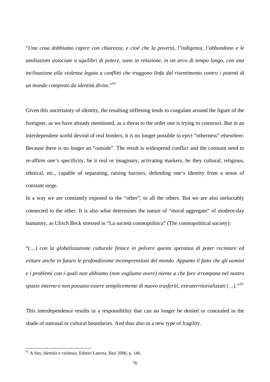"*Una cosa dobbiamo capire con chiarezza, e cioè che la povertà, l'indigenza, l'abbandono e le umiliazioni associate a squilibri di potere, sono in relazione, in un arco di tempo lungo, con una inclinazione alla violenza legata a conflitti che traggono linfa dal risentimento contro i potenti di un mondo composto da identità divise*."[61](#page-79-0)

Given this uncertainty of identity, the resulting stiffening tends to coagulate around the figure of the foreigner, as we have already mentioned, as a threat to the order one is trying to construct. But in an interdependent world devoid of real borders, it is no longer possible to eject "otherness" elsewhere. Because there is no longer an "outside". The result is widespread conflict and the constant need to re-affirm one's specificity, be it real or imaginary, activating markers, be they cultural, religious, ethnical, etc., capable of separating, raising barriers, defending one's identity from a sense of constant siege.

In a way we are constantly exposed to the "other", to all the others. But we are also ineluctably connected to the other. It is also what determines the nature of "moral aggregate" of modern-day humanity, as Ulrich Beck stressed in "La società cosmopolitica" (The cosmopolitical society):

"(…) *con la globalizzazione culturale finisce in polvere questa speranza di poter recintare ed evitare anche in futuro le profondissime incomprensioni del mondo. Appunto il fatto che gli uomini e i problemi con i quali non abbiamo (non vogliamo avere) niente a che fare irrompano nel nostro spazio interno e non possano essere semplicemente di nuovo trasferiti, extraterritorializzati (…)."[62](#page-79-1)* 

This interdependence results in a responsibility that can no longer be denied or concealed in the shade of national or cultural boundaries. And thus also in a new type of fragility.

<span id="page-79-1"></span><span id="page-79-0"></span><sup>61</sup> A.Sen, Identità e violenza, Editori Laterza, Bari 2006, p. 146.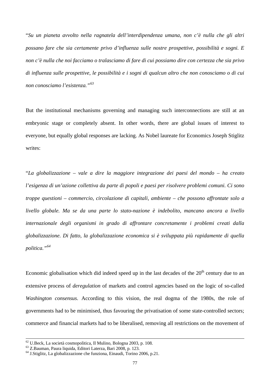"*Su un pianeta avvolto nella ragnatela dell'interdipendenza umana, non c'è nulla che gli altri possano fare che sia certamente privo d'influenza sulle nostre prospettive, possibilità e sogni. E non c'è nulla che noi facciamo o tralasciamo di fare di cui possiamo dire con certezza che sia privo di influenza sulle prospettive, le possibilità e i sogni di qualcun altro che non conosciamo o di cui non conosciamo l'esistenza."[63](#page-80-0)*

But the institutional mechanisms governing and managing such interconnections are still at an embryonic stage or completely absent. In other words, there are global issues of interest to everyone, but equally global responses are lacking. As Nobel laureate for Economics Joseph Stiglitz writes:

"*La globalizzazione – vale a dire la maggiore integrazione dei paesi del mondo – ha creato l'esigenza di un'azione collettiva da parte di popoli e paesi per risolvere problemi comuni. Ci sono troppe questioni – commercio, circolazione di capitali, ambiente – che possono affrontate solo a livello globale. Ma se da una parte lo stato-nazione è indebolito, mancano ancora a livello internazionale degli organismi in grado di affrontare concretamente i problemi creati dalla globalizzazione. Di fatto, la globalizzazione economica si è sviluppata più rapidamente di quella politica."[64](#page-80-1)*

Economic globalisation which did indeed speed up in the last decades of the  $20<sup>th</sup>$  century due to an extensive process of *deregulation* of markets and control agencies based on the logic of so-called *Washington consensus.* According to this vision, the real dogma of the 1980s, the role of governments had to be minimised, thus favouring the privatisation of some state-controlled sectors; commerce and financial markets had to be liberalised, removing all restrictions on the movement of

 $^{62}$  U.Beck, La società cosmopolitica, Il Mulino, Bologna 2003, p. 108.<br> $^{63}$  Z.Bauman, Paura liquida, Editori Laterza, Bari 2008, p. 123.

<span id="page-80-1"></span><span id="page-80-0"></span>

 $^{63}$  Z.Bauman, Paura liquida, Editori Laterza, Bari 2008, p. 123.<br> $^{64}$  J.Stiglitz, La globalizzazione che funziona, Einaudi, Torino 2006, p.21.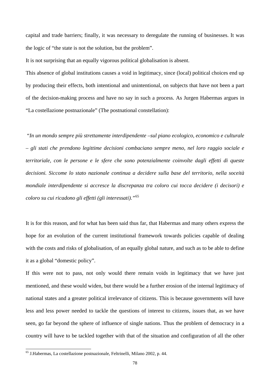capital and trade barriers; finally, it was necessary to deregulate the running of businesses. It was the logic of "the state is not the solution, but the problem".

It is not surprising that an equally vigorous political globalisation is absent.

This absence of global institutions causes a void in legitimacy, since (local) political choices end up by producing their effects, both intentional and unintentional, on subjects that have not been a part of the decision-making process and have no say in such a process. As Jurgen Habermas argues in "La costellazione postnazionale" (The postnational constellation):

 "*In un mondo sempre più strettamente interdipendente –sul piano ecologico, economico e culturale – gli stati che prendono legittime decisioni combaciano sempre meno, nel loro raggio sociale e territoriale, con le persone e le sfere che sono potenzialmente coinvolte dagli effetti di queste decisioni. Siccome lo stato nazionale continua a decidere sulla base del territorio, nella soceità mondiale interdipendente si accresce la discrepanza tra coloro cui tocca decidere (i decisori) e coloro su cui ricadono gli effetti (gli interessati)."*[65](#page-81-0)

It is for this reason, and for what has been said thus far, that Habermas and many others express the hope for an evolution of the current institutional framework towards policies capable of dealing with the costs and risks of globalisation, of an equally global nature, and such as to be able to define it as a global "domestic policy".

If this were not to pass, not only would there remain voids in legitimacy that we have just mentioned, and these would widen, but there would be a further erosion of the internal legitimacy of national states and a greater political irrelevance of citizens. This is because governments will have less and less power needed to tackle the questions of interest to citizens, issues that, as we have seen, go far beyond the sphere of influence of single nations. Thus the problem of democracy in a country will have to be tackled together with that of the situation and configuration of all the other

<span id="page-81-0"></span><sup>65</sup> J.Habermas, La costellazione postnazionale, Feltrinelli, Milano 2002, p. 44.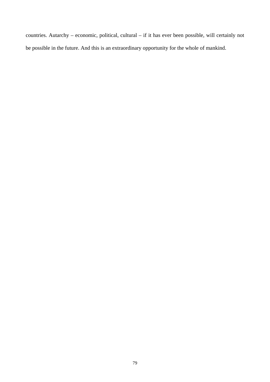countries. Autarchy – economic, political, cultural – if it has ever been possible, will certainly not be possible in the future. And this is an extraordinary opportunity for the whole of mankind.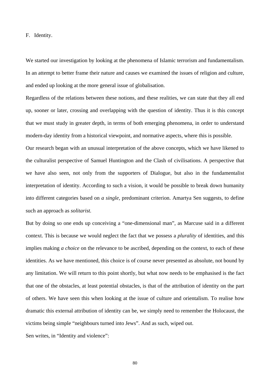F. Identity.

We started our investigation by looking at the phenomena of Islamic terrorism and fundamentalism. In an attempt to better frame their nature and causes we examined the issues of religion and culture, and ended up looking at the more general issue of globalisation.

Regardless of the relations between these notions, and these realities, we can state that they all end up, sooner or later, crossing and overlapping with the question of identity. Thus it is this concept that we must study in greater depth, in terms of both emerging phenomena, in order to understand modern-day identity from a historical viewpoint, and normative aspects, where this is possible.

Our research began with an unusual interpretation of the above concepts, which we have likened to the culturalist perspective of Samuel Huntington and the Clash of civilisations. A perspective that we have also seen, not only from the supporters of Dialogue, but also in the fundamentalist interpretation of identity. According to such a vision, it would be possible to break down humanity into different categories based on *a single,* predominant criterion. Amartya Sen suggests, to define such an approach as *solitarist.*

But by doing so one ends up conceiving a "one-dimensional man", as Marcuse said in a different context. This is because we would neglect the fact that we possess a *plurality* of identities, and this implies making *a choice* on the relevance to be ascribed, depending on the context, to each of these identities. As we have mentioned, this choice is of course never presented as absolute, not bound by any limitation. We will return to this point shortly, but what now needs to be emphasised is the fact that one of the obstacles, at least potential obstacles, is that of the attribution of identity on the part of others. We have seen this when looking at the issue of culture and orientalism. To realise how dramatic this external attribution of identity can be, we simply need to remember the Holocaust, the victims being simple "neighbours turned into Jews". And as such, wiped out.

Sen writes, in "Identity and violence":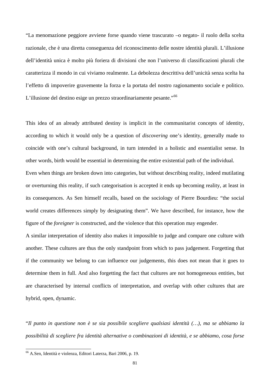"La menomazione peggiore avviene forse quando viene trascurato –o negato- il ruolo della scelta razionale, che è una diretta conseguenza del riconoscimento delle nostre identità plurali. L'illusione dell'identità unica è molto più foriera di divisioni che non l'universo di classificazioni plurali che caratterizza il mondo in cui viviamo realmente. La debolezza descrittiva dell'unicità senza scelta ha l'effetto di impoverire gravemente la forza e la portata del nostro ragionamento sociale e politico. L'illusione del destino esige un prezzo straordinariamente pesante."<sup>[66](#page-84-0)</sup>

This idea of an already attributed destiny is implicit in the communitarist concepts of identity, according to which it would only be a question of *discovering* one's identity, generally made to coincide with one's cultural background, in turn intended in a holistic and essentialist sense. In other words, birth would be essential in determining the entire existential path of the individual.

Even when things are broken down into categories, but without describing reality, indeed mutilating or overturning this reality, if such categorisation is accepted it ends up becoming reality, at least in its consequences. As Sen himself recalls, based on the sociology of Pierre Bourdieu: "the social world creates differences simply by designating them". We have described, for instance, how the figure of the *foreigner* is constructed, and the violence that this operation may engender.

A similar interpretation of identity also makes it impossible to judge and compare one culture with another. These cultures are thus the only standpoint from which to pass judgement. Forgetting that if the community we belong to can influence our judgements, this does not mean that it goes to determine them in full. And also forgetting the fact that cultures are not homogeneous entities, but are characterised by internal conflicts of interpretation, and overlap with other cultures that are hybrid, open, dynamic.

"*Il punto in questione non è se sia possibile scegliere qualsiasi identità (…), ma se abbiamo la possibilità di scegliere fra identità alternative o combinazioni di identità, e se abbiamo, cosa forse* 

<span id="page-84-0"></span><sup>66</sup> A.Sen, Identità e violenza, Editori Laterza, Bari 2006, p. 19.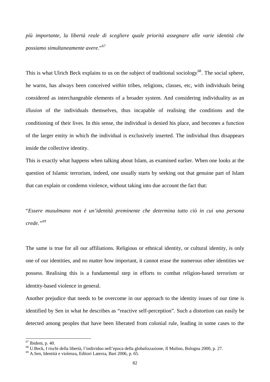*più importante, la libertà reale di scegliere quale priorità assegnare alle varie identità che possiamo simultaneamente avere*."[67](#page-85-0)

This is what Ulrich Beck explains to us on the subject of traditional sociology<sup>[68](#page-85-1)</sup>. The social sphere, he warns, has always been conceived *within* tribes, religions, classes, etc, with individuals being considered as interchangeable elements of a broader system. And considering individuality as an *illusion* of the individuals themselves, thus incapable of realising the conditions and the conditioning of their lives. In this sense, the individual is denied his place, and becomes a function of the larger entity in which the individual is exclusively inserted. The individual thus disappears inside the collective identity.

This is exactly what happens when talking about Islam, as examined earlier. When one looks at the question of Islamic terrorism, indeed, one usually starts by seeking out that genuine part of Islam that can explain or condemn violence, without taking into due account the fact that:

"*Essere musulmano non è un'identità preminente che determina tutto ciò in cui una persona crede."[69](#page-85-2)*

The same is true for all our affiliations. Religious or ethnical identity, or cultural identity, is only one of our identities, and no matter how important, it cannot erase the numerous other identities we possess. Realising this is a fundamental step in efforts to combat religion-based terrorism or identity-based violence in general.

Another prejudice that needs to be overcome in our approach to the identity issues of our time is identified by Sen in what he describes as "reactive self-perception". Such a distortion can easily be detected among peoples that have been liberated from colonial rule, leading in some cases to the

<span id="page-85-0"></span> $67$  Ibidem, p. 40.

<span id="page-85-1"></span><sup>68</sup> U.Beck, I rischi della libertà, l'individuo nell'epoca della globalizzazione, Il Mulino, Bologna 2000, p. 27. 69 A.Sen, Identità e violenza, Editori Laterza, Bari 2006, p. 65.

<span id="page-85-2"></span>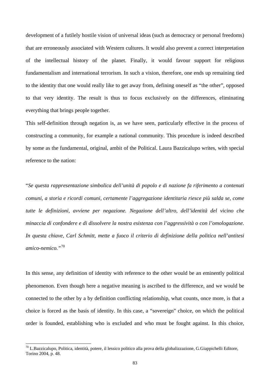development of a futilely hostile vision of universal ideas (such as democracy or personal freedoms) that are erroneously associated with Western cultures. It would also prevent a correct interpretation of the intellectual history of the planet. Finally, it would favour support for religious fundamentalism and international terrorism. In such a vision, therefore, one ends up remaining tied to the identity that one would really like to get away from, defining oneself as "the other", opposed to that very identity. The result is thus to focus exclusively on the differences, eliminating everything that brings people together.

This self-definition through negation is, as we have seen, particularly effective in the process of constructing a community, for example a national community. This procedure is indeed described by some as the fundamental, original, ambit of the Political. Laura Bazzicalupo writes, with special reference to the nation:

"*Se questa rappresentazione simbolica dell'unità di popolo e di nazione fa riferimento a contenuti comuni, a storia e ricordi comuni, certamente l'aggregazione identitaria riesce più salda se, come tutte le definizioni, avviene per negazione. Negazione dell'altro, dell'identità del vicino che minaccia di confondere e di dissolvere la nostra esistenza con l'aggressività o con l'omologazione. In questa chiave, Carl Schmitt, mette a fuoco il criterio di definizione della politica nell'antitesi amico-nemico."*[70](#page-86-0)

In this sense, any definition of identity with reference to the other would be an eminently political phenomenon. Even though here a negative meaning is ascribed to the difference, and we would be connected to the other by a by definition conflicting relationship, what counts, once more, is that a choice is forced as the basis of identity. In this case, a "sovereign" choice, on which the political order is founded, establishing who is excluded and who must be fought against. In this choice,

<span id="page-86-0"></span> $70$  L.Bazzicalupo, Politica, identità, potere, il lessico politico alla prova della globalizzazione, G.Giappichelli Editore, Torino 2004, p. 48.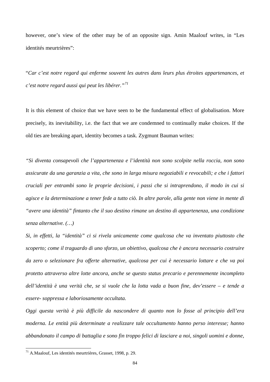however, one's view of the other may be of an opposite sign. Amin Maalouf writes, in "Les identités meurtrières":

"*Car c'est notre regard qui enferme souvent les autres dans leurs plus étroites appartenances, et c'est notre regard aussi qui peut les libérer."[71](#page-87-0)*

It is this element of choice that we have seen to be the fundamental effect of globalisation. More precisely, its inevitability, i.e. the fact that we are condemned to continually make choices. If the old ties are breaking apart, identity becomes a task. Zygmunt Bauman writes:

*"Si diventa consapevoli che l'appartenenza e l'identità non sono scolpite nella roccia, non sono assicurate da una garanzia a vita, che sono in larga misura negoziabili e revocabili; e che i fattori cruciali per entrambi sono le proprie decisioni, i passi che si intraprendono, il modo in cui si agisce e la determinazione a tener fede a tutto ciò. In altre parole, alla gente non viene in mente di "avere una identità" fintanto che il suo destino rimane un destino di appartenenza, una condizione senza alternative. (…)* 

*Si, in effetti, la "identità" ci si rivela unicamente come qualcosa che va inventato piuttosto che scoperto; come il traguardo di uno sforzo, un obiettivo, qualcosa che è ancora necessario costruire da zero o selezionare fra offerte alternative, qualcosa per cui è necessario lottare e che va poi protetto attraverso altre lotte ancora, anche se questo status precario e perennemente incompleto dell'identità è una verità che, se si vuole che la lotta vada a buon fine, dev'essere – e tende a essere- soppressa e laboriosamente occultata.* 

*Oggi questa verità è più difficile da nascondere di quanto non lo fosse al principio dell'era moderna. Le entità più determinate a realizzare tale occultamento hanno perso interesse; hanno abbandonato il campo di battaglia e sono fin troppo felici di lasciare a noi, singoli uomini e donne,* 

<span id="page-87-0"></span> $71$  A.Maalouf, Les identités meurtrières, Grasset, 1998, p. 29.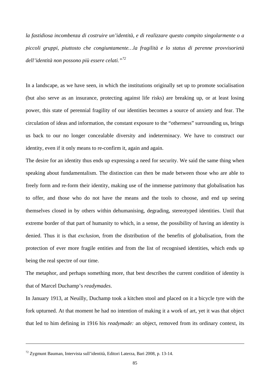*la fastidiosa incombenza di costruire un'identità, e di realizzare questo compito singolarmente o a piccoli gruppi, piuttosto che congiuntamente…la fragilità e lo status di perenne provvisorietà dell'identità non possono più essere celati."[72](#page-88-0)*

In a landscape, as we have seen, in which the institutions originally set up to promote socialisation (but also serve as an insurance, protecting against life risks) are breaking up, or at least losing power, this state of perennial fragility of our identities becomes a source of anxiety and fear. The circulation of ideas and information, the constant exposure to the "otherness" surrounding us, brings us back to our no longer concealable diversity and indeterminacy. We have to construct our identity, even if it only means to re-confirm it, again and again.

The desire for an identity thus ends up expressing a need for security. We said the same thing when speaking about fundamentalism. The distinction can then be made between those who are able to freely form and re-form their identity, making use of the immense patrimony that globalisation has to offer, and those who do not have the means and the tools to choose, and end up seeing themselves closed in by others within dehumanising, degrading, stereotyped identities. Until that extreme border of that part of humanity to which, in a sense, the possibility of having an identity is denied. Thus it is that *exclusion*, from the distribution of the benefits of globalisation, from the protection of ever more fragile entities and from the list of recognised identities, which ends up being the real spectre of our time.

The metaphor, and perhaps something more, that best describes the current condition of identity is that of Marcel Duchamp's *readymades*.

In January 1913, at Neuilly, Duchamp took a kitchen stool and placed on it a bicycle tyre with the fork upturned. At that moment he had no intention of making it a work of art, yet it was that object that led to him defining in 1916 his *readymade:* an object, removed from its ordinary context, its

<span id="page-88-0"></span><sup>72</sup> Zygmunt Bauman, Intervista sull'identità, Editori Laterza, Bari 2008, p. 13-14.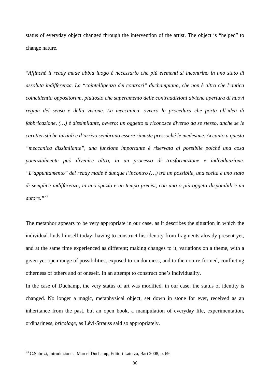status of everyday object changed through the intervention of the artist. The object is "helped" to change nature.

"*Affinché il ready made abbia luogo è necessario che più elementi si incontrino in uno stato di assoluta indifferenza. La "cointelligenza dei contrari" duchampiana, che non è altro che l'antica coincidentia oppositorum, piuttosto che superamento delle contraddizioni diviene apertura di nuovi regimi del senso e della visione. La meccanica, ovvero la procedura che porta all'idea di fabbricazione, (…) è dissimilante, ovvero: un oggetto si riconosce diverso da se stesso, anche se le caratteristiche iniziali e d'arrivo sembrano essere rimaste pressoché le medesime. Accanto a questa "meccanica dissimilante", una funzione importante è riservata al possibile poiché una cosa potenzialmente può divenire altro, in un processo di trasformazione e individuazione. "L'appuntamento" del ready made è dunque l'incontro (…) tra un possibile, una scelta e uno stato di semplice indifferenza, in uno spazio e un tempo precisi, con uno o più oggetti disponibili e un autore."[73](#page-89-0)*

The metaphor appears to be very appropriate in our case, as it describes the situation in which the individual finds himself today, having to construct his identity from fragments already present yet, and at the same time experienced as different; making changes to it, variations on a theme, with a given yet open range of possibilities, exposed to randomness, and to the non-re-formed, conflicting otherness of others and of oneself. In an attempt to construct one's individuality.

In the case of Duchamp, the very status of art was modified, in our case, the status of identity is changed. No longer a magic, metaphysical object, set down in stone for ever, received as an inheritance from the past, but an open book, a manipulation of everyday life, experimentation, ordinariness, *bricolage*, as Lévi-Strauss said so appropriately.

<span id="page-89-0"></span><sup>&</sup>lt;sup>73</sup> C.Subrizi, Introduzione a Marcel Duchamp, Editori Laterza, Bari 2008, p. 69.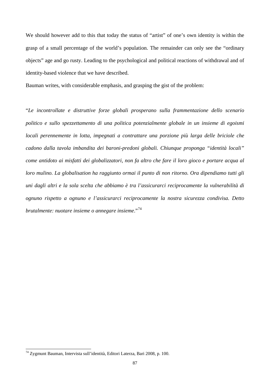We should however add to this that today the status of "artist" of one's own identity is within the grasp of a small percentage of the world's population. The remainder can only see the "ordinary objects" age and go rusty. Leading to the psychological and political reactions of withdrawal and of identity-based violence that we have described.

Bauman writes, with considerable emphasis, and grasping the gist of the problem:

"*Le incontrollate e distruttive forze globali prosperano sulla frammentazione dello scenario politico e sullo spezzettamento di una politica potenzialmente globale in un insieme di egoismi locali perennemente in lotta, impegnati a contrattare una porzione più larga delle briciole che cadono dalla tavola imbandita dei baroni-predoni globali. Chiunque proponga "identità locali" come antidoto ai misfatti dei globalizzatori, non fa altro che fare il loro gioco e portare acqua al loro mulino. La globalisation ha raggiunto ormai il punto di non ritorno. Ora dipendiamo tutti gli uni dagli altri e la sola scelta che abbiamo è tra l'assicurarci reciprocamente la vulnerabilità di ognuno rispetto a ognuno e l'assicurarci reciprocamente la nostra sicurezza condivisa. Detto brutalmente: nuotare insieme o annegare insieme*."[74](#page-90-0)

<span id="page-90-0"></span><sup>&</sup>lt;sup>74</sup> Zygmunt Bauman, Intervista sull'identità, Editori Laterza, Bari 2008, p. 100.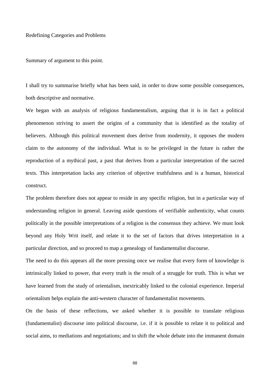## Redefining Categories and Problems

Summary of argument to this point.

I shall try to summarise briefly what has been said, in order to draw some possible consequences, both descriptive and normative.

We began with an analysis of religious fundamentalism, arguing that it is in fact a political phenomenon striving to assert the origins of a community that is identified as the totality of believers. Although this political movement does derive from modernity, it opposes the modern claim to the autonomy of the individual. What is to be privileged in the future is rather the reproduction of a mythical past, a past that derives from a particular interpretation of the sacred texts. This interpretation lacks any criterion of objective truthfulness and is a human, historical construct.

The problem therefore does not appear to reside in any specific religion, but in a particular way of understanding religion in general. Leaving aside questions of verifiable authenticity, what counts politically in the possible interpretations of a religion is the consensus they achieve. We must look beyond any Holy Writ itself, and relate it to the set of factors that drives interpretation in a particular direction, and so proceed to map a genealogy of fundamentalist discourse.

The need to do this appears all the more pressing once we realise that every form of knowledge is intrinsically linked to power, that every truth is the result of a struggle for truth. This is what we have learned from the study of orientalism, inextricably linked to the colonial experience. Imperial orientalism helps explain the anti-western character of fundamentalist movements.

On the basis of these reflections, we asked whether it is possible to translate religious (fundamentalist) discourse into political discourse, i.e. if it is possible to relate it to political and social aims, to mediations and negotiations; and to shift the whole debate into the immanent domain

88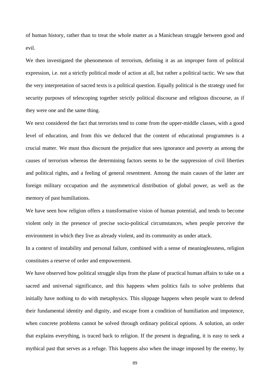of human history, rather than to treat the whole matter as a Manichean struggle between good and evil.

We then investigated the phenomenon of terrorism, defining it as an improper form of political expression, i.e. not a strictly political mode of action at all, but rather a political tactic. We saw that the very interpretation of sacred texts is a political question. Equally political is the strategy used for security purposes of telescoping together strictly political discourse and religious discourse, as if they were one and the same thing.

We next considered the fact that terrorists tend to come from the upper-middle classes, with a good level of education, and from this we deduced that the content of educational programmes is a crucial matter. We must thus discount the prejudice that sees ignorance and poverty as among the causes of terrorism whereas the determining factors seems to be the suppression of civil liberties and political rights, and a feeling of general resentment. Among the main causes of the latter are foreign military occupation and the asymmetrical distribution of global power, as well as the memory of past humiliations.

We have seen how religion offers a transformative vision of human potential, and tends to become violent only in the presence of precise socio-political circumstances, when people perceive the environment in which they live as already violent, and its community as under attack.

In a context of instability and personal failure, combined with a sense of meaninglessness, religion constitutes a reserve of order and empowerment.

We have observed how political struggle slips from the plane of practical human affairs to take on a sacred and universal significance, and this happens when politics fails to solve problems that initially have nothing to do with metaphysics. This slippage happens when people want to defend their fundamental identity and dignity, and escape from a condition of humiliation and impotence, when concrete problems cannot be solved through ordinary political options. A solution, an order that explains everything, is traced back to religion. If the present is degrading, it is easy to seek a mythical past that serves as a refuge. This happens also when the image imposed by the enemy, by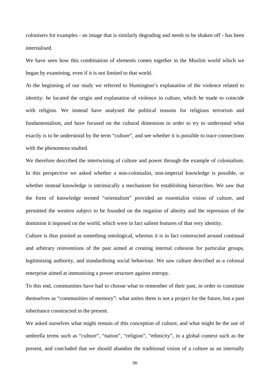colonisers for examples - an image that is similarly degrading and needs to be shaken off - has been internalised.

We have seen how this combination of elements comes together in the Muslim world which we began by examining, even if it is not limited to that world.

At the beginning of our study we referred to Huntington's explanation of the violence related to identity: he located the origin and explanation of violence in culture, which he made to coincide with religion. We instead have analysed the political reasons for religious terrorism and fundamentalism, and have focused on the cultural dimension in order to try to understand what exactly is to be understood by the term "culture", and see whether it is possible to trace connections with the phenomena studied.

We therefore described the intertwining of culture and power through the example of colonialism. In this perspective we asked whether a non-colonialist, non-imperial knowledge is possible, or whether instead knowledge is intrinsically a mechanism for establishing hierarchies. We saw that the form of knowledge termed "orientalism" provided an essentialist vision of culture, and permitted the western subject to be founded on the negation of alterity and the repression of the dominion it imposed on the world, which were in fact salient features of that very identity.

Culture is thus posited as something ontological, whereas it is in fact constructed around continual and arbitrary reinventions of the past aimed at creating internal cohesion for particular groups, legitimising authority, and standardising social behaviour. We saw culture described as a colossal enterprise aimed at immunising a power structure against entropy.

To this end, communities have had to choose what to remember of their past, in order to constitute themselves as "communities of memory": what unites them is not a project for the future, but a past inheritance constructed in the present.

We asked ourselves what might remain of this conception of culture, and what might be the use of umbrella terms such as "culture", "nation", "religion", "ethnicity", in a global context such as the present, and concluded that we should abandon the traditional vision of a culture as an internally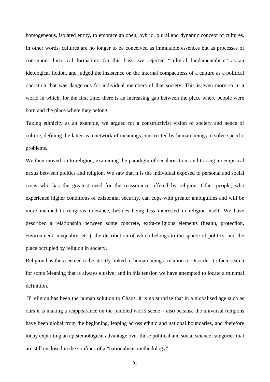homogeneous, isolated entity, to embrace an open, hybrid, plural and dynamic concept of cultures. In other words, cultures are no longer to be conceived as immutable essences but as processes of continuous historical formation. On this basis we rejected "cultural fundamentalism" as an ideological fiction, and judged the insistence on the internal compactness of a culture as a political operation that was dangerous for individual members of that society. This is even more so in a world in which, for the first time, there is an increasing gap between the place where people were born and the place where they belong.

Taking ethnicity as an example, we argued for a constructivist vision of society and hence of culture, defining the latter as a network of meanings constructed by human beings to solve specific problems.

We then moved on to religion, examining the paradigm of secularisation, and tracing an empirical nexus between politics and religion. We saw that it is the individual exposed to personal and social crisis who has the greatest need for the reassurance offered by religion. Other people, who experience higher conditions of existential security, can cope with greater ambiguities and will be more inclined to religious tolerance, besides being less interested in religion itself. We have described a relationship between some concrete, extra-religious elements (health, protection, environment, inequality, etc.), the distribution of which belongs to the sphere of politics, and the place occupied by religion in society.

Religion has thus seemed to be strictly linked to human beings' relation to Disorder, to their search for some Meaning that is always elusive; and in this tension we have attempted to locate a minimal definition.

 If religion has been the human solution to Chaos, it is no surprise that in a globalised age such as ours it is making a reappearance on the jumbled world scene – also because the universal religions have been global from the beginning, leaping across ethnic and national boundaries, and therefore today exploiting an epistemological advantage over those political and social science categories that are still enclosed in the confines of a "nationalistic methodology".

91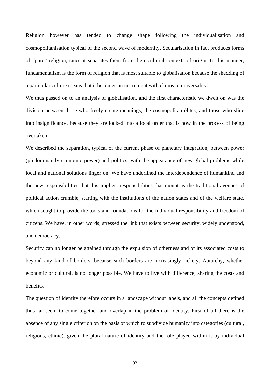Religion however has tended to change shape following the individualisation and cosmopolitanisation typical of the second wave of modernity. Secularisation in fact produces forms of "pure" religion, since it separates them from their cultural contexts of origin. In this manner, fundamentalism is the form of religion that is most suitable to globalisation because the shedding of a particular culture means that it becomes an instrument with claims to universality.

We thus passed on to an analysis of globalisation, and the first characteristic we dwelt on was the division between those who freely create meanings, the cosmopolitan élites, and those who slide into insignificance, because they are locked into a local order that is now in the process of being overtaken.

We described the separation, typical of the current phase of planetary integration, between power (predominantly economic power) and politics, with the appearance of new global problems while local and national solutions linger on. We have underlined the interdependence of humankind and the new responsibilities that this implies, responsibilities that mount as the traditional avenues of political action crumble, starting with the institutions of the nation states and of the welfare state, which sought to provide the tools and foundations for the individual responsibility and freedom of citizens. We have, in other words, stressed the link that exists between security, widely understood, and democracy.

Security can no longer be attained through the expulsion of otherness and of its associated costs to beyond any kind of borders, because such borders are increasingly rickety. Autarchy, whether economic or cultural, is no longer possible. We have to live with difference, sharing the costs and benefits.

The question of identity therefore occurs in a landscape without labels, and all the concepts defined thus far seem to come together and overlap in the problem of identity. First of all there is the absence of any single criterion on the basis of which to subdivide humanity into categories (cultural, religious, ethnic), given the plural nature of identity and the role played within it by individual

92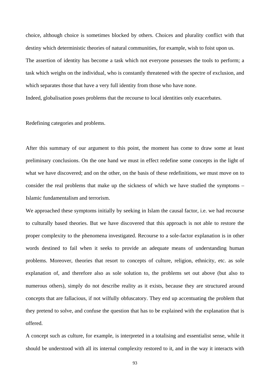choice, although choice is sometimes blocked by others. Choices and plurality conflict with that destiny which deterministic theories of natural communities, for example, wish to foist upon us. The assertion of identity has become a task which not everyone possesses the tools to perform; a task which weighs on the individual, who is constantly threatened with the spectre of exclusion, and which separates those that have a very full identity from those who have none. Indeed, globalisation poses problems that the recourse to local identities only exacerbates.

Redefining categories and problems.

After this summary of our argument to this point, the moment has come to draw some at least preliminary conclusions. On the one hand we must in effect redefine some concepts in the light of what we have discovered; and on the other, on the basis of these redefinitions, we must move on to consider the real problems that make up the sickness of which we have studied the symptoms – Islamic fundamentalism and terrorism.

We approached these symptoms initially by seeking in Islam the causal factor, i.e. we had recourse to culturally based theories. But we have discovered that this approach is not able to restore the proper complexity to the phenomena investigated. Recourse to a sole-factor explanation is in other words destined to fail when it seeks to provide an adequate means of understanding human problems. Moreover, theories that resort to concepts of culture, religion, ethnicity, etc. as sole explanation of, and therefore also as sole solution to, the problems set out above (but also to numerous others), simply do not describe reality as it exists, because they are structured around concepts that are fallacious, if not wilfully obfuscatory. They end up accentuating the problem that they pretend to solve, and confuse the question that has to be explained with the explanation that is offered.

A concept such as culture, for example, is interpreted in a totalising and essentialist sense, while it should be understood with all its internal complexity restored to it, and in the way it interacts with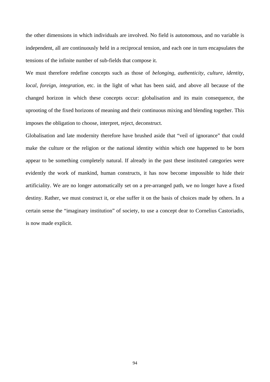the other dimensions in which individuals are involved. No field is autonomous, and no variable is independent, all are continuously held in a reciprocal tension, and each one in turn encapsulates the tensions of the infinite number of sub-fields that compose it.

We must therefore redefine concepts such as those of *belonging*, *authenticity*, *culture*, *identity*, *local*, *foreign*, *integration*, etc. in the light of what has been said, and above all because of the changed horizon in which these concepts occur: globalisation and its main consequence, the uprooting of the fixed horizons of meaning and their continuous mixing and blending together. This imposes the obligation to choose, interpret, reject, deconstruct.

Globalisation and late modernity therefore have brushed aside that "veil of ignorance" that could make the culture or the religion or the national identity within which one happened to be born appear to be something completely natural. If already in the past these instituted categories were evidently the work of mankind, human constructs, it has now become impossible to hide their artificiality. We are no longer automatically set on a pre-arranged path, we no longer have a fixed destiny. Rather, we must construct it, or else suffer it on the basis of choices made by others. In a certain sense the "imaginary institution" of society, to use a concept dear to Cornelius Castoriadis, is now made explicit.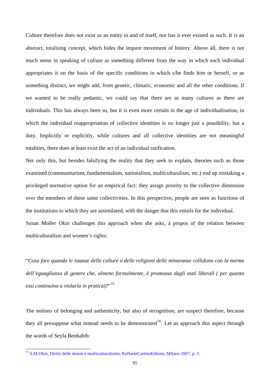Culture therefore does not exist as an entity in and of itself, nor has it ever existed as such. It is an abstract, totalising concept, which hides the impure movement of history. Above all, there is not much sense in speaking of culture as something different from the way in which each individual appropriates it on the basis of the specific conditions in which s/he finds him or herself, or as something distinct, we might add, from genetic, climatic, economic and all the other conditions. If we wanted to be really pedantic, we could say that there are as many cultures as there are individuals. This has always been so, but it is even more certain in the age of individualisation, in which the individual reappropriation of collective identities is no longer just a possibility, but a duty. Implicitly or explicitly, while cultures and all collective identities are not meaningful totalities, there does at least exist the act of an individual ratification.

Not only this, but besides falsifying the reality that they seek to explain, theories such as those examined (communitarism, fundamentalism, nationalism, multiculturalism, etc.) end up mistaking a privileged normative option for an empirical fact: they assign priority to the collective dimension over the members of these same collectivities. In this perspective, people are seen as functions of the institutions to which they are assimilated, with the danger that this entails for the individual. Susan Moller Okin challenges this approach when she asks, à propos of the relation between

multiculturalism and women's rights:

<span id="page-98-1"></span> $\overline{a}$ 

"*Cosa fare quando le istanze delle culture o delle religioni delle minoranze collidono con la norma dell'eguaglianza di genere che, almeno formalmente, è promossa dagli stati liberali ( per quanto essi continuino a violarla in pratica*)?"[75](#page-98-0)

The notions of belonging and authenticity, but also of recognition, are suspect therefore, because they all presuppose what instead needs to be demonstrated<sup>[76](#page-98-1)</sup>. Let us approach this aspect through the words of Seyla Benhabib:

<span id="page-98-0"></span><sup>75</sup> S.M.Okin, Diritti delle donne e multiculturalismo, RaffaeleCortinaEditore, Milano 2007, p. 3.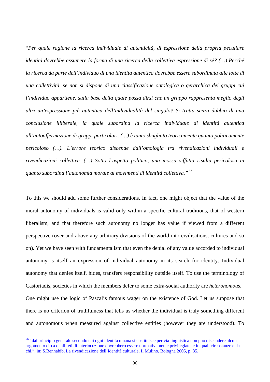"*Per quale ragione la ricerca individuale di autenticità, di espressione della propria peculiare identità dovrebbe assumere la forma di una ricerca della collettiva espressione di sé? (…) Perché la ricerca da parte dell'individuo di una identità autentica dovrebbe essere subordinata alle lotte di una collettività, se non si dispone di una classificazione ontologica o gerarchica dei gruppi cui l'individuo appartiene, sulla base della quale possa dirsi che un gruppo rappresenta meglio degli altri un'espressione più autentica dell'individualità del singolo? Si tratta senza dubbio di una conclusione illiberale, la quale subordina la ricerca individuale di identità autentica all'autoaffermazione di gruppi particolari. (…) è tanto sbagliato teoricamente quanto politicamente pericoloso (…). L'errore teorico discende dall'omologia tra rivendicazioni individuali e rivendicazioni collettive. (…) Sotto l'aspetto politico, una mossa siffatta risulta pericolosa in quanto subordina l'autonomia morale ai movimenti di identità collettiva."[77](#page-99-0)*

To this we should add some further considerations. In fact, one might object that the value of the moral autonomy of individuals is valid only within a specific cultural traditions, that of western liberalism, and that therefore such autonomy no longer has value if viewed from a different perspective (over and above any arbitrary divisions of the world into civilisations, cultures and so on). Yet we have seen with fundamentalism that even the denial of any value accorded to individual autonomy is itself an expression of individual autonomy in its search for identity. Individual autonomy that denies itself, hides, transfers responsibility outside itself. To use the terminology of Castoriadis, societies in which the members defer to some extra-social authority are *heteronomous*. One might use the logic of Pascal's famous wager on the existence of God. Let us suppose that there is no criterion of truthfulness that tells us whether the individual is truly something different and autonomous when measured against collective entities (however they are understood). To

 $\overline{\phantom{a}}$ 

<span id="page-99-0"></span><sup>&</sup>lt;sup>76</sup> "dal principio generale secondo cui ogni identità umana si costituisce per via linguistica non può discendere alcun argomento circa quali reti di interlocuzione dovrebbero essere normativamente privilegiate, e in quali circostanze e da chi.". in: S.Benhabib, La rivendicazione dell'identità culturale, Il Mulino, Bologna 2005, p. 85.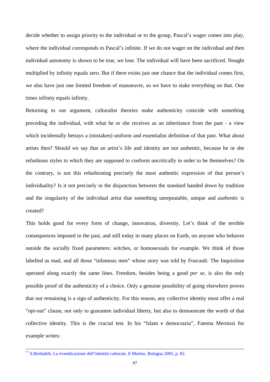decide whether to assign priority to the individual or to the group, Pascal's wager comes into play, where the individual corresponds to Pascal's infinite. If we do not wager on the individual and then individual autonomy is shown to be true, we lose. The individual will have been sacrificed. Nought multiplied by infinity equals zero. But if there exists just one chance that the individual comes first, we also have just one limited freedom of manoeuvre, so we have to stake everything on that. One times infinity equals infinity.

Returning to our argument, culturalist theories make authenticity coincide with something preceding the individual, with what he or she receives as an inheritance from the past - a view which incidentally betrays a (mistaken) uniform and essentialist definition of that past. What about artists then? Should we say that an artist's life and identity are not authentic, because he or she refashions styles to which they are supposed to conform uncritically in order to be themselves? On the contrary, is not this refashioning precisely the most authentic expression of that person's individuality? Is it not precisely in the disjunction between the standard handed down by tradition and the singularity of the individual artist that something unrepeatable, unique and *authentic* is created?

This holds good for every form of change, innovation, diversity. Let's think of the terrible consequences imposed in the past, and still today in many places on Earth, on anyone who behaves outside the socially fixed parameters: witches, or homosexuals for example. We think of those labelled as mad, and all those "infamous men" whose story was told by Foucault. The Inquisition operated along exactly the same lines. Freedom, besides being a good *per se*, is also the only possible proof of the authenticity of a choice. Only a genuine possibility of going elsewhere proves that our remaining is a sign of authenticity. For this reason, any collective identity must offer a real "opt-out" clause, not only to guarantee individual liberty, but also to demonstrate the worth of that collective identity. This is the crucial test. In his "Islam e democrazia", Fatema Mernissi for example writes:

<sup>77</sup> S.Benhabib, La rivendicazione dell'identità culturale, Il Mulino, Bologna 2005, p. 82.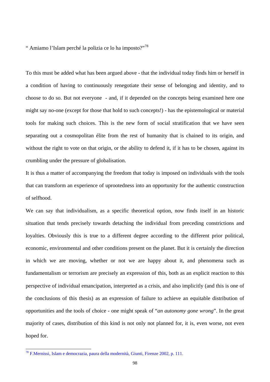" Amiamo l'Islam perché la polizia ce lo ha imposto?"<sup>[78](#page-101-0)</sup>

To this must be added what has been argued above - that the individual today finds him or herself in a condition of having to continuously renegotiate their sense of belonging and identity, and to choose to do so. But not everyone - and, if it depended on the concepts being examined here one might say no-one (except for those that hold to such concepts!) - has the epistemological or material tools for making such choices. This is the new form of social stratification that we have seen separating out a cosmopolitan élite from the rest of humanity that is chained to its origin, and without the right to vote on that origin, or the ability to defend it, if it has to be chosen, against its crumbling under the pressure of globalisation.

It is thus a matter of accompanying the freedom that today is imposed on individuals with the tools that can transform an experience of uprootedness into an opportunity for the authentic construction of selfhood.

We can say that individualism, as a specific theoretical option, now finds itself in an historic situation that tends precisely towards detaching the individual from preceding constrictions and loyalties. Obviously this is true to a different degree according to the different prior political, economic, environmental and other conditions present on the planet. But it is certainly the direction in which we are moving, whether or not we are happy about it, and phenomena such as fundamentalism or terrorism are precisely an expression of this, both as an explicit reaction to this perspective of individual emancipation, interpreted as a crisis, and also implicitly (and this is one of the conclusions of this thesis) as an expression of failure to achieve an equitable distribution of opportunities and the tools of choice - one might speak of "*an autonomy gone wrong*". In the great majority of cases, distribution of this kind is not only not planned for, it is, even worse, not even hoped for.

<span id="page-101-0"></span><sup>&</sup>lt;sup>78</sup> F.Mernissi, Islam e democrazia, paura della modernità, Giunti, Firenze 2002, p. 111.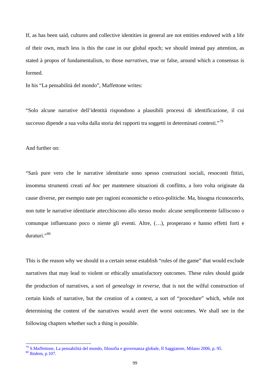If, as has been said, cultures and collective identities in general are not entities endowed with a life of their own, much less is this the case in our global epoch; we should instead pay attention, as stated à propos of fundamentalism, to those *narratives*, true or false, around which a consensus is formed.

In his "La pensabilità del mondo", Maffettone writes:

"Solo alcune narrative dell'identità rispondono a plausibili processi di identificazione, il cui successo dipende a sua volta dalla storia dei rapporti tra soggetti in determinati contesti."<sup>[79](#page-102-0)</sup>

And further on:

 $\overline{\phantom{a}}$ 

"Sarà pure vero che le narrative identitarie sono spesso costruzioni sociali, resoconti fittizi, insomma strumenti creati *ad hoc* per mantenere situazioni di conflitto, a loro volta originate da cause diverse, per esempio nate per ragioni economiche o etico-politiche. Ma, bisogna riconoscerlo, non tutte le narrative identitarie attecchiscono allo stesso modo: alcune semplicemente falliscono o comunque influenzano poco o niente gli eventi. Altre, (…), prosperano e hanno effetti forti e duraturi."[80](#page-102-1)

This is the reason why we should in a certain sense establish "rules of the game" that would exclude narratives that may lead to violent or ethically unsatisfactory outcomes. These rules should guide the production of narratives, a sort of *genealogy in reverse*, that is not the wilful construction of certain kinds of narrative, but the creation of a context, a sort of "procedure" which, while not determining the content of the narratives would avert the worst outcomes. We shall see in the following chapters whether such a thing is possible.

<span id="page-102-1"></span><span id="page-102-0"></span><sup>&</sup>lt;sup>79</sup> S.Maffettone, La pensabilità del mondo, filosofia e governanza globale, Il Saggiatore, Milano 2006, p. 95.<br><sup>80</sup> Ibidem, p.107.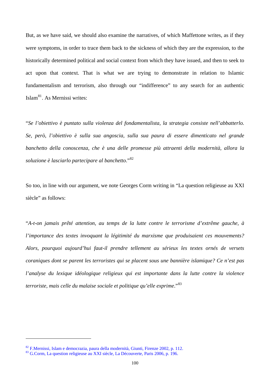But, as we have said, we should also examine the narratives, of which Maffettone writes, as if they were symptoms, in order to trace them back to the sickness of which they are the expression, to the historically determined political and social context from which they have issued, and then to seek to act upon that context. That is what we are trying to demonstrate in relation to Islamic fundamentalism and terrorism, also through our "indifference" to any search for an authentic Islam[81](#page-103-0). As Mernissi writes:

"*Se l'obiettivo è puntato sulla violenza del fondamentalista, la strategia consiste nell'abbatterlo. Se, però, l'obiettivo è sulla sua angoscia, sulla sua paura di essere dimenticato nel grande banchetto della conoscenza, che è una delle promesse più attraenti della modernità, allora la soluzione è lasciarlo partecipare al banchetto*."[82](#page-103-1)

So too, in line with our argument, we note Georges Corm writing in "La question religieuse au XXI siècle" as follows:

"*A-t-on jamais prêté attention, au temps de la lutte contre le terrorisme d'extrême gauche, à l'importance des textes invoquant la légitimité du marxisme que produisaient ces mouvements? Alors, pourquoi aujourd'hui faut-il prendre tellement au sérieux les textes ornés de versets coraniques dont se parent les terroristes qui se placent sous une bannière islamique? Ce n'est pas l'analyse du lexique idéologique religieux qui est importante dans la lutte contre la violence terroriste, mais celle du malaise sociale et politique qu'elle exprime*."[83](#page-103-2)

 $\overline{\phantom{a}}$ 

<span id="page-103-1"></span><span id="page-103-0"></span><sup>82</sup> F.Mernissi, Islam e democrazia, paura della modernità, Giunti, Firenze 2002, p. 112.

<span id="page-103-2"></span><sup>83</sup> G.Corm, La question religieuse au XXI siècle, La Découverte, Paris 2006, p. 196.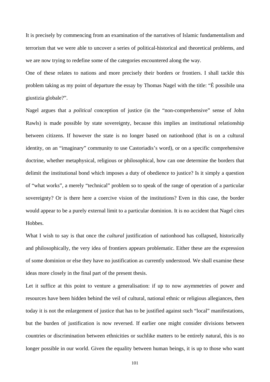It is precisely by commencing from an examination of the narratives of Islamic fundamentalism and terrorism that we were able to uncover a series of political-historical and theoretical problems, and we are now trying to redefine some of the categories encountered along the way.

One of these relates to nations and more precisely their borders or frontiers. I shall tackle this problem taking as my point of departure the essay by Thomas Nagel with the title: "È possibile una giustizia globale?".

Nagel argues that a *political* conception of justice (in the "non-comprehensive" sense of John Rawls) is made possible by state sovereignty, because this implies an institutional relationship between citizens. If however the state is no longer based on nationhood (that is on a cultural identity, on an "imaginary" community to use Castoriadis's word), or on a specific comprehensive doctrine, whether metaphysical, religious or philosophical, how can one determine the borders that delimit the institutional bond which imposes a duty of obedience to justice? Is it simply a question of "what works", a merely "technical" problem so to speak of the range of operation of a particular sovereignty? Or is there here a coercive vision of the institutions? Even in this case, the border would appear to be a purely external limit to a particular dominion. It is no accident that Nagel cites **Hobbes** 

What I wish to say is that once the *cultural* justification of nationhood has collapsed, historically and philosophically, the very idea of frontiers appears problematic. Either these are the expression of some dominion or else they have no justification as currently understood. We shall examine these ideas more closely in the final part of the present thesis.

Let it suffice at this point to venture a generalisation: if up to now asymmetries of power and resources have been hidden behind the veil of cultural, national ethnic or religious allegiances, then today it is not the enlargement of justice that has to be justified against such "local" manifestations, but the burden of justification is now reversed. If earlier one might consider divisions between countries or discrimination between ethnicities or suchlike matters to be entirely natural, this is no longer possible in our world. Given the equality between human beings, it is up to those who want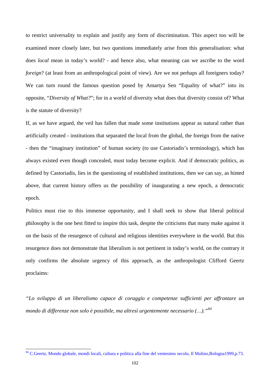to restrict universality to explain and justify any form of discrimination. This aspect too will be examined more closely later, but two questions immediately arise from this generalisation: what does *local* mean in today's world? - and hence also, what meaning can we ascribe to the word *foreign*? (at least from an anthropological point of view). Are we not perhaps all foreigners today? We can turn round the famous question posed by Amartya Sen "Equality of what?" into its opposite, "*Diversity of What?*"; for in a world of diversity what does that diversity consist of? What is the statute of diversity?

If, as we have argued, the veil has fallen that made some institutions appear as natural rather than artificially created - institutions that separated the local from the global, the foreign from the native - then the "imaginary institution" of human society (to use Castoriadis's terminology), which has always existed even though concealed, must today become explicit. And if democratic politics, as defined by Castoriadis, lies in the questioning of established institutions, then we can say, as hinted above, that current history offers us the possibility of inaugurating a new epoch, a democratic epoch.

Politics must rise to this immense opportunity, and I shall seek to show that liberal political philosophy is the one best fitted to inspire this task, despite the criticisms that many make against it on the basis of the resurgence of cultural and religious identities everywhere in the world. But this resurgence does not demonstrate that liberalism is not pertinent in today's world, on the contrary it only confirms the absolute urgency of this approach, as the anthropologist Clifford Geertz proclaims:

*"Lo sviluppo di un liberalismo capace di coraggio e competenze sufficienti per affrontare un mondo di differenze non solo è possibile, ma altresì urgentemente necessario (…)."[84](#page-105-0)*

<span id="page-105-0"></span><sup>&</sup>lt;sup>84</sup> C.Geertz, Mondo globale, mondi locali, cultura e politica alla fine del ventesimo secolo, Il Mulino,Bologna1999,p.73.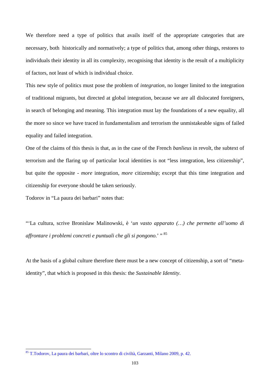We therefore need a type of politics that avails itself of the appropriate categories that are necessary, both historically and normatively; a type of politics that, among other things, restores to individuals their identity in all its complexity, recognising that identity is the result of a multiplicity of factors, not least of which is individual choice.

This new style of politics must pose the problem of *integration*, no longer limited to the integration of traditional migrants, but directed at global integration, because we are all dislocated foreigners, in search of belonging and meaning. This integration must lay the foundations of a new equality, all the more so since we have traced in fundamentalism and terrorism the unmistakeable signs of failed equality and failed integration.

One of the claims of this thesis is that, as in the case of the French *banlieus* in revolt, the subtext of terrorism and the flaring up of particular local identities is not "less integration, less citizenship", but quite the opposite - *more* integration, *more* citizenship; except that this time integration and citizenship for everyone should be taken seriously.

Todorov in "La paura dei barbari" notes that:

 $\overline{a}$ 

"'La cultura, scrive Bronislaw Malinowski, è '*un vasto apparato (…) che permette all'uomo di affrontare i problemi concreti e puntuali che gli si pongono*.' " [85](#page-106-0)

At the basis of a global culture therefore there must be a new concept of citizenship, a sort of "metaidentity", that which is proposed in this thesis: the *Sustainable Identity*.

<span id="page-106-0"></span><sup>&</sup>lt;sup>85</sup> T.Todorov, La paura dei barbari, oltre lo scontro di civiltà, Garzanti, Milano 2009, p. 42.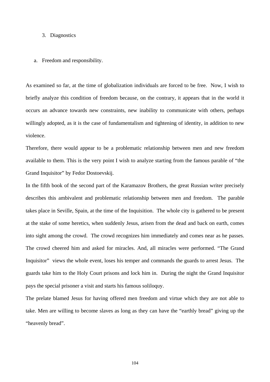## 3. Diagnostics

## a. Freedom and responsibility.

As examined so far, at the time of globalization individuals are forced to be free. Now, I wish to briefly analyze this condition of freedom because, on the contrary, it appears that in the world it occurs an advance towards new constraints, new inability to communicate with others, perhaps willingly adopted, as it is the case of fundamentalism and tightening of identity, in addition to new violence.

Therefore, there would appear to be a problematic relationship between men and new freedom available to them. This is the very point I wish to analyze starting from the famous parable of "the Grand Inquisitor" by Fedor Dostoevskij.

In the fifth book of the second part of the Karamazov Brothers, the great Russian writer precisely describes this ambivalent and problematic relationship between men and freedom. The parable takes place in Seville, Spain, at the time of the Inquisition. The whole city is gathered to be present at the stake of some heretics, when suddenly Jesus, arisen from the dead and back on earth, comes into sight among the crowd. The crowd recognizes him immediately and comes near as he passes. The crowd cheered him and asked for miracles. And, all miracles were performed. "The Grand Inquisitor" views the whole event, loses his temper and commands the guards to arrest Jesus. The guards take him to the Holy Court prisons and lock him in. During the night the Grand Inquisitor pays the special prisoner a visit and starts his famous soliloquy.

The prelate blamed Jesus for having offered men freedom and virtue which they are not able to take. Men are willing to become slaves as long as they can have the "earthly bread" giving up the "heavenly bread".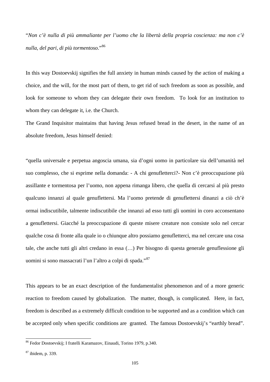"*Non c'è nulla di più ammaliante per l'uomo che la libertà della propria coscienza: ma non c'è nulla, del pari, di più tormentoso*."[86](#page-108-0)

In this way Dostoevskij signifies the full anxiety in human minds caused by the action of making a choice, and the will, for the most part of them, to get rid of such freedom as soon as possible, and look for someone to whom they can delegate their own freedom. To look for an institution to whom they can delegate it, i.e. the Church.

The Grand Inquisitor maintains that having Jesus refused bread in the desert, in the name of an absolute freedom, Jesus himself denied:

"quella universale e perpetua angoscia umana, sia d'ogni uomo in particolare sia dell'umanità nel suo complesso, che si esprime nella domanda: - A chi genufletterci?- Non c'è preoccupazione più assillante e tormentosa per l'uomo, non appena rimanga libero, che quella di cercarsi al più presto qualcuno innanzi al quale genuflettersi. Ma l'uomo pretende di genuflettersi dinanzi a ciò ch'è ormai indiscutibile, talmente indiscutibile che innanzi ad esso tutti gli uomini in coro acconsentano a genuflettersi. Giacché la preoccupazione di queste misere creature non consiste solo nel cercar qualche cosa di fronte alla quale io o chiunque altro possiamo genufletterci, ma nel cercare una cosa tale, che anche tutti gli altri credano in essa (…) Per bisogno di questa generale genuflessione gli uomini si sono massacrati l'un l'altro a colpi di spada."[87](#page-108-1)

This appears to be an exact description of the fundamentalist phenomenon and of a more generic reaction to freedom caused by globalization. The matter, though, is complicated. Here, in fact, freedom is described as a extremely difficult condition to be supported and as a condition which can be accepted only when specific conditions are granted. The famous Dostoevskij's "earthly bread".

<span id="page-108-0"></span><sup>&</sup>lt;sup>86</sup> Fedor Dostoevskij; I fratelli Karamazov, Einaudi, Torino 1979, p.340.

<span id="page-108-1"></span><sup>87</sup> ibidem, p. 339.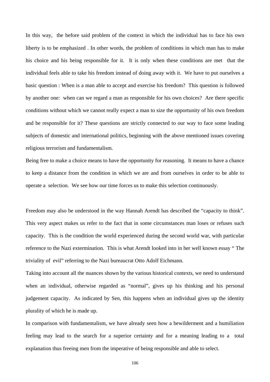In this way, the before said problem of the context in which the individual has to face his own liberty is to be emphasized . In other words, the problem of conditions in which man has to make his choice and his being responsible for it. It is only when these conditions are met that the individual feels able to take his freedom instead of doing away with it. We have to put ourselves a basic question : When is a man able to accept and exercise his freedom? This question is followed by another one: when can we regard a man as responsible for his own choices? Are there specific conditions without which we cannot really expect a man to size the opportunity of his own freedom and be responsible for it? These questions are strictly connected to our way to face some leading subjects of domestic and international politics, beginning with the above mentioned issues covering religious terrorism and fundamentalism.

Being free to make a choice means to have the opportunity for reasoning. It means to have a chance to keep a distance from the condition in which we are and from ourselves in order to be able to operate a selection. We see how our time forces us to make this selection continuously.

Freedom may also be understood in the way Hannah Arendt has described the "capacity to think". This very aspect makes us refer to the fact that in some circumstances man loses or refuses such capacity. This is the condition the world experienced during the second world war, with particular reference to the Nazi extermination. This is what Arendt looked into in her well known essay " The triviality of evil" referring to the Nazi bureaucrat Otto Adolf Eichmann.

Taking into account all the nuances shown by the various historical contexts, we need to understand when an individual, otherwise regarded as "normal", gives up his thinking and his personal judgement capacity. As indicated by Sen, this happens when an individual gives up the identity plurality of which he is made up.

In comparison with fundamentalism, we have already seen how a bewilderment and a humiliation feeling may lead to the search for a superior certainty and for a meaning leading to a total explanation thus freeing men from the imperative of being responsible and able to select.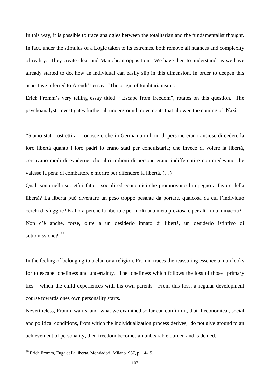In this way, it is possible to trace analogies between the totalitarian and the fundamentalist thought. In fact, under the stimulus of a Logic taken to its extremes, both remove all nuances and complexity of reality. They create clear and Manichean opposition. We have then to understand, as we have already started to do, how an individual can easily slip in this dimension. In order to deepen this aspect we referred to Arendt's essay "The origin of totalitarianism".

Erich Fromm's very telling essay titled " Escape from freedom", rotates on this question. The psychoanalyst investigates further all underground movements that allowed the coming of Nazi.

"Siamo stati costretti a riconoscere che in Germania milioni di persone erano ansiose di cedere la loro libertà quanto i loro padri lo erano stati per conquistarla; che invece di volere la libertà, cercavano modi di evaderne; che altri milioni di persone erano indifferenti e non credevano che valesse la pena di combattere e morire per difendere la libertà. (…)

Quali sono nella società i fattori sociali ed economici che promuovono l'impegno a favore della libertà? La libertà può diventare un peso troppo pesante da portare, qualcosa da cui l'individuo cerchi di sfuggire? E allora perché la libertà è per molti una meta preziosa e per altri una minaccia? Non c'è anche, forse, oltre a un desiderio innato di libertà, un desiderio istintivo di sottomissione?"[88](#page-110-0)

In the feeling of belonging to a clan or a religion, Fromm traces the reassuring essence a man looks for to escape loneliness and uncertainty. The loneliness which follows the loss of those "primary ties" which the child experiences with his own parents. From this loss, a regular development course towards ones own personality starts.

Nevertheless, Fromm warns, and what we examined so far can confirm it, that if economical, social and political conditions, from which the individualization process derives, do not give ground to an achievement of personality, then freedom becomes an unbearable burden and is denied.

<span id="page-110-0"></span><sup>88</sup> Erich Fromm, Fuga dalla libertà, Mondadori, Milano1987, p. 14-15.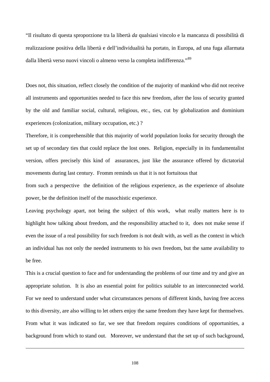"Il risultato di questa sproporzione tra la libertà *da* qualsiasi vincolo e la mancanza di possibilità di realizzazione positiva della libertà e dell'individualità ha portato, in Europa, ad una fuga allarmata dalla libertà verso nuovi vincoli o almeno verso la completa indifferenza."<sup>[89](#page-111-0)</sup>

Does not, this situation, reflect closely the condition of the majority of mankind who did not receive all instruments and opportunities needed to face this new freedom, after the loss of security granted by the old and familiar social, cultural, religious, etc., ties, cut by globalization and dominium experiences (colonization, military occupation, etc.) ?

Therefore, it is comprehensible that this majority of world population looks for security through the set up of secondary ties that could replace the lost ones. Religion, especially in its fundamentalist version, offers precisely this kind of assurances, just like the assurance offered by dictatorial movements during last century. Fromm reminds us that it is not fortuitous that

from such a perspective the definition of the religious experience, as the experience of absolute power, be the definition itself of the masochistic experience.

Leaving psychology apart, not being the subject of this work, what really matters here is to highlight how talking about freedom, and the responsibility attached to it, does not make sense if even the issue of a real possibility for such freedom is not dealt with, as well as the context in which an individual has not only the needed instruments to his own freedom, but the same availability to be free.

<span id="page-111-0"></span>This is a crucial question to face and for understanding the problems of our time and try and give an appropriate solution. It is also an essential point for politics suitable to an interconnected world. For we need to understand under what circumstances persons of different kinds, having free access to this diversity, are also willing to let others enjoy the same freedom they have kept for themselves. From what it was indicated so far, we see that freedom requires conditions of opportunities, a background from which to stand out. Moreover, we understand that the set up of such background,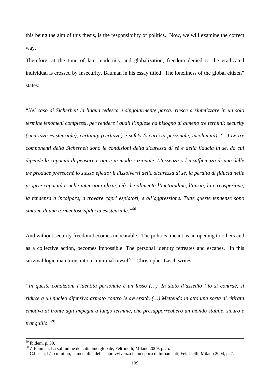this being the aim of this thesis, is the responsibility of politics. Now, we will examine the correct way.

Therefore, at the time of late modernity and globalization, freedom denied to the eradicated individual is crossed by Insecurity. Bauman in his essay titled "The loneliness of the global citizen" states:

"*Nel caso di Sicherheit la lingua tedesca è singolarmente parca: riesce a sintetizzare in un solo termine fenomeni complessi, per rendere i quali l'inglese ha bisogno di almeno tre termini: security (sicurezza esistenziale), certainty (certezza) e safety (sicurezza personale, incolumità). (…) Le tre componenti della Sicherheit sono le condizioni della sicurezza di sé e della fiducia in sé, da cui dipende la capacità di pensare e agire in modo razionale. L'assenza o l'insufficienza di una delle tre produce pressoché lo stesso effetto: il dissolversi della sicurezza di sé, la perdita di fiducia nelle proprie capacità e nelle intenzioni altrui, ciò che alimenta l'inettitudine, l'ansia, la circospezione, la tendenza a incolpare, a trovare capri espiatori, e all'aggressione. Tutte queste tendenze sono sintomi di una tormentosa sfiducia esistenziale."[90](#page-112-0)*

And without security freedom becomes unbearable. The politics, meant as an opening to others and as a collective action, becomes impossible. The personal identity retreates and escapes. In this survival logic man turns into a "minimal myself". Christopher Lasch writes:

*"In queste condizioni l'identità personale è un lusso (…). In stato d'assedio l'io si contrae, si riduce a un nucleo difensivo armato contro le avversità. (…) Mettendo in atto una sorta di ritirata emotiva di fronte agli impegni a lungo termine, che presupporrebbero un mondo stabile, sicuro e tranquillo."[91](#page-112-1)*

<sup>&</sup>lt;sup>89</sup> Ibidem, p. 39.

<span id="page-112-0"></span><sup>90</sup> Z.Bauman, La solitudine del cittadino globale, Feltrinelli, Milano 2009, p.25.

<span id="page-112-1"></span><sup>&</sup>lt;sup>91</sup> C.Lasch, L'ìo minimo, la mentalità della sopravvivenza in un epoca di turbamenti, Feltrinelli, Milano 2004, p. 7.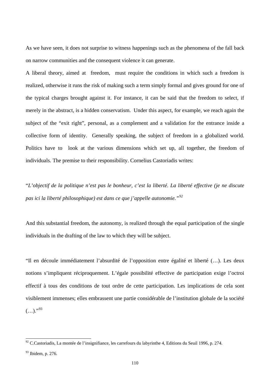As we have seen, it does not surprise to witness happenings such as the phenomena of the fall back on narrow communities and the consequent violence it can generate.

A liberal theory, aimed at freedom, must require the conditions in which such a freedom is realized, otherwise it runs the risk of making such a term simply formal and gives ground for one of the typical charges brought against it. For instance, it can be said that the freedom to select, if merely in the abstract, is a hidden conservatism. Under this aspect, for example, we reach again the subject of the "exit right", personal, as a complement and a validation for the entrance inside a collective form of identity. Generally speaking, the subject of freedom in a globalized world. Politics have to look at the various dimensions which set up, all together, the freedom of individuals. The premise to their responsibility. Cornelius Castoriadis writes:

"*L'objectif de la politique n'est pas le bonheur, c'est la liberté. La liberté effective (je ne discute pas ici la liberté philosophique) est dans ce que j'appelle autonomie."[92](#page-113-0)*

And this substantial freedom, the autonomy, is realized through the equal participation of the single individuals in the drafting of the law to which they will be subject.

"Il en découle immédiatement l'absurdité de l'opposition entre égalité et liberté (…). Les deux notions s'impliquent réciproquement. L'égale possibilité effective de participation exige l'octroi effectif à tous des conditions de tout ordre de cette participation. Les implications de cela sont visiblement immenses; elles embrassent une partie considérable de l'institution globale de la société  $(...).$ <sup>"[93](#page-113-1)</sup>

<span id="page-113-0"></span> $92$  C.Castoriadis, La montée de l'insignifiance, les carrefours du labyrinthe 4, Editions du Seuil 1996, p. 274.

<span id="page-113-1"></span><sup>&</sup>lt;sup>93</sup> Ibidem, p. 276.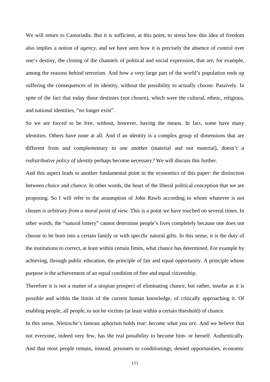We will return to Castoriadis. But it is sufficient, at this point, to stress how this idea of freedom also implies a notion of *agency,* and we have seen how it is precisely the absence of control over one's destiny, the closing of the channels of political and social expression, that are, for example, among the reasons behind terrorism. And how a very large part of the world's population ends up suffering the consequences of its identity, without the possibility to actually choose. Passively. In spite of the fact that today those destinies (not chosen), which were the cultural, ethnic, religious, and national identities, "no longer exist".

So we are forced to be free, without, however, having the means. In fact, some have many identities. Others have none at all. And if an identity is a complex group of dimensions that are different from and complementary to one another (material and not material), doesn't *a redistributive policy of identity* perhaps become necessary*?* We will discuss this further.

And this aspect leads to another fundamental point in the economics of this paper: the distinction between *choice* and *chance*. In other words, the heart of the liberal political conception that we are proposing. So I will refer to the assumption of John Rawls according to whom whatever is not chosen *is arbitrary from a moral point of view.* This is a point we have touched on several times. In other words, the "natural lottery" cannot determine people's lives completely because one does not choose to be born into a certain family or with specific natural gifts. In this sense, it is the duty of the institutions to correct, at least within certain limits, what chance has determined. For example by achieving, through public education, the principle of fair and equal opportunity. A principle whose purpose is the achievement of an equal condition of free and equal citizenship.

Therefore it is not a matter of a utopian prospect of eliminating chance, but rather, insofar as it is possible and within the limits of the current human knowledge, of critically approaching it. Of enabling people, all people, to not be victims (at least within a certain threshold) of chance.

In this sense, Nietzsche's famous aphorism holds true: *become what you are*. And we believe that not everyone, indeed very few, has the real possibility to become him- or herself. Authentically. And that most people remain, instead, prisoners to conditionings, denied opportunities, economic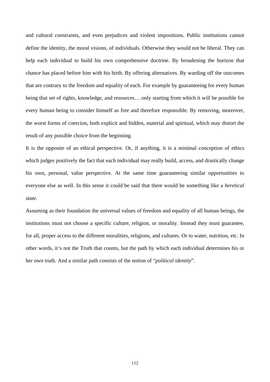and cultural constraints, and even prejudices and violent impositions. Public institutions cannot define the identity, the moral visions, of individuals. Otherwise they would not be liberal. They can help each individual to build his own comprehensive doctrine. By broadening the horizon that chance has placed before him with his birth. By offering alternatives. By warding off the outcomes that are contrary to the freedom and equality of each. For example by guaranteeing for every human being that set of rights, knowledge, and resources… only starting from which it will be possible for every human being to consider himself as free and therefore responsible. By removing, moreover, the worst forms of coercion, both explicit and hidden, material and spiritual, which may distort the result of any possible choice from the beginning.

It is the opposite of an ethical perspective. Or, if anything, it is a minimal conception of ethics which judges positively the fact that each individual may really build, access, and drastically change his own, personal, value perspective. At the same time guaranteeing similar opportunities to everyone else as well. In this sense it could be said that there would be something like a *heretical state.* 

Assuming as their foundation the universal values of freedom and equality of all human beings, the institutions must not choose a specific culture, religion, or morality. Instead they must guarantee, for all, proper access to the different moralities, religions, and cultures. Or to water, nutrition, etc. In other words, it's not the Truth that counts, but the path by which each individual determines his or her own truth. And a similar path consists of the notion of "*political identity*".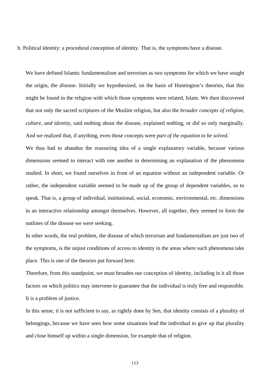b. Political identity: a procedural conception of identity. That is, the symptoms have a disease.

We have defined Islamic fundamentalism and terrorism as two symptoms for which we have sought the origin, the *disease*. Initially we hypothesized, on the basis of Huntington's theories, that this might be found in the religion with which those symptoms were related, Islam. We then discovered that not only the sacred scriptures of the Muslim religion, but also the *broader concepts of religion, culture, and identity*, said nothing about the disease, explained nothing, or did so only marginally. And we realized that, if anything, even those concepts were *part of the equation to be solved*.

We thus had to abandon the reassuring idea of a single explanatory variable, because various dimensions seemed to interact with one another in determining an explanation of the phenomena studied. In short, we found ourselves in front of an equation without an independent variable. Or rather, the independent variable seemed to be made up of the group of dependent variables, so to speak. That is, a group of individual, institutional, social, economic, environmental, etc. dimensions in an interactive relationship amongst themselves. However, all together, they seemed to form the outlines of the disease we were seeking.

In other words, the real problem, the disease of which terrorism and fundamentalism are just two of the symptoms, is the unjust conditions of access to identity in the areas where such phenomena take place. This is one of the theories put forward here.

Therefore, from this standpoint, we must broaden our conception of identity, including in it all those factors on which politics may intervene to guarantee that the individual is truly free and responsible. It is a problem of justice.

In this sense, it is not sufficient to say, as rightly done by Sen, that identity consists of a plurality of belongings, because we have seen how some situations lead the individual to give up that plurality and close himself up within a single dimension, for example that of religion.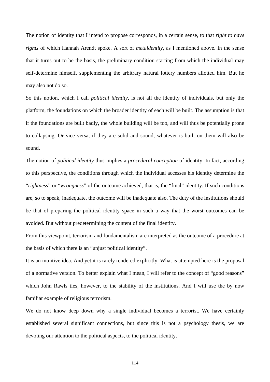The notion of identity that I intend to propose corresponds, in a certain sense, to that *right to have rights* of which Hannah Arendt spoke. A sort of *metaidentity,* as I mentioned above. In the sense that it turns out to be the basis, the preliminary condition starting from which the individual may self-determine himself, supplementing the arbitrary natural lottery numbers allotted him. But he may also not do so.

So this notion, which I call *political identity*, is not all the identity of individuals, but only the platform, the foundations on which the broader identity of each will be built. The assumption is that if the foundations are built badly, the whole building will be too, and will thus be potentially prone to collapsing. Or vice versa, if they are solid and sound, whatever is built on them will also be sound.

The notion of *political identity* thus implies a *procedural conception* of identity. In fact, according to this perspective, the conditions through which the individual accesses his identity determine the "*rightness*" or "*wrongness*" of the outcome achieved, that is, the "final" identity. If such conditions are, so to speak, inadequate, the outcome will be inadequate also. The duty of the institutions should be that of preparing the political identity space in such a way that the worst outcomes can be avoided. But without predetermining the content of the final identity.

From this viewpoint, terrorism and fundamentalism are interpreted as the outcome of a procedure at the basis of which there is an "unjust political identity".

It is an intuitive idea. And yet it is rarely rendered explicitly. What is attempted here is the proposal of a normative version. To better explain what I mean, I will refer to the concept of "good reasons" which John Rawls ties, however, to the stability of the institutions. And I will use the by now familiar example of religious terrorism.

We do not know deep down why a single individual becomes a terrorist. We have certainly established several significant connections, but since this is not a psychology thesis, we are devoting our attention to the political aspects, to the political identity.

114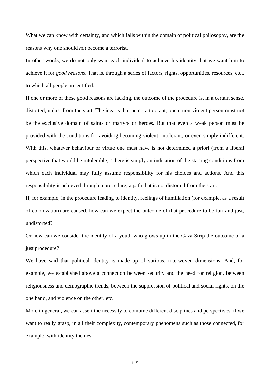What we can know with certainty, and which falls within the domain of political philosophy, are the reasons why one should *not* become a terrorist.

In other words, we do not only want each individual to achieve his identity, but we want him to achieve it for *good reasons.* That is, through a series of factors, rights, opportunities, resources, etc., to which all people are entitled.

If one or more of these good reasons are lacking, the outcome of the procedure is, in a certain sense, distorted, unjust from the start. The idea is that being a tolerant, open, non-violent person must not be the exclusive domain of saints or martyrs or heroes. But that even a weak person must be provided with the conditions for avoiding becoming violent, intolerant, or even simply indifferent. With this, whatever behaviour or virtue one must have is not determined a priori (from a liberal perspective that would be intolerable). There is simply an indication of the starting conditions from which each individual may fully assume responsibility for his choices and actions. And this responsibility is achieved through a procedure, a path that is not distorted from the start.

If, for example, in the procedure leading to identity, feelings of humiliation (for example, as a result of colonization) are caused, how can we expect the outcome of that procedure to be fair and just, undistorted?

Or how can we consider the identity of a youth who grows up in the Gaza Strip the outcome of a just procedure?

We have said that political identity is made up of various, interwoven dimensions. And, for example, we established above a connection between security and the need for religion, between religiousness and demographic trends, between the suppression of political and social rights, on the one hand, and violence on the other, etc.

More in general, we can assert the necessity to combine different disciplines and perspectives, if we want to really grasp, in all their complexity, contemporary phenomena such as those connected, for example, with identity themes.

115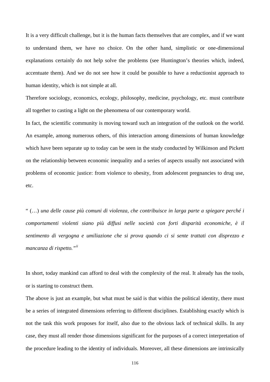It is a very difficult challenge, but it is the human facts themselves that are complex, and if we want to understand them, we have no choice. On the other hand, simplistic or one-dimensional explanations certainly do not help solve the problems (see Huntington's theories which, indeed, accentuate them). And we do not see how it could be possible to have a reductionist approach to human identity, which is not simple at all.

Therefore sociology, economics, ecology, philosophy, medicine, psychology, etc. must contribute all together to casting a light on the phenomena of our contemporary world.

In fact, the scientific community is moving toward such an integration of the outlook on the world. An example, among numerous others, of this interaction among dimensions of human knowledge which have been separate up to today can be seen in the study conducted by Wilkinson and Pickett on the relationship between economic inequality and a series of aspects usually not associated with problems of economic justice: from violence to obesity, from adolescent pregnancies to drug use, etc.

" (…) *una delle cause più comuni di violenza, che contribuisce in larga parte a spiegare perché i comportamenti violenti siano più diffusi nelle società con forti disparità economiche, è il sentimento di vergogna e umiliazione che si prova quando ci si sente trattati con disprezzo e mancanza di rispetto."[ii](#page-139-0)*

In short, today mankind can afford to deal with the complexity of the real. It already has the tools, or is starting to construct them.

The above is just an example, but what must be said is that within the political identity, there must be a series of integrated dimensions referring to different disciplines. Establishing exactly which is not the task this work proposes for itself, also due to the obvious lack of technical skills. In any case, they must all render those dimensions significant for the purposes of a correct interpretation of the procedure leading to the identity of individuals. Moreover, all these dimensions are intrinsically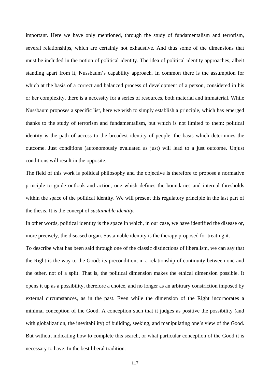important. Here we have only mentioned, through the study of fundamentalism and terrorism, several relationships, which are certainly not exhaustive. And thus some of the dimensions that must be included in the notion of political identity. The idea of political identity approaches, albeit standing apart from it, Nussbaum's capability approach. In common there is the assumption for which at the basis of a correct and balanced process of development of a person, considered in his or her complexity, there is a necessity for a series of resources, both material and immaterial. While Nussbaum proposes a specific list, here we wish to simply establish a principle, which has emerged thanks to the study of terrorism and fundamentalism, but which is not limited to them: political identity is the path of access to the broadest identity of people, the basis which determines the outcome. Just conditions (autonomously evaluated as just) will lead to a just outcome. Unjust conditions will result in the opposite.

The field of this work is political philosophy and the objective is therefore to propose a normative principle to guide outlook and action, one whish defines the boundaries and internal thresholds within the space of the political identity. We will present this regulatory principle in the last part of the thesis. It is the concept of *sustainable identity*.

In other words, political identity is the space in which, in our case, we have identified the disease or, more precisely, the diseased organ. Sustainable identity is the therapy proposed for treating it.

To describe what has been said through one of the classic distinctions of liberalism, we can say that the Right is the way to the Good: its precondition, in a relationship of continuity between one and the other, not of a split. That is, the political dimension makes the ethical dimension possible. It opens it up as a possibility, therefore a choice, and no longer as an arbitrary constriction imposed by external circumstances, as in the past. Even while the dimension of the Right incorporates a minimal conception of the Good. A conception such that it judges as positive the possibility (and with globalization, the inevitability) of building, seeking, and manipulating one's view of the Good. But without indicating how to complete this search, or what particular conception of the Good it is necessary to have. In the best liberal tradition.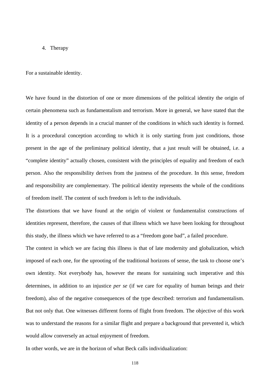## 4. Therapy

For a sustainable identity.

We have found in the distortion of one or more dimensions of the political identity the origin of certain phenomena such as fundamentalism and terrorism. More in general, we have stated that the identity of a person depends in a crucial manner of the conditions in which such identity is formed. It is a procedural conception according to which it is only starting from just conditions, those present in the age of the preliminary political identity, that a just result will be obtained, i.e. a "complete identity" actually chosen, consistent with the principles of equality and freedom of each person. Also the responsibility derives from the justness of the procedure. In this sense, freedom and responsibility are complementary. The political identity represents the whole of the conditions of freedom itself. The content of such freedom is left to the individuals.

The distortions that we have found at the origin of violent or fundamentalist constructions of identities represent, therefore, the causes of that illness which we have been looking for throughout this study, the illness which we have referred to as a "freedom gone bad", a failed procedure.

The context in which we are facing this illness is that of late modernity and globalization, which imposed of each one, for the uprooting of the traditional horizons of sense, the task to choose one's own identity. Not everybody has, however the means for sustaining such imperative and this determines, in addition to an injustice *per se* (if we care for equality of human beings and their freedom), also of the negative consequences of the type described: terrorism and fundamentalism. But not only that. One witnesses different forms of flight from freedom. The objective of this work was to understand the reasons for a similar flight and prepare a background that prevented it, which would allow conversely an actual enjoyment of freedom.

In other words, we are in the horizon of what Beck calls individualization: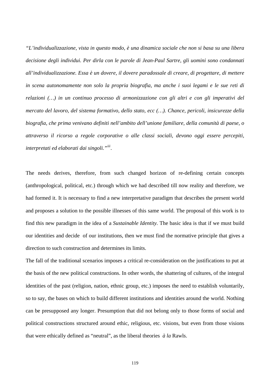*"L'individualizzazione, vista in questo modo, è una dinamica sociale che non si basa su una libera decisione degli individui. Per dirla con le parole di Jean-Paul Sartre, gli uomini sono condannati all'individualizzazione. Essa è un dovere, il dovere paradossale di creare, di progettare, di mettere in scena autonomamente non solo la propria biografia, ma anche i suoi legami e le sue reti di relazioni (…) in un continuo processo di armonizzazione con gli altri e con gli imperativi del mercato del lavoro, del sistema formativo, dello stato, ecc (…). Chance, pericoli, insicurezze della biografia, che prima venivano definiti nell'ambito dell'unione familiare, della comunità di paese, o attraverso il ricorso a regole corporative o alle classi sociali, devono oggi essere percepiti, interpretati ed elaborati dai singoli."[iii](#page-139-1).* 

The needs derives, therefore, from such changed horizon of re-defining certain concepts (anthropological, political, etc.) through which we had described till now reality and therefore, we had formed it. It is necessary to find a new interpretative paradigm that describes the present world and proposes a solution to the possible illnesses of this same world. The proposal of this work is to find this new paradigm in the idea of a *Sustainable Identity.* The basic idea is that if we must build our identities and decide of our institutions, then we must find the normative principle that gives a direction to such construction and determines its limits.

The fall of the traditional scenarios imposes a critical re-consideration on the justifications to put at the basis of the new political constructions. In other words, the shattering of cultures, of the integral identities of the past (religion, nation, ethnic group, etc.) imposes the need to establish voluntarily, so to say, the bases on which to build different institutions and identities around the world. Nothing can be presupposed any longer. Presumption that did not belong only to those forms of social and political constructions structured around ethic, religious, etc. visions, but even from those visions that were ethically defined as "neutral", as the liberal theories *à la* Rawls.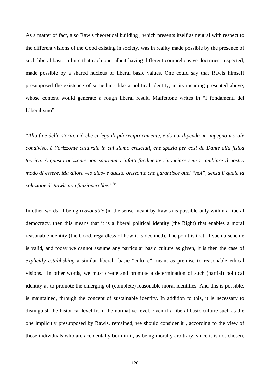As a matter of fact, also Rawls theoretical building , which presents itself as neutral with respect to the different visions of the Good existing in society, was in reality made possible by the presence of such liberal basic culture that each one, albeit having different comprehensive doctrines, respected, made possible by a shared nucleus of liberal basic values. One could say that Rawls himself presupposed the existence of something like a political identity, in its meaning presented above, whose content would generate a rough liberal result. Maffettone writes in "I fondamenti del Liberalismo":

"*Alla fine della storia, ciò che ci lega di più reciprocamente, e da cui dipende un impegno morale condiviso, è l'orizzonte culturale in cui siamo cresciuti, che spazia per così da Dante alla fisica teorica. A questo orizzonte non sapremmo infatti facilmente rinunciare senza cambiare il nostro modo di essere. Ma allora –io dico- è questo orizzonte che garantisce quel "noi", senza il quale la soluzione di Rawls non funzionerebbe."[iv](#page-139-2)*

In other words, if being *reasonable* (in the sense meant by Rawls) is possible only within a liberal democracy, then this means that it is a liberal political identity (the Right) that enables a moral reasonable identity (the Good, regardless of how it is declined). The point is that, if such a scheme is valid, and today we cannot assume any particular basic culture as given, it is then the case of *explicitly establishing* a similar liberal basic "culture" meant as premise to reasonable ethical visions. In other words, we must create and promote a determination of such (partial) political identity as to promote the emerging of (complete) reasonable moral identities. And this is possible, is maintained, through the concept of sustainable identity. In addition to this, it is necessary to distinguish the historical level from the normative level. Even if a liberal basic culture such as the one implicitly presupposed by Rawls, remained, we should consider it , according to the view of those individuals who are accidentally born in it, as being morally arbitrary, since it is not chosen,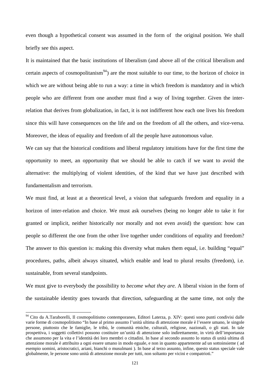even though a hypothetical consent was assumed in the form of the original position. We shall briefly see this aspect.

It is maintained that the basic institutions of liberalism (and above all of the critical liberalism and certain aspects of cosmopolitanism<sup>94</sup>) are the most suitable to our time, to the horizon of choice in which we are without being able to run a way: a time in which freedom is mandatory and in which people who are different from one another must find a way of living together. Given the interrelation that derives from globalization, in fact, it is not indifferent how each one lives his freedom since this will have consequences on the life and on the freedom of all the others, and vice-versa. Moreover, the ideas of equality and freedom of all the people have autonomous value.

We can say that the historical conditions and liberal regulatory intuitions have for the first time the opportunity to meet, an opportunity that we should be able to catch if we want to avoid the alternative: the multiplying of violent identities, of the kind that we have just described with fundamentalism and terrorism.

We must find, at least at a theoretical level, a vision that safeguards freedom and equality in a horizon of inter-relation and choice. We must ask ourselves (being no longer able to take it for granted or implicit, neither historically nor morally and not even avoid) the question: how can people so different the one from the other live together under conditions of equality and freedom? The answer to this question is: making this diversity what makes them equal, i.e. building "equal" procedures, paths, albeit always situated, which enable and lead to plural results (freedom), i.e. sustainable, from several standpoints.

We must give to everybody the possibility to *become what they are.* A liberal vision in the form of the sustainable identity goes towards that direction, safeguarding at the same time, not only the

<span id="page-124-0"></span><sup>&</sup>lt;sup>94</sup> Cito da A.Taraborelli, Il cosmopolitismo contemporaneo, Editori Laterza, p. XIV: questi sono punti condivisi dalle varie forme di cosmopolitismo "In base al primo assunto l'unità ultima di attenzione morale è l'essere umano, le singole persone, piuttosto che le famiglie, le tribù, le comunità etniche, culturali, religiose, nazionali, o gli stati. In tale prospettiva, i soggetti collettivi possono costituire un'unità di attenzione solo indirettamente, in virtù dell'importanza che assumono per la vita e l'identità dei loro membri o cittadini. In base al secondo assunto lo status di unità ultima di attenzione morale è attribuito a ogni essere umano in modo eguale, e non in quanto appartenente ad un sottoinsieme ( ad esempio uomini, aristocratici, ariani, bianchi o musulmani ). In base al terzo assunto, infine, questo status speciale vale globalmente, le persone sono unità di attenzione morale per tutti, non soltanto per vicini e compatrioti."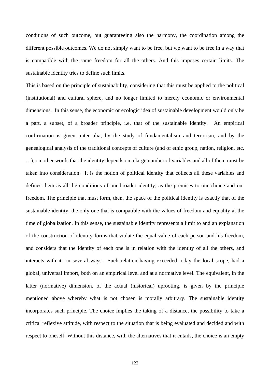conditions of such outcome, but guaranteeing also the harmony, the coordination among the different possible outcomes. We do not simply want to be free, but we want to be free in a way that is compatible with the same freedom for all the others. And this imposes certain limits. The sustainable identity tries to define such limits.

This is based on the principle of sustainability, considering that this must be applied to the political (institutional) and cultural sphere, and no longer limited to merely economic or environmental dimensions. In this sense, the economic or ecologic idea of sustainable development would only be a part, a subset, of a broader principle, i.e. that of the sustainable identity. An empirical confirmation is given, inter alia, by the study of fundamentalism and terrorism, and by the genealogical analysis of the traditional concepts of culture (and of ethic group, nation, religion, etc. …), on other words that the identity depends on a large number of variables and all of them must be taken into consideration. It is the notion of political identity that collects all these variables and defines them as all the conditions of our broader identity, as the premises to our choice and our freedom. The principle that must form, then, the space of the political identity is exactly that of the sustainable identity, the only one that is compatible with the values of freedom and equality at the time of globalization. In this sense, the sustainable identity represents a limit to and an explanation of the construction of identity forms that violate the equal value of each person and his freedom, and considers that the identity of each one is in relation with the identity of all the others, and interacts with it in several ways. Such relation having exceeded today the local scope, had a global, universal import, both on an empirical level and at a normative level. The equivalent, in the latter (normative) dimension, of the actual (historical) uprooting, is given by the principle mentioned above whereby what is not chosen is morally arbitrary. The sustainable identity incorporates such principle. The choice implies the taking of a distance, the possibility to take a critical reflexive attitude, with respect to the situation that is being evaluated and decided and with respect to oneself. Without this distance, with the alternatives that it entails, the choice is an empty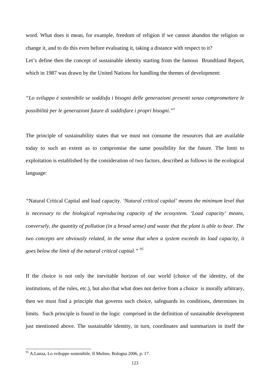word. What does it mean, for example, freedom of religion if we cannot abandon the religion or change it, and to do this even before evaluating it, taking a distance with respect to it? Let's define then the concept of sustainable identity starting from the famous Brundtland Report, which in 1987 was drawn by the United Nations for handling the themes of development:

*"Lo sviluppo è sostenibile se soddisfa i bisogni delle generazioni presenti senza compromettere le possibilità per le generazioni future di soddisfare i propri bisogni."[v](#page-139-3)*

The principle of sustainability states that we must not consume the resources that are available today to such an extent as to compromise the same possibility for the future. The limit to exploitation is established by the consideration of two factors, described as follows in the ecological language:

*"*Natural Critical Capital and load capacity*. 'Natural critical capital' means the minimum level that is necessary to the biological reproducing capacity of the ecosystem. 'Load capacity' means, conversely, the quantity of pollution (in a broad sense) and waste that the plant is able to bear. The two concepts are obviously related, in the sense that when a system exceeds its load capacity, it goes below the limit of the natural critical capital." [95](#page-126-0)*

If the choice is not only the inevitable horizon of our world (choice of the identity, of the institutions, of the rules, etc.), but also that what does not derive from a choice is morally arbitrary, then we must find a principle that governs such choice, safeguards its conditions, determines its limits. Such principle is found in the logic comprised in the definition of sustainable development just mentioned above. The sustainable identity, in turn, coordinates and summarizes in itself the

 $\overline{a}$ 

<span id="page-126-0"></span><sup>&</sup>lt;sup>95</sup> A.Lanza, Lo sviluppo sostenibile, Il Mulino, Bologna 2006, p. 17.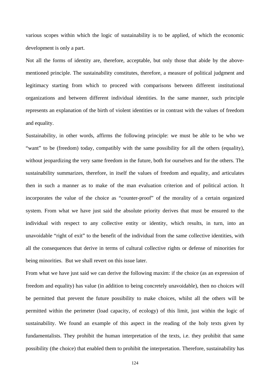various scopes within which the logic of sustainability is to be applied, of which the economic development is only a part.

Not all the forms of identity are, therefore, acceptable, but only those that abide by the abovementioned principle. The sustainability constitutes, therefore, a measure of political judgment and legitimacy starting from which to proceed with comparisons between different institutional organizations and between different individual identities. In the same manner, such principle represents an explanation of the birth of violent identities or in contrast with the values of freedom and equality.

Sustainability, in other words, affirms the following principle: we must be able to be who we "want" to be (freedom) today, compatibly with the same possibility for all the others (equality), without jeopardizing the very same freedom in the future, both for ourselves and for the others. The sustainability summarizes, therefore, in itself the values of freedom and equality, and articulates then in such a manner as to make of the man evaluation criterion and of political action. It incorporates the value of the choice as "counter-proof" of the morality of a certain organized system. From what we have just said the absolute priority derives that must be ensured to the individual with respect to any collective entity or identity, which results, in turn, into an unavoidable "right of exit" to the benefit of the individual from the same collective identities, with all the consequences that derive in terms of cultural collective rights or defense of minorities for being minorities. But we shall revert on this issue later.

From what we have just said we can derive the following maxim: if the choice (as an expression of freedom and equality) has value (in addition to being concretely unavoidable), then no choices will be permitted that prevent the future possibility to make choices, whilst all the others will be permitted within the perimeter (load capacity, of ecology) of this limit, just within the logic of sustainability. We found an example of this aspect in the reading of the holy texts given by fundamentalists. They prohibit the human interpretation of the texts, i.e. they prohibit that same possibility (the choice) that enabled them to prohibit the interpretation. Therefore, sustainability has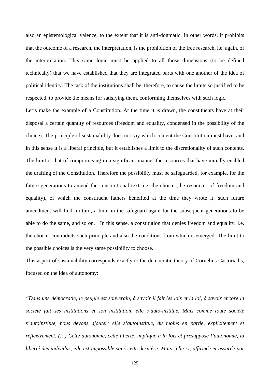also an epistemological valence, to the extent that it is anti-dogmatic. In other words, it prohibits that the outcome of a research, the interpretation, is the prohibition of the free research, i.e. again, of the interpretation. This same logic must be applied to all those dimensions (to be defined technically) that we have established that they are integrated parts with one another of the idea of political identity. The task of the institutions shall be, therefore, to cause the limits so justified to be respected, to provide the means for satisfying them, conforming themselves with such logic.

Let's make the example of a Constitution. At the time it is drawn, the constituents have at their disposal a certain quantity of resources (freedom and equality, condensed in the possibility of the choice). The principle of sustainability does not say which content the Constitution must have, and in this sense it is a liberal principle, but it establishes a limit to the discretionality of such contents. The limit is that of compromising in a significant manner the resources that have initially enabled the drafting of the Constitution. Therefore the possibility must be safeguarded, for example, for the future generations to amend the constitutional text, i.e. the choice (the resources of freedom and equality), of which the constituent fathers benefited at the time they wrote it; such future amendment will find, in turn, a limit in the safeguard again for the subsequent generations to be able to do the same, and so on. In this sense, a constitution that denies freedom and equality, i.e. the choice, contradicts such principle and also the conditions from which it emerged. The limit to the possible choices is the very same possibility to choose.

This aspect of sustainability corresponds exactly to the democratic theory of Cornelius Castoriadis, focused on the idea of autonomy:

*"Dans une démocratie, le peuple est souverain, à savoir il fait les lois et la loi, à savoir encore la société fait ses institutions et son institution, elle s'auto-institue. Mais comme toute société s'autoinstitue, nous devons ajouter: elle s'autoinstitue, du moins en partie, explicitement et réflexivement. (…) Cette autonomie, cette liberté, implique à la fois et présuppose l'autonomie, la liberté des individus, elle est impossible sans cette dernière. Mais celle-ci, affirmée et assurée par*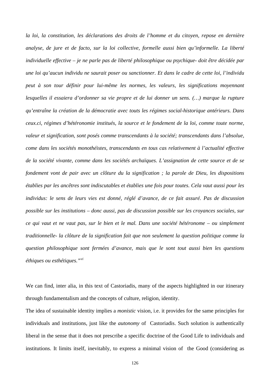*la loi, la constitution, les déclarations des droits de l'homme et du citoyen, repose en dernière analyse, de jure et de facto, sur la loi collective, formelle aussi bien qu'informelle. La liberté individuelle effective – je ne parle pas de liberté philosophique ou psychique- doit être décidée par une loi qu'aucun individu ne saurait poser ou sanctionner. Et dans le cadre de cette loi, l'individu peut à son tour définir pour lui-même les normes, les valeurs, les significations moyennant lesquelles il essaiera d'ordonner sa vie propre et de lui donner un sens. (…) marque la rupture qu'entraîne la création de la démocratie avec touts les régimes social-historique antérieurs. Dans ceux.ci, régimes d'hétéronomie institués, la source et le fondement de la loi, comme toute norme, valeur et signification, sont posés comme transcendants à la société; transcendants dans l'absolue, come dans les sociétés monothéistes, transcendants en tous cas relativement à l'actualité effective de la société vivante, comme dans les sociétés archaïques. L'assignation de cette source et de se fondement vont de pair avec un clôture du la signification ; la parole de Dieu, les dispositions établies par les ancêtres sont indiscutables et établies une fois pour toutes. Cela vaut aussi pour les individus: le sens de leurs vies est donné, réglé d'avance, de ce fait assuré. Pas de discussion possible sur les institutions – donc aussi, pas de discussion possible sur les croyances sociales, sur ce qui vaut et ne vaut pas, sur le bien et le mal. Dans une société hétéronome – ou simplement traditionnelle- la clôture de la signification fait que non seulement la question politique comme la question philosophique sont fermées d'avance, mais que le sont tout aussi bien les questions éthiques ou esthétiques."[vi](#page-139-4)* 

We can find, inter alia, in this text of Castoriadis, many of the aspects highlighted in our itinerary through fundamentalism and the concepts of culture, religion, identity.

The idea of sustainable identity implies a *monistic* vision, i.e. it provides for the same principles for individuals and institutions, just like the *autonomy* of Castoriadis. Such solution is authentically liberal in the sense that it does not prescribe a specific doctrine of the Good Life to individuals and institutions. It limits itself, inevitably, to express a minimal vision of the Good (considering as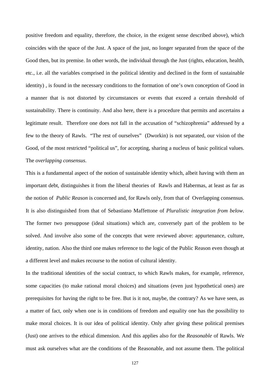positive freedom and equality, therefore, the choice, in the exigent sense described above), which coincides with the space of the Just. A space of the just, no longer separated from the space of the Good then, but its premise. In other words, the individual through the Just (rights, education, health, etc., i.e. all the variables comprised in the political identity and declined in the form of sustainable identity) , is found in the necessary conditions to the formation of one's own conception of Good in a manner that is not distorted by circumstances or events that exceed a certain threshold of sustainability. There is continuity. And also here, there is a procedure that permits and ascertains a legitimate result. Therefore one does not fall in the accusation of "schizophrenia" addressed by a few to the theory of Rawls. "The rest of ourselves" (Dworkin) is not separated, our vision of the Good, of the most restricted "political us", for accepting, sharing a nucleus of basic political values. The *overlapping consensus*.

This is a fundamental aspect of the notion of sustainable identity which, albeit having with them an important debt, distinguishes it from the liberal theories of Rawls and Habermas, at least as far as the notion of *Public Reason* is concerned and, for Rawls only, from that of Overlapping consensus. It is also distinguished from that of Sebastiano Maffettone of *Pluralistic integration from below*. The former two presuppose (ideal situations) which are, conversely part of the problem to be solved. And involve also some of the concepts that were reviewed above: appurtenance, culture, identity, nation. Also the third one makes reference to the logic of the Public Reason even though at a different level and makes recourse to the notion of cultural identity.

In the traditional identities of the social contract, to which Rawls makes, for example, reference, some capacities (to make rational moral choices) and situations (even just hypothetical ones) are prerequisites for having the right to be free. But is it not, maybe, the contrary? As we have seen, as a matter of fact, only when one is in conditions of freedom and equality one has the possibility to make moral choices. It is our idea of political identity. Only after giving these political premises (Just) one arrives to the ethical dimension. And this applies also for the *Reasonable* of Rawls. We must ask ourselves what are the conditions of the Reasonable, and not assume them. The political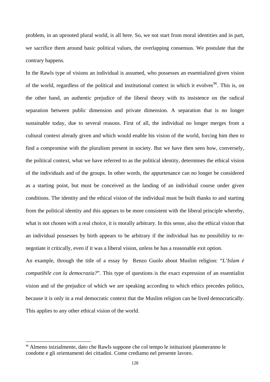problem, in an uprooted plural world, is all here. So, we not start from moral identities and in part, we sacrifice them around basic political values, the overlapping consensus. We postulate that the contrary happens.

In the Rawls type of visions an individual is assumed, who possesses an essentialized given vision of the world, regardless of the political and institutional context in which it evolves<sup>[96](#page-131-0)</sup>. This is, on the other hand, an authentic prejudice of the liberal theory with its insistence on the radical separation between public dimension and private dimension. A separation that is no longer sustainable today, due to several reasons. First of all, the individual no longer merges from a cultural context already given and which would enable his vision of the world, forcing him then to find a compromise with the pluralism present in society. But we have then seen how, conversely, the political context, what we have referred to as the political identity, determines the ethical vision of the individuals and of the groups. In other words, the appurtenance can no longer be considered as a starting point, but must be conceived as the landing of an individual course under given conditions. The identity and the ethical vision of the individual must be built thanks to and starting from the political identity and this appears to be more consistent with the liberal principle whereby, what is not chosen with a real choice, it is morally arbitrary. In this sense, also the ethical vision that an individual possesses by birth appears to be arbitrary if the individual has no possibility to renegotiate it critically, even if it was a liberal vision, unless he has a reasonable exit option.

An example, through the title of a essay by Renzo Guolo about Muslim religion: "*L'Islam è compatibile con la democrazia?*". This type of questions is the exact expression of an essentialist vision and of the prejudice of which we are speaking according to which ethics precedes politics, because it is only in a real democratic context that the Muslim religion can be lived democratically. This applies to any other ethical vision of the world.

 $\overline{a}$ 

<span id="page-131-0"></span><sup>96</sup> Almeno inizialmente, dato che Rawls suppone che col tempo le istituzioni plasmeranno le condotte e gli orientamenti dei cittadini. Come crediamo nel presente lavoro.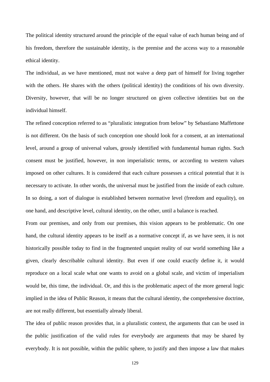The political identity structured around the principle of the equal value of each human being and of his freedom, therefore the sustainable identity, is the premise and the access way to a reasonable ethical identity.

The individual, as we have mentioned, must not waive a deep part of himself for living together with the others. He shares with the others (political identity) the conditions of his own diversity. Diversity, however, that will be no longer structured on given collective identities but on the individual himself.

The refined conception referred to as "pluralistic integration from below" by Sebastiano Maffettone is not different. On the basis of such conception one should look for a consent, at an international level, around a group of universal values, grossly identified with fundamental human rights. Such consent must be justified, however, in non imperialistic terms, or according to western values imposed on other cultures. It is considered that each culture possesses a critical potential that it is necessary to activate. In other words, the universal must be justified from the inside of each culture. In so doing, a sort of dialogue is established between normative level (freedom and equality), on one hand, and descriptive level, cultural identity, on the other, until a balance is reached.

From our premises, and only from our premises, this vision appears to be problematic. On one hand, the cultural identity appears to be itself as a normative concept if, as we have seen, it is not historically possible today to find in the fragmented unquiet reality of our world something like a given, clearly describable cultural identity. But even if one could exactly define it, it would reproduce on a local scale what one wants to avoid on a global scale, and victim of imperialism would be, this time, the individual. Or, and this is the problematic aspect of the more general logic implied in the idea of Public Reason, it means that the cultural identity, the comprehensive doctrine, are not really different, but essentially already liberal.

The idea of public reason provides that, in a pluralistic context, the arguments that can be used in the public justification of the valid rules for everybody are arguments that may be shared by everybody. It is not possible, within the public sphere, to justify and then impose a law that makes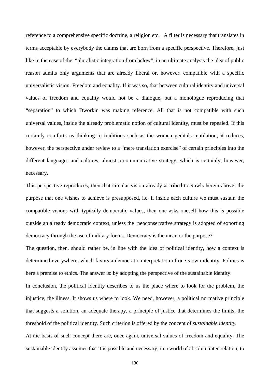reference to a comprehensive specific doctrine, a religion etc. A filter is necessary that translates in terms acceptable by everybody the claims that are born from a specific perspective. Therefore, just like in the case of the "pluralistic integration from below", in an ultimate analysis the idea of public reason admits only arguments that are already liberal or, however, compatible with a specific universalistic vision. Freedom and equality. If it was so, that between cultural identity and universal values of freedom and equality would not be a dialogue, but a monologue reproducing that "separation" to which Dworkin was making reference. All that is not compatible with such universal values, inside the already problematic notion of cultural identity, must be repealed. If this certainly comforts us thinking to traditions such as the women genitals mutilation, it reduces, however, the perspective under review to a "mere translation exercise" of certain principles into the different languages and cultures, almost a communicative strategy, which is certainly, however, necessary.

This perspective reproduces, then that circular vision already ascribed to Rawls herein above: the purpose that one wishes to achieve is presupposed, i.e. if inside each culture we must sustain the compatible visions with typically democratic values, then one asks oneself how this is possible outside an already democratic context, unless the neoconservative strategy is adopted of exporting democracy through the use of military forces. Democracy is the mean or the purpose?

The question, then, should rather be, in line with the idea of political identity, how a context is determined everywhere, which favors a democratic interpretation of one's own identity. Politics is here a premise to ethics. The answer is: by adopting the perspective of the sustainable identity.

In conclusion, the political identity describes to us the place where to look for the problem, the injustice, the illness. It shows us where to look. We need, however, a political normative principle that suggests a solution, an adequate therapy, a principle of justice that determines the limits, the threshold of the political identity. Such criterion is offered by the concept of *sustainable identity.* 

At the basis of such concept there are, once again, universal values of freedom and equality. The sustainable identity assumes that it is possible and necessary, in a world of absolute inter-relation, to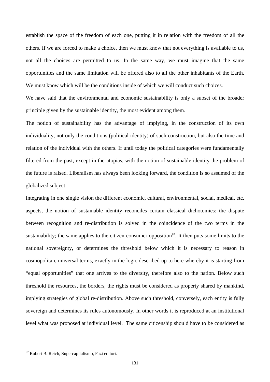establish the space of the freedom of each one, putting it in relation with the freedom of all the others. If we are forced to make a choice, then we must know that not everything is available to us, not all the choices are permitted to us. In the same way, we must imagine that the same opportunities and the same limitation will be offered also to all the other inhabitants of the Earth. We must know which will be the conditions inside of which we will conduct such choices.

We have said that the environmental and economic sustainability is only a subset of the broader principle given by the sustainable identity, the most evident among them.

The notion of sustainability has the advantage of implying, in the construction of its own individuality, not only the conditions (political identity) of such construction, but also the time and relation of the individual with the others. If until today the political categories were fundamentally filtered from the past, except in the utopias, with the notion of sustainable identity the problem of the future is raised. Liberalism has always been looking forward, the condition is so assumed of the globalized subject.

Integrating in one single vision the different economic, cultural, environmental, social, medical, etc. aspects, the notion of sustainable identity reconciles certain classical dichotomies: the dispute between recognition and re-distribution is solved in the coincidence of the two terms in the sustainability; the same applies to the citizen-consumer opposition<sup>[97](#page-134-0)</sup>. It then puts some limits to the national sovereignty, or determines the threshold below which it is necessary to reason in cosmopolitan, universal terms, exactly in the logic described up to here whereby it is starting from "equal opportunities" that one arrives to the diversity, therefore also to the nation. Below such threshold the resources, the borders, the rights must be considered as property shared by mankind, implying strategies of global re-distribution. Above such threshold, conversely, each entity is fully sovereign and determines its rules autonomously. In other words it is reproduced at an institutional level what was proposed at individual level. The same citizenship should have to be considered as

 $\overline{a}$ 

<span id="page-134-0"></span><sup>&</sup>lt;sup>97</sup> Robert B. Reich, Supercapitalismo, Fazi editori.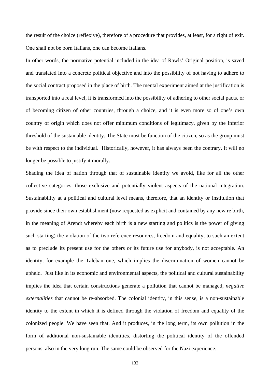the result of the choice (reflexive), therefore of a procedure that provides, at least, for a right of exit. One shall not be born Italians, one can become Italians.

In other words, the normative potential included in the idea of Rawls' Original position, is saved and translated into a concrete political objective and into the possibility of not having to adhere to the social contract proposed in the place of birth. The mental experiment aimed at the justification is transported into a real level, it is transformed into the possibility of adhering to other social pacts, or of becoming citizen of other countries, through a choice, and it is even more so of one's own country of origin which does not offer minimum conditions of legitimacy, given by the inferior threshold of the sustainable identity. The State must be function of the citizen, so as the group must be with respect to the individual. Historically, however, it has always been the contrary. It will no longer be possible to justify it morally.

Shading the idea of nation through that of sustainable identity we avoid, like for all the other collective categories, those exclusive and potentially violent aspects of the national integration. Sustainability at a political and cultural level means, therefore, that an identity or institution that provide since their own establishment (now requested as explicit and contained by any new re birth, in the meaning of Arendt whereby each birth is a new starting and politics is the power of giving such starting) the violation of the two reference resources, freedom and equality, to such an extent as to preclude its present use for the others or its future use for anybody, is not acceptable. An identity, for example the Taleban one, which implies the discrimination of women cannot be upheld. Just like in its economic and environmental aspects, the political and cultural sustainability implies the idea that certain constructions generate a pollution that cannot be managed, *negative externalities* that cannot be re-absorbed. The colonial identity, in this sense, is a non-sustainable identity to the extent in which it is defined through the violation of freedom and equality of the colonized people. We have seen that. And it produces, in the long term, its own pollution in the form of additional non-sustainable identities, distorting the political identity of the offended persons, also in the very long run. The same could be observed for the Nazi experience.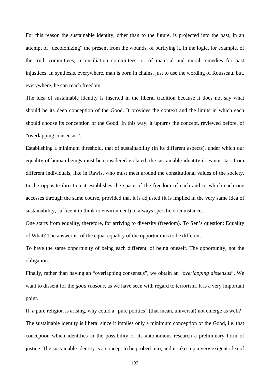For this reason the sustainable identity, other than to the future, is projected into the past, in an attempt of "decolonizing" the present from the wounds, of purifying it, in the logic, for example, of the truth committees, reconciliation committees, or of material and moral remedies for past injustices. In synthesis, everywhere, man is born in chains, just to use the wording of Rousseau, but, everywhere, he can reach freedom.

The idea of sustainable identity is inserted in the liberal tradition because it does not say what should be its deep conception of the Good. It provides the context and the limits in which each should choose its conception of the Good. In this way, it upturns the concept, reviewed before, of "overlapping consensus".

Establishing a minimum threshold, that of sustainability (in its different aspects), under which our equality of human beings must be considered violated, the sustainable identity does not start from different individuals, like in Rawls, who must meet around the constitutional values of the society. In the opposite direction it establishes the space of the freedom of each and to which each one accesses through the same course, provided that it is adjusted (it is implied in the very same idea of sustainability, suffice it to think to environment) to always specific circumstances.

One starts from equality, therefore, for arriving to diversity (freedom). To Sen's question: Equality of What? The answer is: of the equal equality of the opportunities to be different.

To have the same opportunity of being each different, of being oneself. The opportunity, not the obligation.

Finally, rather than having an "overlapping consensus", we obtain an "*overlapping dissensus*". We want to dissent for the *good reasons*, as we have seen with regard to terrorism. It is a very important point.

If a pure religion is arising, why could a "pure politics" (that mean, universal) not emerge as well? The sustainable identity is liberal since it implies only a minimum conception of the Good, i.e. that conception which identifies in the possibility of its autonomous research a preliminary form of justice. The sustainable identity is a concept to be probed into, and it takes up a very exigent idea of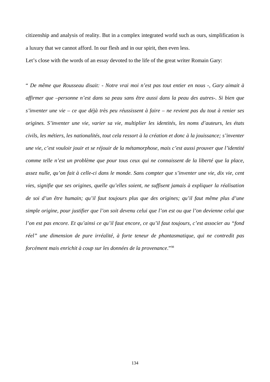citizenship and analysis of reality. But in a complex integrated world such as ours, simplification is a luxury that we cannot afford. In our flesh and in our spirit, then even less.

Let's close with the words of an essay devoted to the life of the great writer Romain Gary:

<span id="page-137-0"></span>" *De même que Rousseau disait: - Notre vrai moi n'est pas tout entier en nous -, Gary aimait à affirmer que –personne n'est dans sa peau sans être aussi dans la peau des autres-. Si bien que s'inventer une vie – ce que déjà très peu réussissent à faire – ne revient pas du tout à renier ses origines. S'inventer une vie, varier sa vie, multiplier les identités, les noms d'auteurs, les états civils, les métiers, les nationalités, tout cela ressort à la création et donc à la jouissance; s'inventer une vie, c'est vouloir jouir et se réjouir de la métamorphose, mais c'est aussi prouver que l'identité comme telle n'est un problème que pour tous ceux qui ne connaissent de la liberté que la place, assez nulle, qu'on fait à celle-ci dans le monde. Sans compter que s'inventer une vie, dix vie, cent vies, signifie que ses origines, quelle qu'elles soient, ne suffisent jamais à expliquer la réalisation de soi d'un être humain; qu'il faut toujours plus que des origines; qu'il faut même plus d'une simple origine, pour justifier que l'on soit devenu celui que l'on est ou que l'on devienne celui que l'on est pas encore. Et qu'ainsi ce qu'il faut encore, ce qu'il faut toujours, c'est associer au "fond réel" une dimension de pure irréalité, à forte teneur de phantasmatique, qui ne contredit pas forcément mais enrichit à coup sur les données de la provenance*."[98](#page-137-0)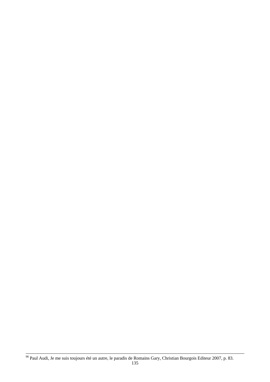<sup>98</sup> Paul Audi, Je me suis toujours été un autre, le paradis de Romains Gary, Christian Bourgois Editeur 2007, p. 83.

 $\overline{a}$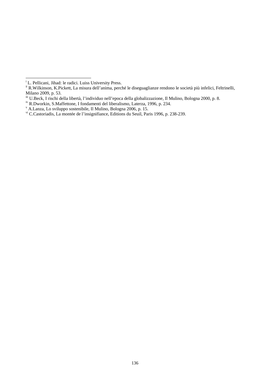<span id="page-139-0"></span>

i<br><sup>i</sup> L. Pellicani, Jihad: le radici. Luiss University Press.<br><sup>ii</sup> R.Wilkinson, K.Pickett, La misura dell'anima, perché le diseguaglianze rendono le società più infelici, Feltrinelli, Milano 2009, p. 53.

<span id="page-139-1"></span>iii U.Beck, I rischi della libertà, l'individuo nell'epoca della globalizzazione, Il Mulino, Bologna 2000, p. 8.

<span id="page-139-2"></span><sup>&</sup>lt;sup>iv</sup> R.Dworkin, S.Maffettone, I fondamenti del liberalismo, Laterza, 1996, p. 234.<br><sup>v</sup> A.Lanza, Lo sviluppo sostenibile, Il Mulino, Bologna 2006, p. 15.

<span id="page-139-3"></span>

<span id="page-139-4"></span>vi C.Castoriadis, La montée de l'insignifiance, Editions du Seuil, Paris 1996, p. 238-239.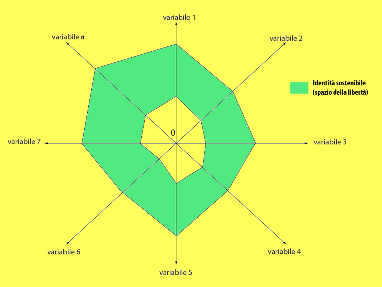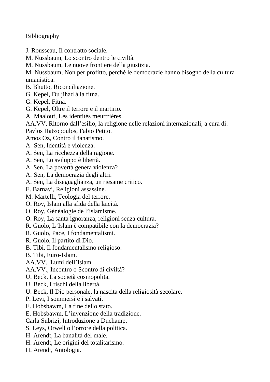Bibliography

- J. Rousseau, Il contratto sociale.
- M. Nussbaum, Lo scontro dentro le civiltà.
- M. Nussbaum, Le nuove frontiere della giustizia.

M. Nussbaum, Non per profitto, perché le democrazie hanno bisogno della cultura umanistica.

- B. Bhutto, Riconciliazione.
- G. Kepel, Du jihad à la fitna.
- G. Kepel, Fitna.
- G. Kepel, Oltre il terrore e il martirio.
- A. Maalouf, Les identités meurtrières.
- AA.VV, Ritorno dall'esilio, la religione nelle relazioni internazionali, a cura di:
- Pavlos Hatzopoulos, Fabio Petito.
- Amos Oz, Contro il fanatismo.
- A. Sen, Identità e violenza.
- A. Sen, La ricchezza della ragione.
- A. Sen, Lo sviluppo è libertà.
- A. Sen, La povertà genera violenza?
- A. Sen, La democrazia degli altri.
- A. Sen, La diseguaglianza, un riesame critico.
- E. Barnavi, Religioni assassine.
- M. Martelli, Teologia del terrore.
- O. Roy, Islam alla sfida della laicità.
- O. Roy, Généalogie de l'islamisme.
- O. Roy, La santa ignoranza, religioni senza cultura.
- R. Guolo, L'Islam è compatibile con la democrazia?
- R. Guolo, Pace, I fondamentalismi.
- R. Guolo, Il partito di Dio.
- B. Tibi, Il fondamentalismo religioso.
- B. Tibi, Euro-Islam.
- AA.VV., Lumi dell'Islam.
- AA.VV., Incontro o Scontro di civiltà?
- U. Beck, La società cosmopolita.
- U. Beck, I rischi della libertà.
- U. Beck, Il Dio personale, la nascita della religiosità secolare.
- P. Levi, I sommersi e i salvati.
- E. Hobsbawm, La fine dello stato.
- E. Hobsbawm, L'invenzione della tradizione.
- Carla Subrizi, Introduzione a Duchamp.
- S. Leys, Orwell o l'orrore della politica.
- H. Arendt, La banalità del male.
- H. Arendt, Le origini del totalitarismo.
- H. Arendt, Antologia.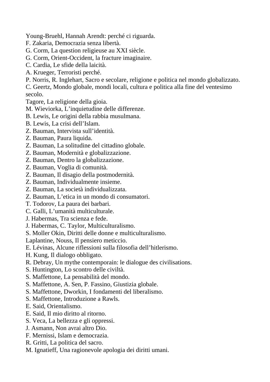Young-Bruehl, Hannah Arendt: perché ci riguarda.

- F. Zakaria, Democrazia senza libertà.
- G. Corm, La question religieuse au XXI siècle.
- G. Corm, Orient-Occident, la fracture imaginaire.
- C. Cardia, Le sfide della laicità.
- A. Krueger, Terroristi perché.
- P. Norris, R. Inglehart, Sacro e secolare, religione e politica nel mondo globalizzato.
- C. Geertz, Mondo globale, mondi locali, cultura e politica alla fine del ventesimo secolo.
- Tagore, La religione della gioia.
- M. Wieviorka, L'inquietudine delle differenze.
- B. Lewis, Le origini della rabbia musulmana.
- B. Lewis, La crisi dell'Islam.
- Z. Bauman, Intervista sull'identità.
- Z. Bauman, Paura liquida.
- Z. Bauman, La solitudine del cittadino globale.
- Z. Bauman, Modernità e globalizzazione.
- Z. Bauman, Dentro la globalizzazione.
- Z. Bauman, Voglia di comunità.
- Z. Bauman, Il disagio della postmodernità.
- Z. Bauman, Individualmente insieme.
- Z. Bauman, La società individualizzata.
- Z. Bauman, L'etica in un mondo di consumatori.
- T. Todorov, La paura dei barbari.
- C. Galli, L'umanità multiculturale.
- J. Habermas, Tra scienza e fede.
- J. Habermas, C. Taylor, Multiculturalismo.
- S. Moller Okin, Diritti delle donne e multiculturalismo.
- Laplantine, Nouss, Il pensiero meticcio.
- E. Lévinas, Alcune riflessioni sulla filosofia dell'hitlerismo.
- H. Kung, Il dialogo obbligato.
- R. Debray, Un mythe contemporain: le dialogue des civilisations.
- S. Huntington, Lo scontro delle civiltà.
- S. Maffettone, La pensabilità del mondo.
- S. Maffettone, A. Sen, P. Fassino, Giustizia globale.
- S. Maffettone, Dworkin, I fondamenti del liberalismo.
- S. Maffettone, Introduzione a Rawls.
- E. Said, Orientalismo.
- E. Said, Il mio diritto al ritorno.
- S. Veca, La bellezza e gli oppressi.
- J. Asmann, Non avrai altro Dio.
- F. Mernissi, Islam e democrazia.
- R. Gritti, La politica del sacro.
- M. Ignatieff, Una ragionevole apologia dei diritti umani.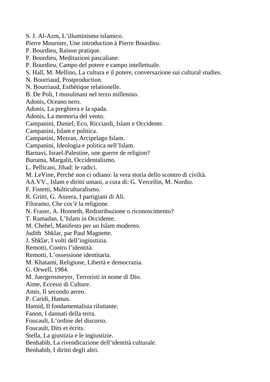S. J. Al-Azm, L'illuminismo islamico. Pierre Mournier, Une introduction à Pierre Bourdieu. P. Bourdieu, Raison pratique. P. Bourdieu, Meditazioni pascaliane. P. Bourdieu, Campo del potere e campo intellettuale. S. Hall, M. Mellino, La cultura e il potere, conversazione sui cultural studies. N. Bourriaud, Postproduction. N. Bourriaud, Esthétique relationelle. B. De Poli, I musulmani nel terzo millennio. Adonis, Oceano nero. Adonis, La preghiera e la spada. Adonis, La memoria del vento. Campanini, Daniel, Eco, Ricciardi, Islam e Occidente. Campanini, Islam e politica. Campanini, Mezran, Arcipelago Islam. Campanini, Ideologia e politica nell'Islam. Barnavi, Israel-Palestine, une guerre de religion? Buruma, Margalit, Occidentalismo. L. Pellicani, Jihad: le radici. M. LeVine, Perché non ci odiano: la vera storia dello scontro di civiltà. AA.VV., Islam e diritti umani, a cura di: G. Vercellin, M. Nordio. F. Fistetti, Multiculturalismo. R. Gritti, G. Anzera, I partigiani di Alì. Filoramo, Che cos'è la religione. N. Fraser, A. Honneth, Redistribuzione o riconoscimento? T. Ramadan, L'Islam in Occidente. M. Chebel, Manifesto per un Islam moderno. Judith Shklar, par Paul Magnette. J. Shklar, I volti dell'ingiustizia. Remotti, Contro l'identità. Remotti, L'ossessione identitaria. M. Khatami, Religione, Libertà e democrazia. G. Orwell, 1984. M. Juergensmeyer, Terroristi in nome di Dio. Aime, Eccessi di Culture. Amis, Il secondo aereo. P. Caridi, Hamas. Hamid, Il fondamentalista riluttante. Fanon, I dannati della terra. Foucault, L'ordine del discorso. Foucault, Dits et écrits. Stella, La giustizia e le ingiustizie. Benhabib, La rivendicazione dell'identità culturale. Benhabib, I diritti degli altri.